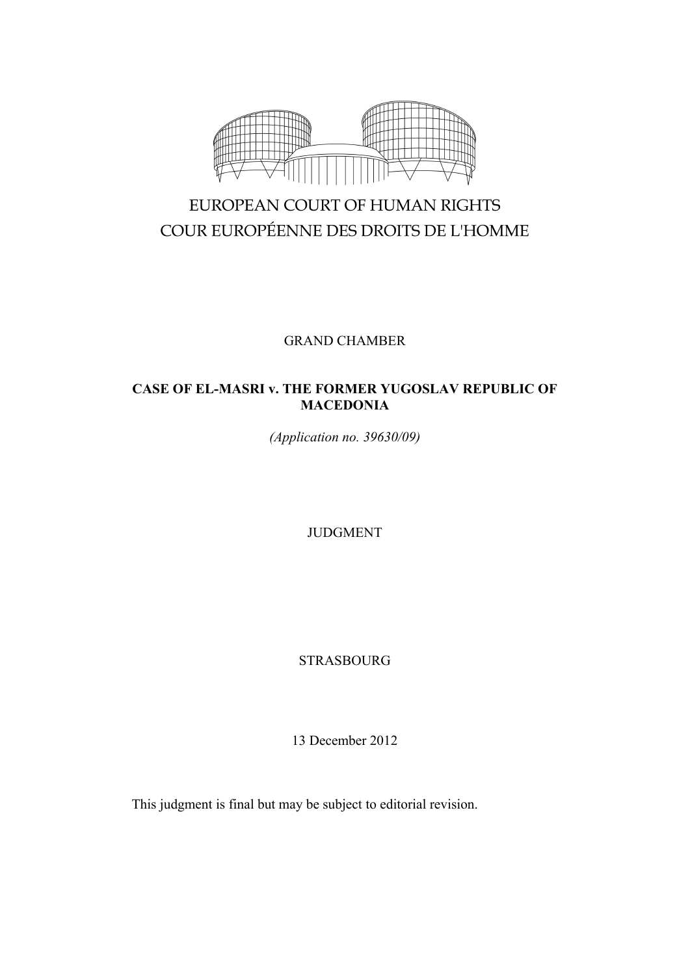

# EUROPEAN COURT OF HUMAN RIGHTS COUR EUROPÉENNE DES DROITS DE L'HOMME

# GRAND CHAMBER

# **CASE OF EL-MASRI v. THE FORMER YUGOSLAV REPUBLIC OF MACEDONIA**

*(Application no. 39630/09)*

JUDGMENT

STRASBOURG

13 December 2012

This judgment is final but may be subject to editorial revision.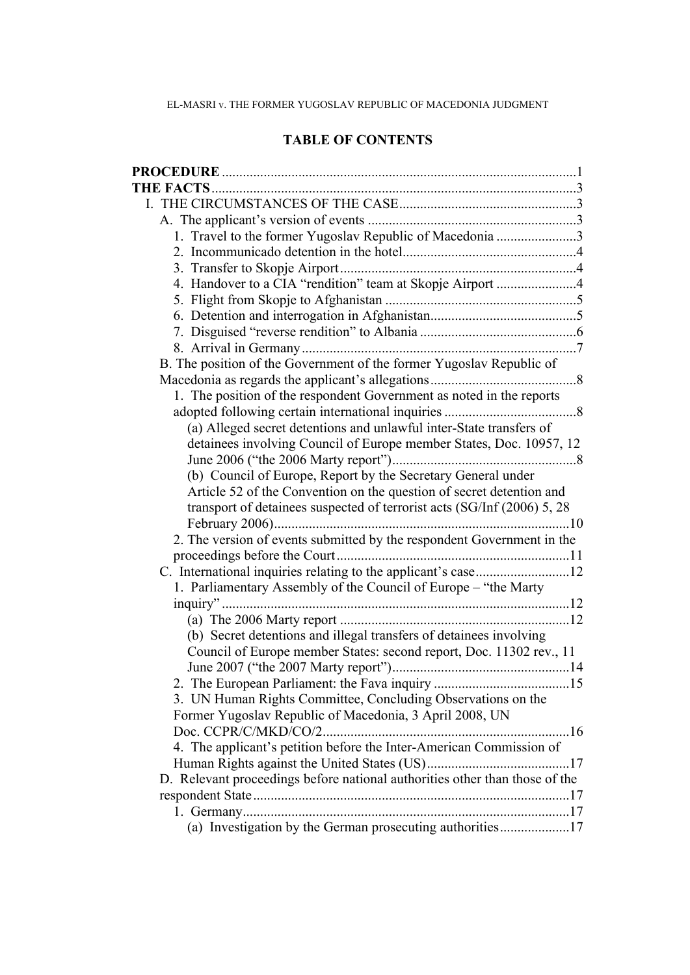# **TABLE OF CONTENTS**

| 1. Travel to the former Yugoslav Republic of Macedonia 3                    |  |
|-----------------------------------------------------------------------------|--|
|                                                                             |  |
|                                                                             |  |
| 4. Handover to a CIA "rendition" team at Skopje Airport 4                   |  |
|                                                                             |  |
|                                                                             |  |
|                                                                             |  |
|                                                                             |  |
| B. The position of the Government of the former Yugoslav Republic of        |  |
|                                                                             |  |
| 1. The position of the respondent Government as noted in the reports        |  |
|                                                                             |  |
| (a) Alleged secret detentions and unlawful inter-State transfers of         |  |
| detainees involving Council of Europe member States, Doc. 10957, 12         |  |
|                                                                             |  |
| (b) Council of Europe, Report by the Secretary General under                |  |
| Article 52 of the Convention on the question of secret detention and        |  |
| transport of detainees suspected of terrorist acts (SG/Inf (2006) 5, 28     |  |
|                                                                             |  |
| 2. The version of events submitted by the respondent Government in the      |  |
|                                                                             |  |
| C. International inquiries relating to the applicant's case12               |  |
| 1. Parliamentary Assembly of the Council of Europe – "the Marty"            |  |
|                                                                             |  |
| (b) Secret detentions and illegal transfers of detainees involving          |  |
| Council of Europe member States: second report, Doc. 11302 rev., 11         |  |
|                                                                             |  |
|                                                                             |  |
| 3. UN Human Rights Committee, Concluding Observations on the                |  |
| Former Yugoslav Republic of Macedonia, 3 April 2008, UN                     |  |
| Doc. CCPR/C/MKD/CO/2.                                                       |  |
| 4. The applicant's petition before the Inter-American Commission of         |  |
|                                                                             |  |
| D. Relevant proceedings before national authorities other than those of the |  |
|                                                                             |  |
|                                                                             |  |
| (a) Investigation by the German prosecuting authorities17                   |  |
|                                                                             |  |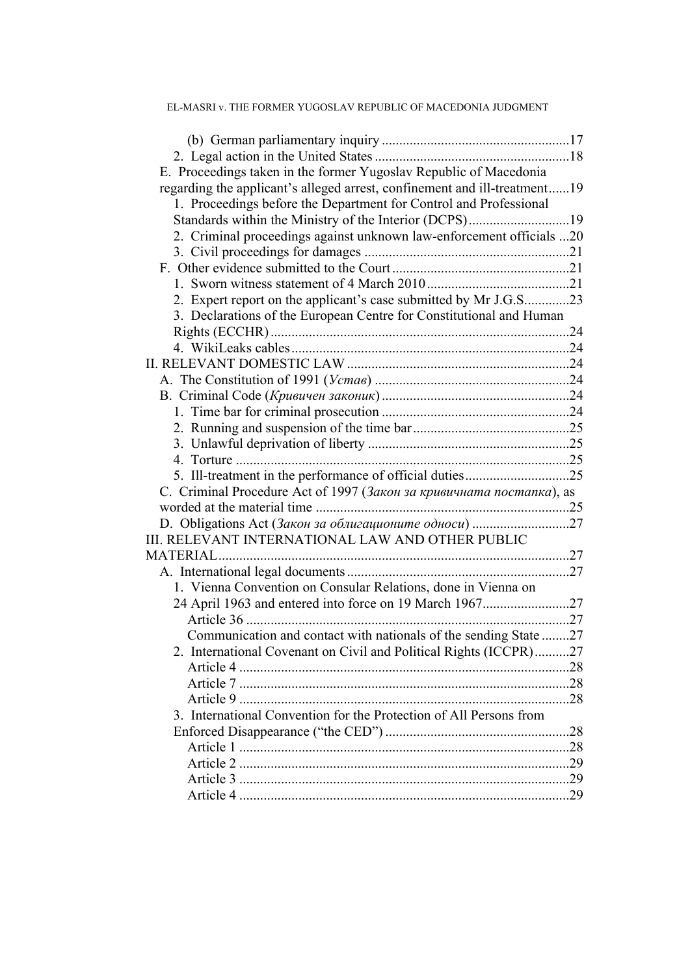| E. Proceedings taken in the former Yugoslav Republic of Macedonia         |     |
|---------------------------------------------------------------------------|-----|
| regarding the applicant's alleged arrest, confinement and ill-treatment19 |     |
| 1. Proceedings before the Department for Control and Professional         |     |
|                                                                           |     |
| 2. Criminal proceedings against unknown law-enforcement officials 20      |     |
|                                                                           |     |
|                                                                           |     |
|                                                                           |     |
| 2. Expert report on the applicant's case submitted by Mr J.G.S23          |     |
| 3. Declarations of the European Centre for Constitutional and Human       |     |
|                                                                           |     |
|                                                                           |     |
|                                                                           |     |
|                                                                           |     |
|                                                                           |     |
|                                                                           |     |
|                                                                           |     |
|                                                                           |     |
|                                                                           |     |
|                                                                           |     |
| C. Criminal Procedure Act of 1997 (Закон за кривичната постапка), as      |     |
|                                                                           |     |
|                                                                           |     |
| III. RELEVANT INTERNATIONAL LAW AND OTHER PUBLIC                          |     |
| <b>MATERIAL</b>                                                           |     |
|                                                                           |     |
| 1. Vienna Convention on Consular Relations, done in Vienna on             |     |
|                                                                           |     |
| Article 36                                                                | .27 |
| Communication and contact with nationals of the sending State 27          |     |
| 2. International Covenant on Civil and Political Rights (ICCPR)27         |     |
|                                                                           |     |
|                                                                           |     |
|                                                                           |     |
| 3. International Convention for the Protection of All Persons from        |     |
|                                                                           |     |
|                                                                           |     |
|                                                                           |     |
|                                                                           |     |
|                                                                           |     |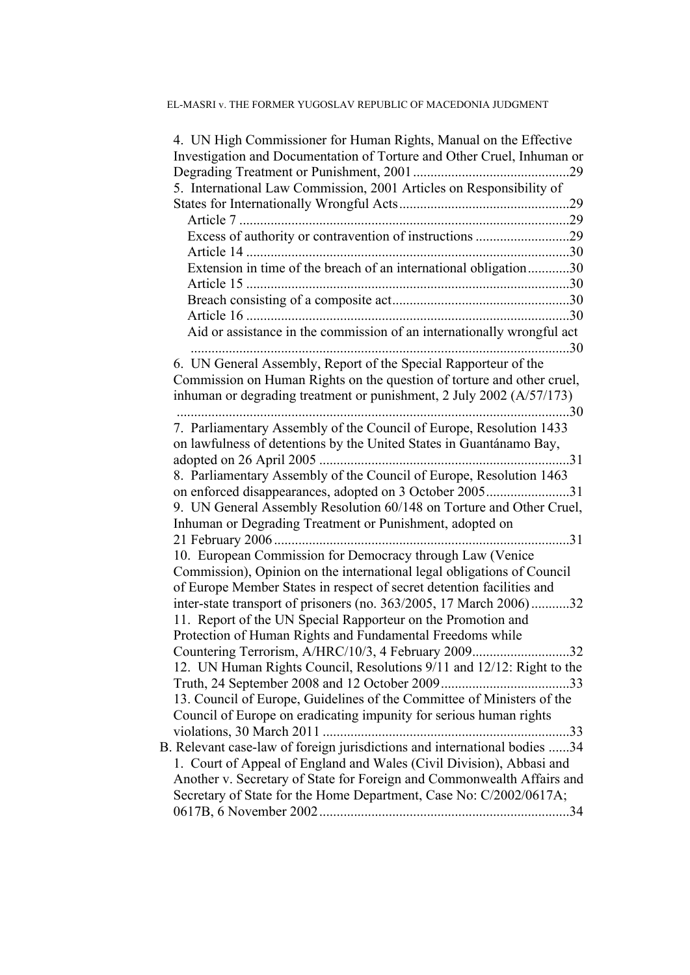| 4. UN High Commissioner for Human Rights, Manual on the Effective         |     |
|---------------------------------------------------------------------------|-----|
| Investigation and Documentation of Torture and Other Cruel, Inhuman or    |     |
| 29                                                                        |     |
| 5. International Law Commission, 2001 Articles on Responsibility of       |     |
|                                                                           |     |
|                                                                           |     |
| Excess of authority or contravention of instructions 29                   |     |
|                                                                           |     |
| Extension in time of the breach of an international obligation30          |     |
|                                                                           |     |
|                                                                           |     |
|                                                                           |     |
| Aid or assistance in the commission of an internationally wrongful act    |     |
|                                                                           |     |
| 6. UN General Assembly, Report of the Special Rapporteur of the           |     |
| Commission on Human Rights on the question of torture and other cruel,    |     |
| inhuman or degrading treatment or punishment, 2 July 2002 (A/57/173)      |     |
|                                                                           |     |
| 7. Parliamentary Assembly of the Council of Europe, Resolution 1433       |     |
| on lawfulness of detentions by the United States in Guantánamo Bay,       |     |
|                                                                           |     |
| 8. Parliamentary Assembly of the Council of Europe, Resolution 1463       |     |
| on enforced disappearances, adopted on 3 October 200531                   |     |
| 9. UN General Assembly Resolution 60/148 on Torture and Other Cruel,      |     |
| Inhuman or Degrading Treatment or Punishment, adopted on                  |     |
|                                                                           | .31 |
| 10. European Commission for Democracy through Law (Venice)                |     |
| Commission), Opinion on the international legal obligations of Council    |     |
| of Europe Member States in respect of secret detention facilities and     |     |
| inter-state transport of prisoners (no. 363/2005, 17 March 2006)32        |     |
| 11. Report of the UN Special Rapporteur on the Promotion and              |     |
| Protection of Human Rights and Fundamental Freedoms while                 |     |
| Countering Terrorism, A/HRC/10/3, 4 February 2009<br>32                   |     |
| 12. UN Human Rights Council, Resolutions 9/11 and 12/12: Right to the     |     |
|                                                                           |     |
| 13. Council of Europe, Guidelines of the Committee of Ministers of the    |     |
| Council of Europe on eradicating impunity for serious human rights        |     |
|                                                                           |     |
| B. Relevant case-law of foreign jurisdictions and international bodies 34 |     |
| 1. Court of Appeal of England and Wales (Civil Division), Abbasi and      |     |
| Another v. Secretary of State for Foreign and Commonwealth Affairs and    |     |
| Secretary of State for the Home Department, Case No: C/2002/0617A;        |     |
|                                                                           |     |
|                                                                           |     |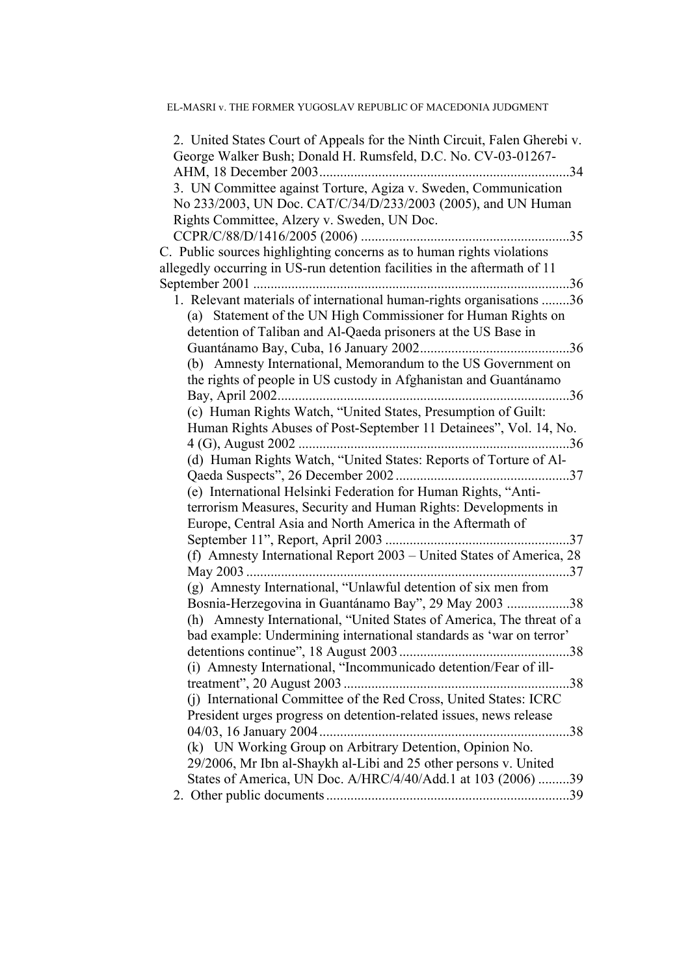| 2. United States Court of Appeals for the Ninth Circuit, Falen Gherebi v.<br>George Walker Bush; Donald H. Rumsfeld, D.C. No. CV-03-01267-         | 34  |
|----------------------------------------------------------------------------------------------------------------------------------------------------|-----|
| 3. UN Committee against Torture, Agiza v. Sweden, Communication<br>No 233/2003, UN Doc. CAT/C/34/D/233/2003 (2005), and UN Human                   |     |
| Rights Committee, Alzery v. Sweden, UN Doc.<br>CCPR/C/88/D/1416/2005 (2006)                                                                        | 35  |
| C. Public sources highlighting concerns as to human rights violations<br>allegedly occurring in US-run detention facilities in the aftermath of 11 |     |
|                                                                                                                                                    | 36  |
| 1. Relevant materials of international human-rights organisations 36                                                                               |     |
| (a) Statement of the UN High Commissioner for Human Rights on<br>detention of Taliban and Al-Qaeda prisoners at the US Base in                     |     |
|                                                                                                                                                    |     |
| (b) Amnesty International, Memorandum to the US Government on<br>the rights of people in US custody in Afghanistan and Guantánamo                  |     |
| Bay, April 2002.                                                                                                                                   | .36 |
| (c) Human Rights Watch, "United States, Presumption of Guilt:                                                                                      |     |
| Human Rights Abuses of Post-September 11 Detainees", Vol. 14, No.                                                                                  |     |
| 4 (G), August 2002                                                                                                                                 |     |
| (d) Human Rights Watch, "United States: Reports of Torture of Al-                                                                                  |     |
|                                                                                                                                                    |     |
| (e) International Helsinki Federation for Human Rights, "Anti-                                                                                     |     |
| terrorism Measures, Security and Human Rights: Developments in                                                                                     |     |
| Europe, Central Asia and North America in the Aftermath of                                                                                         |     |
|                                                                                                                                                    |     |
| (f) Amnesty International Report 2003 – United States of America, 28                                                                               | 37  |
| (g) Amnesty International, "Unlawful detention of six men from                                                                                     |     |
| Bosnia-Herzegovina in Guantánamo Bay", 29 May 2003 38                                                                                              |     |
| (h) Amnesty International, "United States of America, The threat of a                                                                              |     |
| bad example: Undermining international standards as 'war on terror'                                                                                |     |
| detentions continue", 18 August 2003                                                                                                               | 38  |
| (i) Amnesty International, "Incommunicado detention/Fear of ill-                                                                                   |     |
|                                                                                                                                                    |     |
| (j) International Committee of the Red Cross, United States: ICRC                                                                                  |     |
| President urges progress on detention-related issues, news release                                                                                 |     |
|                                                                                                                                                    |     |
| (k) UN Working Group on Arbitrary Detention, Opinion No.                                                                                           |     |
| 29/2006, Mr Ibn al-Shaykh al-Libi and 25 other persons v. United                                                                                   |     |
| States of America, UN Doc. A/HRC/4/40/Add.1 at 103 (2006) 39                                                                                       |     |
|                                                                                                                                                    |     |
|                                                                                                                                                    |     |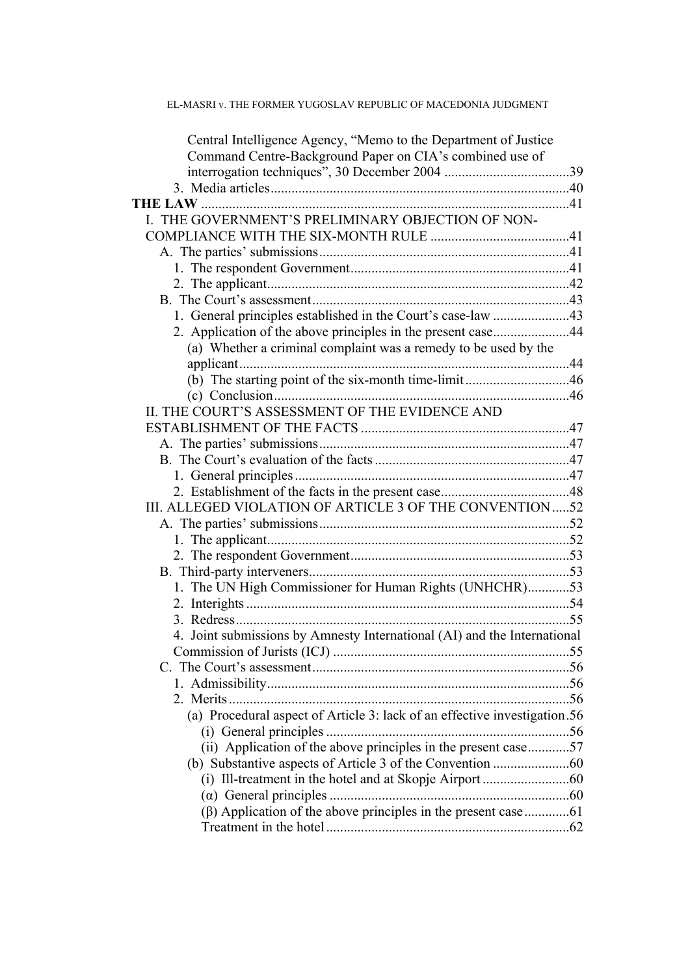| Central Intelligence Agency, "Memo to the Department of Justice           |  |
|---------------------------------------------------------------------------|--|
| Command Centre-Background Paper on CIA's combined use of                  |  |
|                                                                           |  |
|                                                                           |  |
|                                                                           |  |
| THE GOVERNMENT'S PRELIMINARY OBJECTION OF NON-                            |  |
|                                                                           |  |
|                                                                           |  |
|                                                                           |  |
|                                                                           |  |
|                                                                           |  |
| 1. General principles established in the Court's case-law 43              |  |
| 2. Application of the above principles in the present case44              |  |
| (a) Whether a criminal complaint was a remedy to be used by the           |  |
|                                                                           |  |
| (b) The starting point of the six-month time-limit46                      |  |
|                                                                           |  |
| II. THE COURT'S ASSESSMENT OF THE EVIDENCE AND                            |  |
|                                                                           |  |
|                                                                           |  |
|                                                                           |  |
|                                                                           |  |
|                                                                           |  |
| III. ALLEGED VIOLATION OF ARTICLE 3 OF THE CONVENTION52                   |  |
|                                                                           |  |
|                                                                           |  |
|                                                                           |  |
|                                                                           |  |
| 1. The UN High Commissioner for Human Rights (UNHCHR)53                   |  |
|                                                                           |  |
|                                                                           |  |
| 4. Joint submissions by Amnesty International (AI) and the International  |  |
|                                                                           |  |
|                                                                           |  |
|                                                                           |  |
|                                                                           |  |
| (a) Procedural aspect of Article 3: lack of an effective investigation.56 |  |
|                                                                           |  |
| (ii) Application of the above principles in the present case57            |  |
|                                                                           |  |
|                                                                           |  |
|                                                                           |  |
|                                                                           |  |
|                                                                           |  |
|                                                                           |  |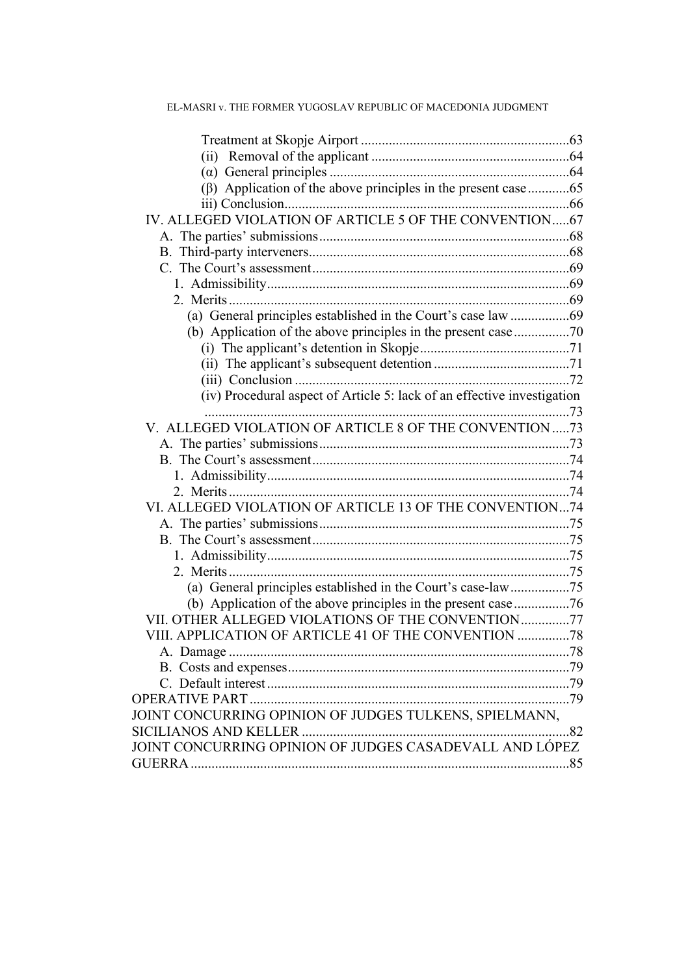| IV. ALLEGED VIOLATION OF ARTICLE 5 OF THE CONVENTION67                  |  |
|-------------------------------------------------------------------------|--|
|                                                                         |  |
|                                                                         |  |
|                                                                         |  |
|                                                                         |  |
|                                                                         |  |
|                                                                         |  |
|                                                                         |  |
|                                                                         |  |
|                                                                         |  |
|                                                                         |  |
| (iv) Procedural aspect of Article 5: lack of an effective investigation |  |
|                                                                         |  |
| V. ALLEGED VIOLATION OF ARTICLE 8 OF THE CONVENTION73                   |  |
|                                                                         |  |
|                                                                         |  |
|                                                                         |  |
|                                                                         |  |
| VI. ALLEGED VIOLATION OF ARTICLE 13 OF THE CONVENTION74                 |  |
|                                                                         |  |
|                                                                         |  |
|                                                                         |  |
|                                                                         |  |
| (a) General principles established in the Court's case-law75            |  |
| (b) Application of the above principles in the present case 76          |  |
| II. OTHER ALLEGED VIOLATIONS OF THE CONVENTION77                        |  |
| VIII. APPLICATION OF ARTICLE 41 OF THE CONVENTION 78                    |  |
|                                                                         |  |
|                                                                         |  |
|                                                                         |  |
|                                                                         |  |
| JOINT CONCURRING OPINION OF JUDGES TULKENS, SPIELMANN,                  |  |
|                                                                         |  |
| JOINT CONCURRING OPINION OF JUDGES CASADEVALL AND LÓPEZ                 |  |
|                                                                         |  |
|                                                                         |  |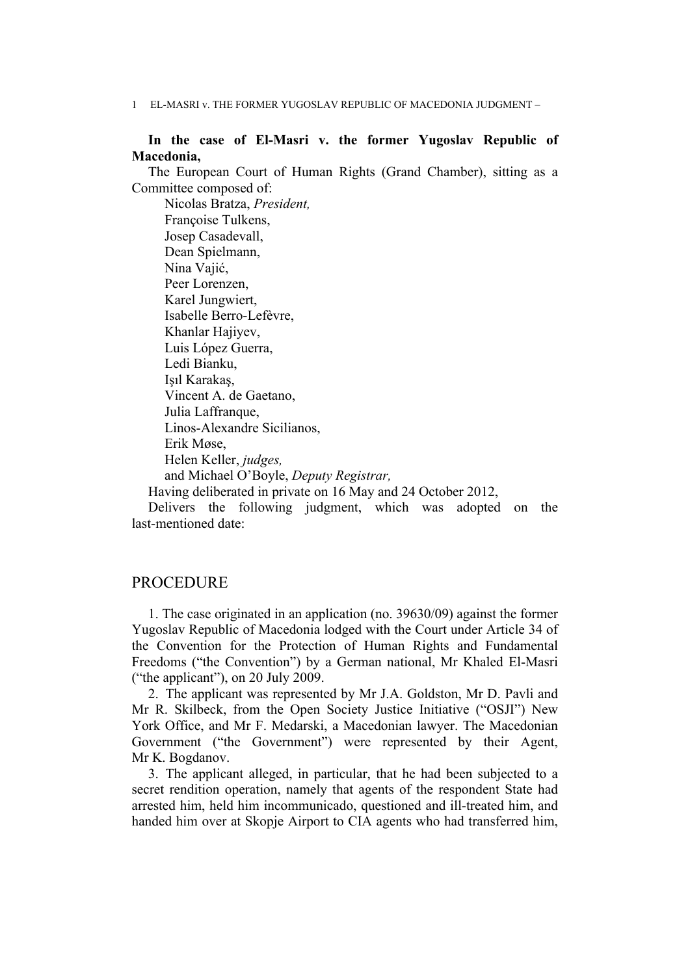# **In the case of El-Masri v. the former Yugoslav Republic of Macedonia,**

The European Court of Human Rights (Grand Chamber), sitting as a Committee composed of:

Nicolas Bratza, *President,* Françoise Tulkens, Josep Casadevall, Dean Spielmann, Nina Vajić, Peer Lorenzen, Karel Jungwiert, Isabelle Berro-Lefèvre, Khanlar Hajiyev, Luis López Guerra, Ledi Bianku, Işıl Karakaş, Vincent A. de Gaetano, Julia Laffranque, Linos-Alexandre Sicilianos, Erik Møse, Helen Keller, *judges,* and Michael O'Boyle, *Deputy Registrar,* Having deliberated in private on 16 May and 24 October 2012,

Delivers the following judgment, which was adopted on the last-mentioned date:

# PROCEDURE

1. The case originated in an application (no. 39630/09) against the former Yugoslav Republic of Macedonia lodged with the Court under Article 34 of the Convention for the Protection of Human Rights and Fundamental Freedoms ("the Convention") by a German national, Mr Khaled El-Masri ("the applicant"), on 20 July 2009.

2. The applicant was represented by Mr J.A. Goldston, Mr D. Pavli and Mr R. Skilbeck, from the Open Society Justice Initiative ("OSJI") New York Office, and Mr F. Medarski, a Macedonian lawyer. The Macedonian Government ("the Government") were represented by their Agent, Mr K. Bogdanov.

3. The applicant alleged, in particular, that he had been subjected to a secret rendition operation, namely that agents of the respondent State had arrested him, held him incommunicado, questioned and ill-treated him, and handed him over at Skopje Airport to CIA agents who had transferred him,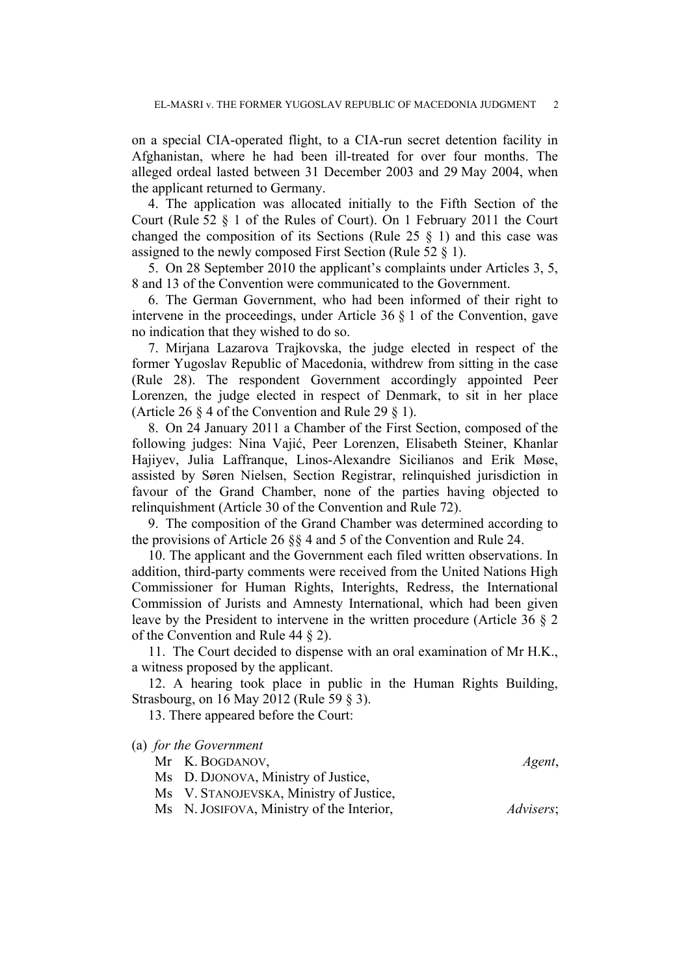on a special CIA-operated flight, to a CIA-run secret detention facility in Afghanistan, where he had been ill-treated for over four months. The alleged ordeal lasted between 31 December 2003 and 29 May 2004, when the applicant returned to Germany.

4. The application was allocated initially to the Fifth Section of the Court (Rule 52 § 1 of the Rules of Court). On 1 February 2011 the Court changed the composition of its Sections (Rule  $25 \t S$  1) and this case was assigned to the newly composed First Section (Rule 52 § 1).

5. On 28 September 2010 the applicant's complaints under Articles 3, 5, 8 and 13 of the Convention were communicated to the Government.

6. The German Government, who had been informed of their right to intervene in the proceedings, under Article 36 § 1 of the Convention, gave no indication that they wished to do so.

7. Mirjana Lazarova Trajkovska, the judge elected in respect of the former Yugoslav Republic of Macedonia, withdrew from sitting in the case (Rule 28). The respondent Government accordingly appointed Peer Lorenzen, the judge elected in respect of Denmark, to sit in her place (Article 26 § 4 of the Convention and Rule 29 § 1).

8. On 24 January 2011 a Chamber of the First Section, composed of the following judges: Nina Vajić, Peer Lorenzen, Elisabeth Steiner, Khanlar Hajiyev, Julia Laffranque, Linos-Alexandre Sicilianos and Erik Møse, assisted by Søren Nielsen, Section Registrar, relinquished jurisdiction in favour of the Grand Chamber, none of the parties having objected to relinquishment (Article 30 of the Convention and Rule 72).

9. The composition of the Grand Chamber was determined according to the provisions of Article 26 §§ 4 and 5 of the Convention and Rule 24.

10. The applicant and the Government each filed written observations. In addition, third-party comments were received from the United Nations High Commissioner for Human Rights, Interights, Redress, the International Commission of Jurists and Amnesty International, which had been given leave by the President to intervene in the written procedure (Article 36 § 2 of the Convention and Rule 44 § 2).

11. The Court decided to dispense with an oral examination of Mr H.K., a witness proposed by the applicant.

12. A hearing took place in public in the Human Rights Building, Strasbourg, on 16 May 2012 (Rule 59 § 3).

13. There appeared before the Court:

| (a) for the Government                    |                   |
|-------------------------------------------|-------------------|
| Mr K. BOGDANOV,                           | Agent,            |
| Ms D. DJONOVA, Ministry of Justice,       |                   |
| Ms V. STANOJEVSKA, Ministry of Justice,   |                   |
| Ms N. JOSIFOVA, Ministry of the Interior, | <i>Advisers</i> ; |
|                                           |                   |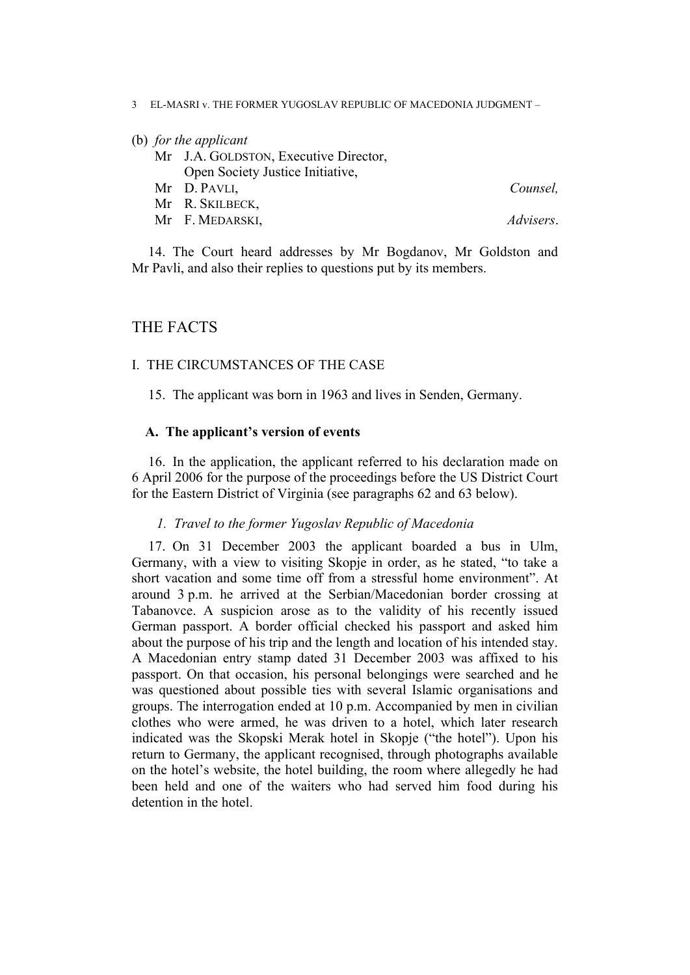# (b) *for the applicant*

- Mr J.A. GOLDSTON, Executive Director, Open Society Justice Initiative,
- Mr D. PAVLI, *Counsel,*

Mr R. SKILBECK, Mr F. MEDARSKI, *Advisers*.

14. The Court heard addresses by Mr Bogdanov, Mr Goldston and Mr Pavli, and also their replies to questions put by its members.

# THE FACTS

# I. THE CIRCUMSTANCES OF THE CASE

15. The applicant was born in 1963 and lives in Senden, Germany.

### **A. The applicant's version of events**

16. In the application, the applicant referred to his declaration made on 6 April 2006 for the purpose of the proceedings before the US District Court for the Eastern District of Virginia (see paragraphs 62 and 63 below).

### *1. Travel to the former Yugoslav Republic of Macedonia*

17. On 31 December 2003 the applicant boarded a bus in Ulm, Germany, with a view to visiting Skopje in order, as he stated, "to take a short vacation and some time off from a stressful home environment". At around 3 p.m. he arrived at the Serbian/Macedonian border crossing at Tabanovce. A suspicion arose as to the validity of his recently issued German passport. A border official checked his passport and asked him about the purpose of his trip and the length and location of his intended stay. A Macedonian entry stamp dated 31 December 2003 was affixed to his passport. On that occasion, his personal belongings were searched and he was questioned about possible ties with several Islamic organisations and groups. The interrogation ended at 10 p.m. Accompanied by men in civilian clothes who were armed, he was driven to a hotel, which later research indicated was the Skopski Merak hotel in Skopje ("the hotel"). Upon his return to Germany, the applicant recognised, through photographs available on the hotel's website, the hotel building, the room where allegedly he had been held and one of the waiters who had served him food during his detention in the hotel.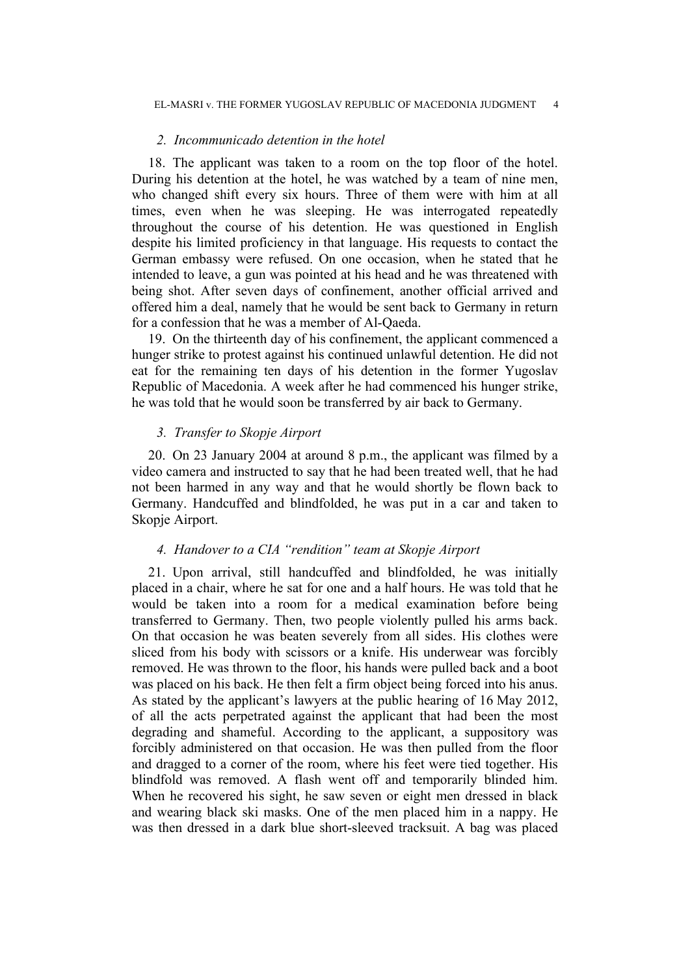### *2. Incommunicado detention in the hotel*

18. The applicant was taken to a room on the top floor of the hotel. During his detention at the hotel, he was watched by a team of nine men, who changed shift every six hours. Three of them were with him at all times, even when he was sleeping. He was interrogated repeatedly throughout the course of his detention. He was questioned in English despite his limited proficiency in that language. His requests to contact the German embassy were refused. On one occasion, when he stated that he intended to leave, a gun was pointed at his head and he was threatened with being shot. After seven days of confinement, another official arrived and offered him a deal, namely that he would be sent back to Germany in return for a confession that he was a member of Al-Qaeda.

19. On the thirteenth day of his confinement, the applicant commenced a hunger strike to protest against his continued unlawful detention. He did not eat for the remaining ten days of his detention in the former Yugoslav Republic of Macedonia. A week after he had commenced his hunger strike, he was told that he would soon be transferred by air back to Germany.

# *3. Transfer to Skopje Airport*

20. On 23 January 2004 at around 8 p.m., the applicant was filmed by a video camera and instructed to say that he had been treated well, that he had not been harmed in any way and that he would shortly be flown back to Germany. Handcuffed and blindfolded, he was put in a car and taken to Skopje Airport.

# *4. Handover to a CIA "rendition" team at Skopje Airport*

21. Upon arrival, still handcuffed and blindfolded, he was initially placed in a chair, where he sat for one and a half hours. He was told that he would be taken into a room for a medical examination before being transferred to Germany. Then, two people violently pulled his arms back. On that occasion he was beaten severely from all sides. His clothes were sliced from his body with scissors or a knife. His underwear was forcibly removed. He was thrown to the floor, his hands were pulled back and a boot was placed on his back. He then felt a firm object being forced into his anus. As stated by the applicant's lawyers at the public hearing of 16 May 2012, of all the acts perpetrated against the applicant that had been the most degrading and shameful. According to the applicant, a suppository was forcibly administered on that occasion. He was then pulled from the floor and dragged to a corner of the room, where his feet were tied together. His blindfold was removed. A flash went off and temporarily blinded him. When he recovered his sight, he saw seven or eight men dressed in black and wearing black ski masks. One of the men placed him in a nappy. He was then dressed in a dark blue short-sleeved tracksuit. A bag was placed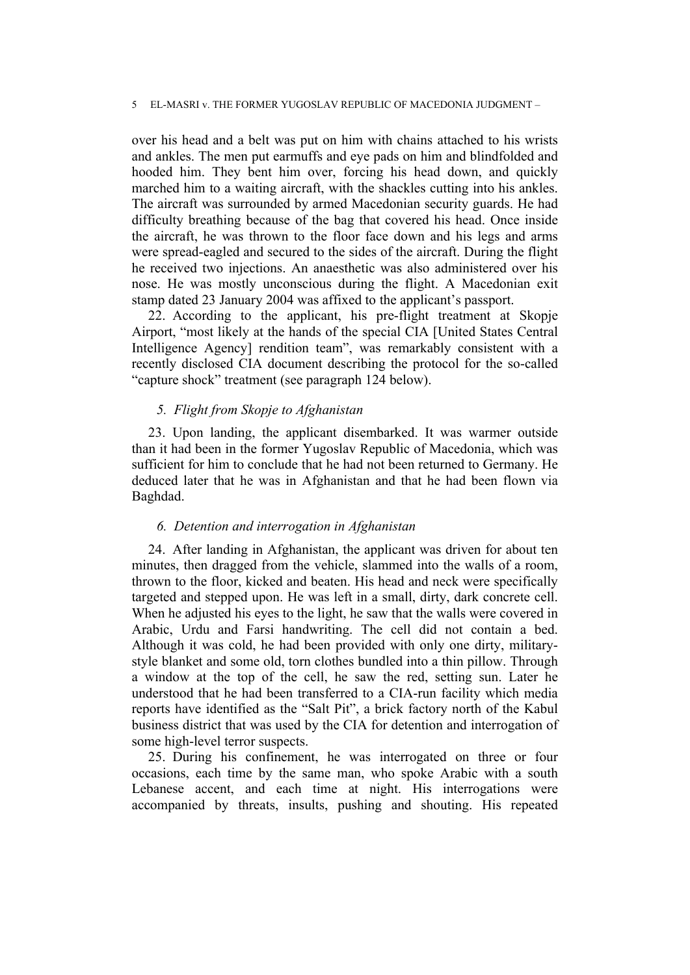over his head and a belt was put on him with chains attached to his wrists and ankles. The men put earmuffs and eye pads on him and blindfolded and hooded him. They bent him over, forcing his head down, and quickly marched him to a waiting aircraft, with the shackles cutting into his ankles. The aircraft was surrounded by armed Macedonian security guards. He had difficulty breathing because of the bag that covered his head. Once inside the aircraft, he was thrown to the floor face down and his legs and arms were spread-eagled and secured to the sides of the aircraft. During the flight he received two injections. An anaesthetic was also administered over his nose. He was mostly unconscious during the flight. A Macedonian exit stamp dated 23 January 2004 was affixed to the applicant's passport.

22. According to the applicant, his pre-flight treatment at Skopje Airport, "most likely at the hands of the special CIA [United States Central Intelligence Agency] rendition team", was remarkably consistent with a recently disclosed CIA document describing the protocol for the so-called "capture shock" treatment (see paragraph 124 below).

# *5. Flight from Skopje to Afghanistan*

23. Upon landing, the applicant disembarked. It was warmer outside than it had been in the former Yugoslav Republic of Macedonia, which was sufficient for him to conclude that he had not been returned to Germany. He deduced later that he was in Afghanistan and that he had been flown via Baghdad.

# *6. Detention and interrogation in Afghanistan*

24. After landing in Afghanistan, the applicant was driven for about ten minutes, then dragged from the vehicle, slammed into the walls of a room, thrown to the floor, kicked and beaten. His head and neck were specifically targeted and stepped upon. He was left in a small, dirty, dark concrete cell. When he adjusted his eyes to the light, he saw that the walls were covered in Arabic, Urdu and Farsi handwriting. The cell did not contain a bed. Although it was cold, he had been provided with only one dirty, militarystyle blanket and some old, torn clothes bundled into a thin pillow. Through a window at the top of the cell, he saw the red, setting sun. Later he understood that he had been transferred to a CIA-run facility which media reports have identified as the "Salt Pit", a brick factory north of the Kabul business district that was used by the CIA for detention and interrogation of some high-level terror suspects.

25. During his confinement, he was interrogated on three or four occasions, each time by the same man, who spoke Arabic with a south Lebanese accent, and each time at night. His interrogations were accompanied by threats, insults, pushing and shouting. His repeated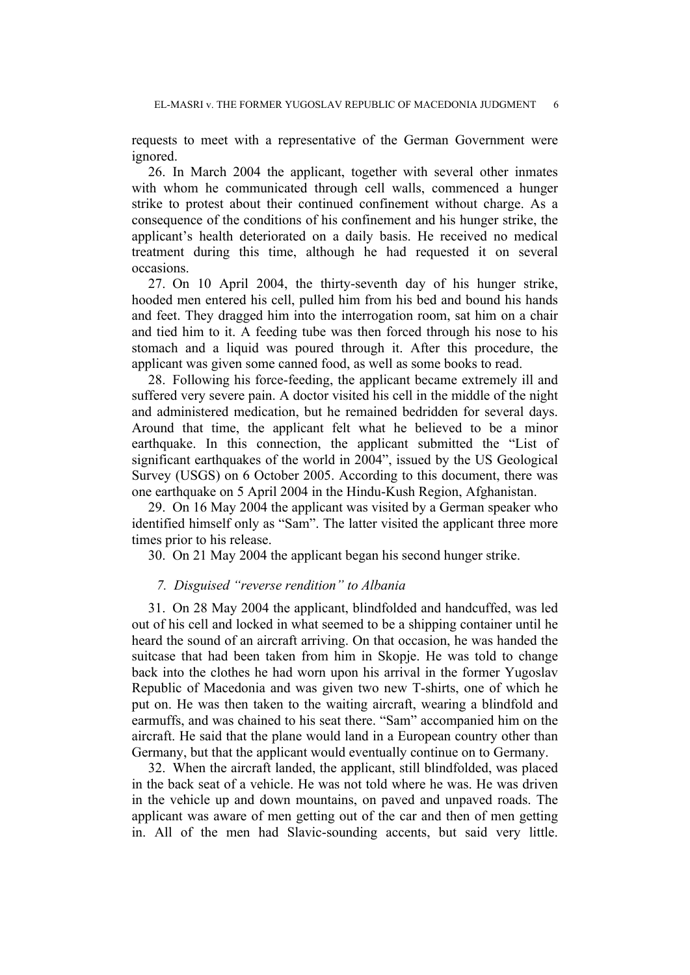requests to meet with a representative of the German Government were ignored.

26. In March 2004 the applicant, together with several other inmates with whom he communicated through cell walls, commenced a hunger strike to protest about their continued confinement without charge. As a consequence of the conditions of his confinement and his hunger strike, the applicant's health deteriorated on a daily basis. He received no medical treatment during this time, although he had requested it on several occasions.

27. On 10 April 2004, the thirty-seventh day of his hunger strike, hooded men entered his cell, pulled him from his bed and bound his hands and feet. They dragged him into the interrogation room, sat him on a chair and tied him to it. A feeding tube was then forced through his nose to his stomach and a liquid was poured through it. After this procedure, the applicant was given some canned food, as well as some books to read.

28. Following his force-feeding, the applicant became extremely ill and suffered very severe pain. A doctor visited his cell in the middle of the night and administered medication, but he remained bedridden for several days. Around that time, the applicant felt what he believed to be a minor earthquake. In this connection, the applicant submitted the "List of significant earthquakes of the world in 2004", issued by the US Geological Survey (USGS) on 6 October 2005. According to this document, there was one earthquake on 5 April 2004 in the Hindu-Kush Region, Afghanistan.

29. On 16 May 2004 the applicant was visited by a German speaker who identified himself only as "Sam". The latter visited the applicant three more times prior to his release.

30. On 21 May 2004 the applicant began his second hunger strike.

### *7. Disguised "reverse rendition" to Albania*

31. On 28 May 2004 the applicant, blindfolded and handcuffed, was led out of his cell and locked in what seemed to be a shipping container until he heard the sound of an aircraft arriving. On that occasion, he was handed the suitcase that had been taken from him in Skopje. He was told to change back into the clothes he had worn upon his arrival in the former Yugoslav Republic of Macedonia and was given two new T-shirts, one of which he put on. He was then taken to the waiting aircraft, wearing a blindfold and earmuffs, and was chained to his seat there. "Sam" accompanied him on the aircraft. He said that the plane would land in a European country other than Germany, but that the applicant would eventually continue on to Germany.

32. When the aircraft landed, the applicant, still blindfolded, was placed in the back seat of a vehicle. He was not told where he was. He was driven in the vehicle up and down mountains, on paved and unpaved roads. The applicant was aware of men getting out of the car and then of men getting in. All of the men had Slavic-sounding accents, but said very little.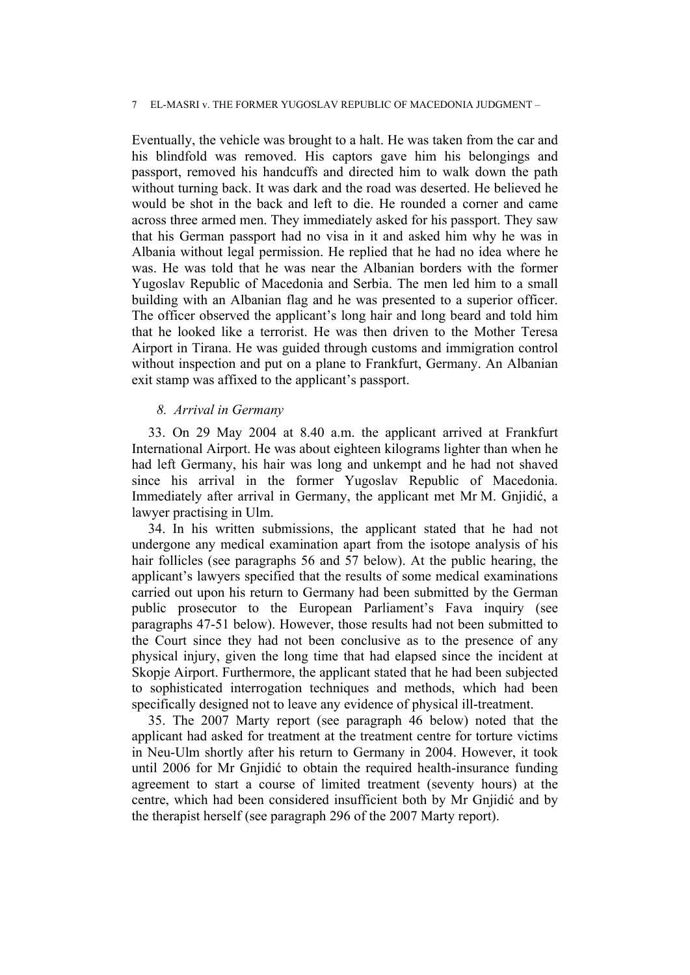Eventually, the vehicle was brought to a halt. He was taken from the car and his blindfold was removed. His captors gave him his belongings and passport, removed his handcuffs and directed him to walk down the path without turning back. It was dark and the road was deserted. He believed he would be shot in the back and left to die. He rounded a corner and came across three armed men. They immediately asked for his passport. They saw that his German passport had no visa in it and asked him why he was in Albania without legal permission. He replied that he had no idea where he was. He was told that he was near the Albanian borders with the former Yugoslav Republic of Macedonia and Serbia. The men led him to a small building with an Albanian flag and he was presented to a superior officer. The officer observed the applicant's long hair and long beard and told him that he looked like a terrorist. He was then driven to the Mother Teresa Airport in Tirana. He was guided through customs and immigration control without inspection and put on a plane to Frankfurt, Germany. An Albanian exit stamp was affixed to the applicant's passport.

# *8. Arrival in Germany*

33. On 29 May 2004 at 8.40 a.m. the applicant arrived at Frankfurt International Airport. He was about eighteen kilograms lighter than when he had left Germany, his hair was long and unkempt and he had not shaved since his arrival in the former Yugoslav Republic of Macedonia. Immediately after arrival in Germany, the applicant met Mr M. Gnjidić, a lawyer practising in Ulm.

34. In his written submissions, the applicant stated that he had not undergone any medical examination apart from the isotope analysis of his hair follicles (see paragraphs 56 and 57 below). At the public hearing, the applicant's lawyers specified that the results of some medical examinations carried out upon his return to Germany had been submitted by the German public prosecutor to the European Parliament's Fava inquiry (see paragraphs 47-51 below). However, those results had not been submitted to the Court since they had not been conclusive as to the presence of any physical injury, given the long time that had elapsed since the incident at Skopje Airport. Furthermore, the applicant stated that he had been subjected to sophisticated interrogation techniques and methods, which had been specifically designed not to leave any evidence of physical ill-treatment.

35. The 2007 Marty report (see paragraph 46 below) noted that the applicant had asked for treatment at the treatment centre for torture victims in Neu-Ulm shortly after his return to Germany in 2004. However, it took until 2006 for Mr Gnjidić to obtain the required health-insurance funding agreement to start a course of limited treatment (seventy hours) at the centre, which had been considered insufficient both by Mr Gnjidić and by the therapist herself (see paragraph 296 of the 2007 Marty report).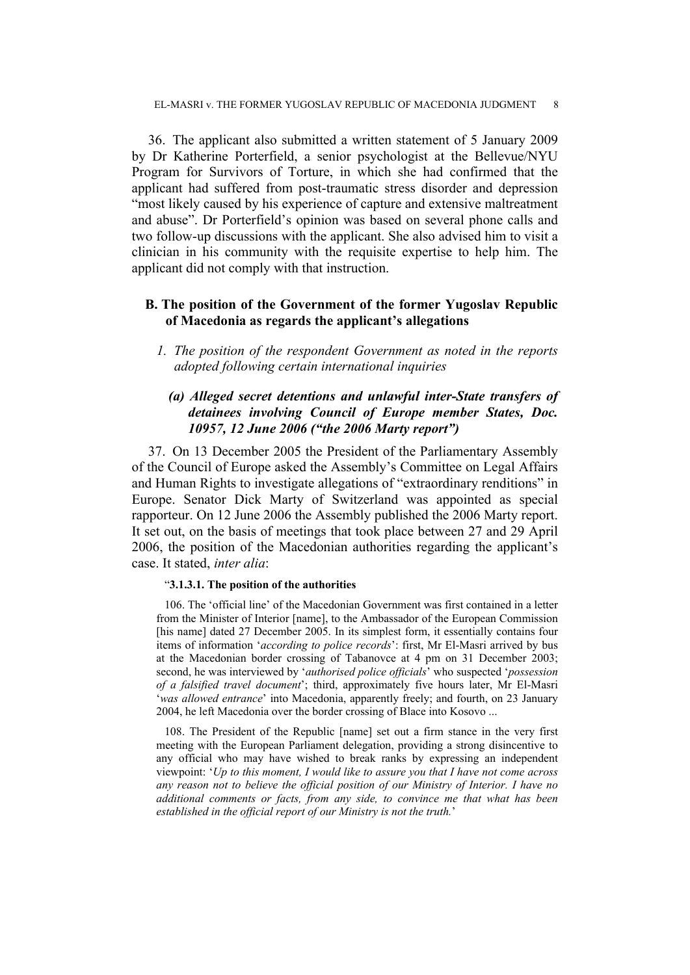36. The applicant also submitted a written statement of 5 January 2009 by Dr Katherine Porterfield, a senior psychologist at the Bellevue/NYU Program for Survivors of Torture, in which she had confirmed that the applicant had suffered from post-traumatic stress disorder and depression "most likely caused by his experience of capture and extensive maltreatment and abuse". Dr Porterfield's opinion was based on several phone calls and two follow-up discussions with the applicant. She also advised him to visit a clinician in his community with the requisite expertise to help him. The applicant did not comply with that instruction.

# **B. The position of the Government of the former Yugoslav Republic of Macedonia as regards the applicant's allegations**

*1. The position of the respondent Government as noted in the reports adopted following certain international inquiries*

# *(a) Alleged secret detentions and unlawful inter-State transfers of detainees involving Council of Europe member States, Doc. 10957, 12 June 2006 ("the 2006 Marty report")*

37. On 13 December 2005 the President of the Parliamentary Assembly of the Council of Europe asked the Assembly's Committee on Legal Affairs and Human Rights to investigate allegations of "extraordinary renditions" in Europe. Senator Dick Marty of Switzerland was appointed as special rapporteur. On 12 June 2006 the Assembly published the 2006 Marty report. It set out, on the basis of meetings that took place between 27 and 29 April 2006, the position of the Macedonian authorities regarding the applicant's case. It stated, *inter alia*:

### "**3.1.3.1. The position of the authorities**

106. The 'official line' of the Macedonian Government was first contained in a letter from the Minister of Interior [name], to the Ambassador of the European Commission [his name] dated 27 December 2005. In its simplest form, it essentially contains four items of information '*according to police records*': first, Mr El-Masri arrived by bus at the Macedonian border crossing of Tabanovce at 4 pm on 31 December 2003; second, he was interviewed by '*authorised police officials*' who suspected '*possession of a falsified travel document*'; third, approximately five hours later, Mr El-Masri '*was allowed entrance*' into Macedonia, apparently freely; and fourth, on 23 January 2004, he left Macedonia over the border crossing of Blace into Kosovo ...

108. The President of the Republic [name] set out a firm stance in the very first meeting with the European Parliament delegation, providing a strong disincentive to any official who may have wished to break ranks by expressing an independent viewpoint: '*Up to this moment, I would like to assure you that I have not come across any reason not to believe the official position of our Ministry of Interior. I have no additional comments or facts, from any side, to convince me that what has been established in the official report of our Ministry is not the truth.*'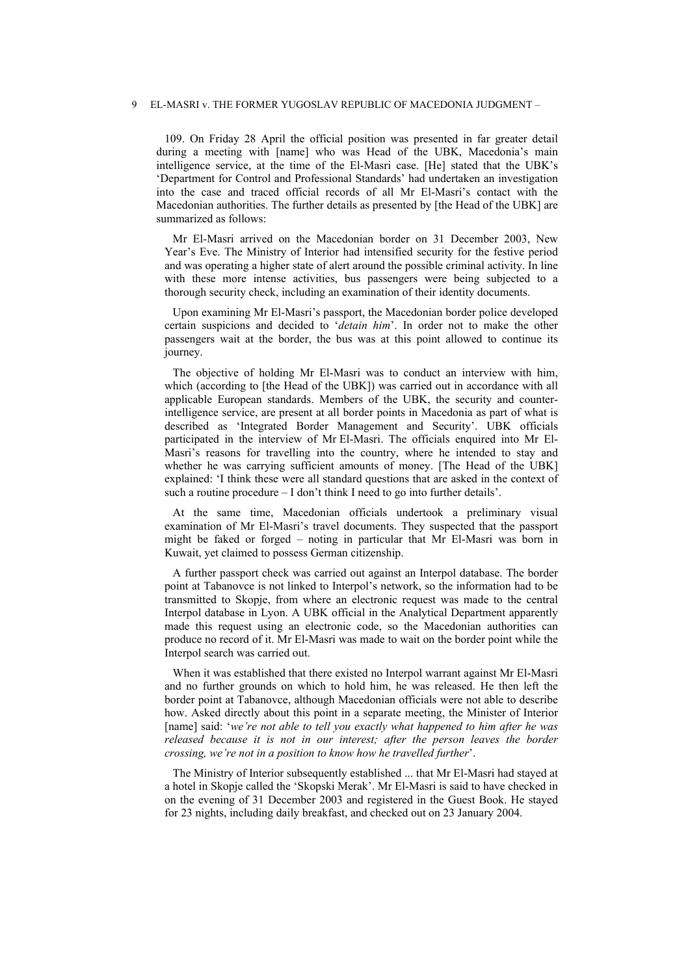109. On Friday 28 April the official position was presented in far greater detail during a meeting with [name] who was Head of the UBK, Macedonia's main intelligence service, at the time of the El-Masri case. [He] stated that the UBK's 'Department for Control and Professional Standards' had undertaken an investigation into the case and traced official records of all Mr El-Masri's contact with the Macedonian authorities. The further details as presented by [the Head of the UBK] are summarized as follows:

Mr El-Masri arrived on the Macedonian border on 31 December 2003, New Year's Eve. The Ministry of Interior had intensified security for the festive period and was operating a higher state of alert around the possible criminal activity. In line with these more intense activities, bus passengers were being subjected to a thorough security check, including an examination of their identity documents.

Upon examining Mr El-Masri's passport, the Macedonian border police developed certain suspicions and decided to '*detain him*'. In order not to make the other passengers wait at the border, the bus was at this point allowed to continue its journey.

The objective of holding Mr El-Masri was to conduct an interview with him, which (according to [the Head of the UBK]) was carried out in accordance with all applicable European standards. Members of the UBK, the security and counterintelligence service, are present at all border points in Macedonia as part of what is described as 'Integrated Border Management and Security'. UBK officials participated in the interview of Mr El-Masri. The officials enquired into Mr El-Masri's reasons for travelling into the country, where he intended to stay and whether he was carrying sufficient amounts of money. [The Head of the UBK] explained: 'I think these were all standard questions that are asked in the context of such a routine procedure – I don't think I need to go into further details'.

At the same time, Macedonian officials undertook a preliminary visual examination of Mr El-Masri's travel documents. They suspected that the passport might be faked or forged – noting in particular that Mr El-Masri was born in Kuwait, yet claimed to possess German citizenship.

A further passport check was carried out against an Interpol database. The border point at Tabanovce is not linked to Interpol's network, so the information had to be transmitted to Skopje, from where an electronic request was made to the central Interpol database in Lyon. A UBK official in the Analytical Department apparently made this request using an electronic code, so the Macedonian authorities can produce no record of it. Mr El-Masri was made to wait on the border point while the Interpol search was carried out.

When it was established that there existed no Interpol warrant against Mr El-Masri and no further grounds on which to hold him, he was released. He then left the border point at Tabanovce, although Macedonian officials were not able to describe how. Asked directly about this point in a separate meeting, the Minister of Interior [name] said: '*we're not able to tell you exactly what happened to him after he was released because it is not in our interest; after the person leaves the border crossing, we're not in a position to know how he travelled further*'.

The Ministry of Interior subsequently established ... that Mr El-Masri had stayed at a hotel in Skopje called the 'Skopski Merak'. Mr El-Masri is said to have checked in on the evening of 31 December 2003 and registered in the Guest Book. He stayed for 23 nights, including daily breakfast, and checked out on 23 January 2004.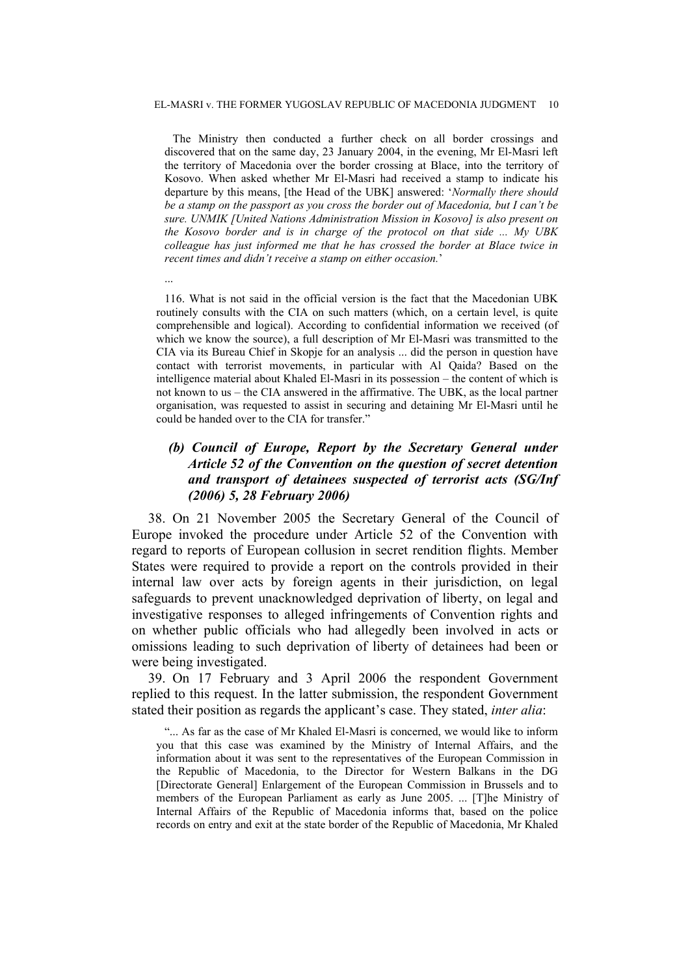The Ministry then conducted a further check on all border crossings and discovered that on the same day, 23 January 2004, in the evening, Mr El-Masri left the territory of Macedonia over the border crossing at Blace, into the territory of Kosovo. When asked whether Mr El-Masri had received a stamp to indicate his departure by this means, [the Head of the UBK] answered: '*Normally there should be a stamp on the passport as you cross the border out of Macedonia, but I can't be sure. UNMIK [United Nations Administration Mission in Kosovo] is also present on the Kosovo border and is in charge of the protocol on that side ... My UBK colleague has just informed me that he has crossed the border at Blace twice in recent times and didn't receive a stamp on either occasion.*'

116. What is not said in the official version is the fact that the Macedonian UBK routinely consults with the CIA on such matters (which, on a certain level, is quite comprehensible and logical). According to confidential information we received (of which we know the source), a full description of Mr El-Masri was transmitted to the CIA via its Bureau Chief in Skopje for an analysis ... did the person in question have contact with terrorist movements, in particular with Al Qaida? Based on the intelligence material about Khaled El-Masri in its possession – the content of which is not known to us – the CIA answered in the affirmative. The UBK, as the local partner organisation, was requested to assist in securing and detaining Mr El-Masri until he could be handed over to the CIA for transfer."

...

# *(b) Council of Europe, Report by the Secretary General under Article 52 of the Convention on the question of secret detention and transport of detainees suspected of terrorist acts (SG/Inf (2006) 5, 28 February 2006)*

38. On 21 November 2005 the Secretary General of the Council of Europe invoked the procedure under Article 52 of the Convention with regard to reports of European collusion in secret rendition flights. Member States were required to provide a report on the controls provided in their internal law over acts by foreign agents in their jurisdiction, on legal safeguards to prevent unacknowledged deprivation of liberty, on legal and investigative responses to alleged infringements of Convention rights and on whether public officials who had allegedly been involved in acts or omissions leading to such deprivation of liberty of detainees had been or were being investigated.

39. On 17 February and 3 April 2006 the respondent Government replied to this request. In the latter submission, the respondent Government stated their position as regards the applicant's case. They stated, *inter alia*:

"... As far as the case of Mr Khaled El-Masri is concerned, we would like to inform you that this case was examined by the Ministry of Internal Affairs, and the information about it was sent to the representatives of the European Commission in the Republic of Macedonia, to the Director for Western Balkans in the DG [Directorate General] Enlargement of the European Commission in Brussels and to members of the European Parliament as early as June 2005. ... [T]he Ministry of Internal Affairs of the Republic of Macedonia informs that, based on the police records on entry and exit at the state border of the Republic of Macedonia, Mr Khaled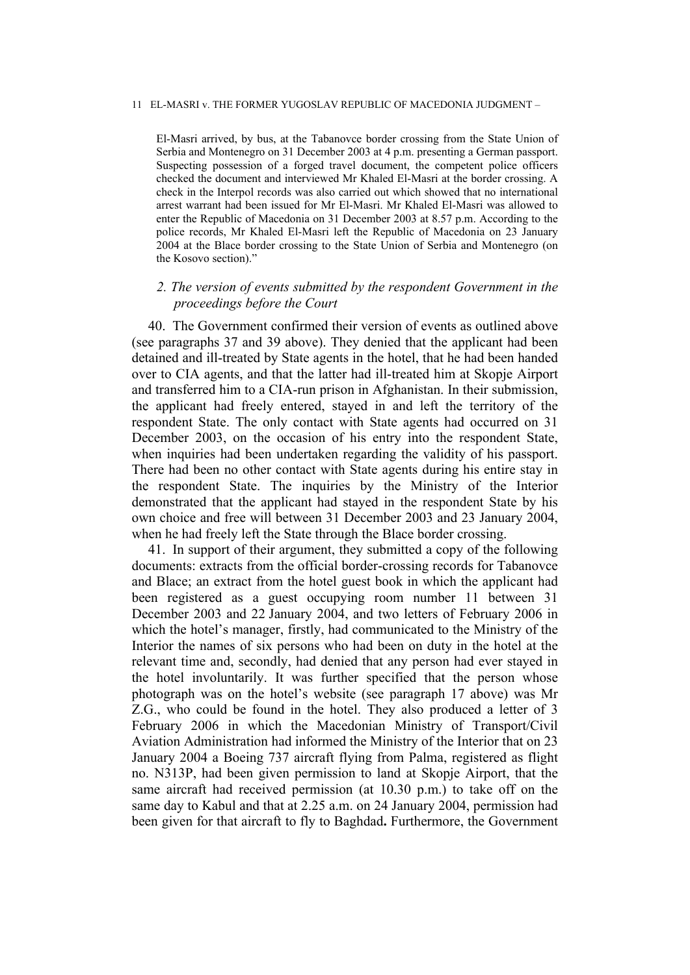El-Masri arrived, by bus, at the Tabanovce border crossing from the State Union of Serbia and Montenegro on 31 December 2003 at 4 p.m. presenting a German passport. Suspecting possession of a forged travel document, the competent police officers checked the document and interviewed Mr Khaled El-Masri at the border crossing. A check in the Interpol records was also carried out which showed that no international arrest warrant had been issued for Mr El-Masri. Mr Khaled El-Masri was allowed to enter the Republic of Macedonia on 31 December 2003 at 8.57 p.m. According to the police records, Mr Khaled El-Masri left the Republic of Macedonia on 23 January 2004 at the Blace border crossing to the State Union of Serbia and Montenegro (on the Kosovo section)."

# *2. The version of events submitted by the respondent Government in the proceedings before the Court*

40. The Government confirmed their version of events as outlined above (see paragraphs 37 and 39 above). They denied that the applicant had been detained and ill-treated by State agents in the hotel, that he had been handed over to CIA agents, and that the latter had ill-treated him at Skopje Airport and transferred him to a CIA-run prison in Afghanistan. In their submission, the applicant had freely entered, stayed in and left the territory of the respondent State. The only contact with State agents had occurred on 31 December 2003, on the occasion of his entry into the respondent State, when inquiries had been undertaken regarding the validity of his passport. There had been no other contact with State agents during his entire stay in the respondent State. The inquiries by the Ministry of the Interior demonstrated that the applicant had stayed in the respondent State by his own choice and free will between 31 December 2003 and 23 January 2004, when he had freely left the State through the Blace border crossing.

41. In support of their argument, they submitted a copy of the following documents: extracts from the official border-crossing records for Tabanovce and Blace; an extract from the hotel guest book in which the applicant had been registered as a guest occupying room number 11 between 31 December 2003 and 22 January 2004, and two letters of February 2006 in which the hotel's manager, firstly, had communicated to the Ministry of the Interior the names of six persons who had been on duty in the hotel at the relevant time and, secondly, had denied that any person had ever stayed in the hotel involuntarily. It was further specified that the person whose photograph was on the hotel's website (see paragraph 17 above) was Mr Z.G., who could be found in the hotel. They also produced a letter of 3 February 2006 in which the Macedonian Ministry of Transport/Civil Aviation Administration had informed the Ministry of the Interior that on 23 January 2004 a Boeing 737 aircraft flying from Palma, registered as flight no. N313P, had been given permission to land at Skopje Airport, that the same aircraft had received permission (at 10.30 p.m.) to take off on the same day to Kabul and that at 2.25 a.m. on 24 January 2004, permission had been given for that aircraft to fly to Baghdad**.** Furthermore, the Government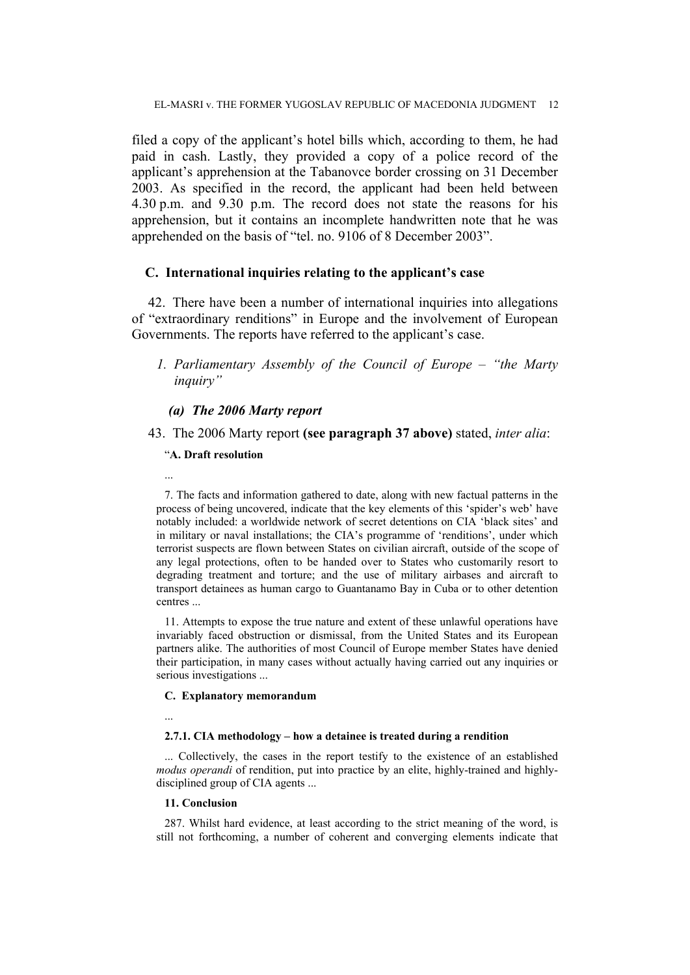filed a copy of the applicant's hotel bills which, according to them, he had paid in cash. Lastly, they provided a copy of a police record of the applicant's apprehension at the Tabanovce border crossing on 31 December 2003. As specified in the record, the applicant had been held between 4.30 p.m. and 9.30 p.m. The record does not state the reasons for his apprehension, but it contains an incomplete handwritten note that he was apprehended on the basis of "tel. no. 9106 of 8 December 2003".

# **C. International inquiries relating to the applicant's case**

42. There have been a number of international inquiries into allegations of "extraordinary renditions" in Europe and the involvement of European Governments. The reports have referred to the applicant's case.

*1. Parliamentary Assembly of the Council of Europe – "the Marty inquiry"*

### *(a) The 2006 Marty report*

### 43. The 2006 Marty report **(see paragraph 37 above)** stated, *inter alia*:

#### "**A. Draft resolution**

...

7. The facts and information gathered to date, along with new factual patterns in the process of being uncovered, indicate that the key elements of this 'spider's web' have notably included: a worldwide network of secret detentions on CIA 'black sites' and in military or naval installations; the CIA's programme of 'renditions', under which terrorist suspects are flown between States on civilian aircraft, outside of the scope of any legal protections, often to be handed over to States who customarily resort to degrading treatment and torture; and the use of military airbases and aircraft to transport detainees as human cargo to Guantanamo Bay in Cuba or to other detention centres ...

11. Attempts to expose the true nature and extent of these unlawful operations have invariably faced obstruction or dismissal, from the United States and its European partners alike. The authorities of most Council of Europe member States have denied their participation, in many cases without actually having carried out any inquiries or serious investigations ...

#### **C. Explanatory memorandum**

...

#### **2.7.1. CIA methodology – how a detainee is treated during a rendition**

... Collectively, the cases in the report testify to the existence of an established *modus operandi* of rendition, put into practice by an elite, highly-trained and highlydisciplined group of CIA agents ...

### **11. Conclusion**

287. Whilst hard evidence, at least according to the strict meaning of the word, is still not forthcoming, a number of coherent and converging elements indicate that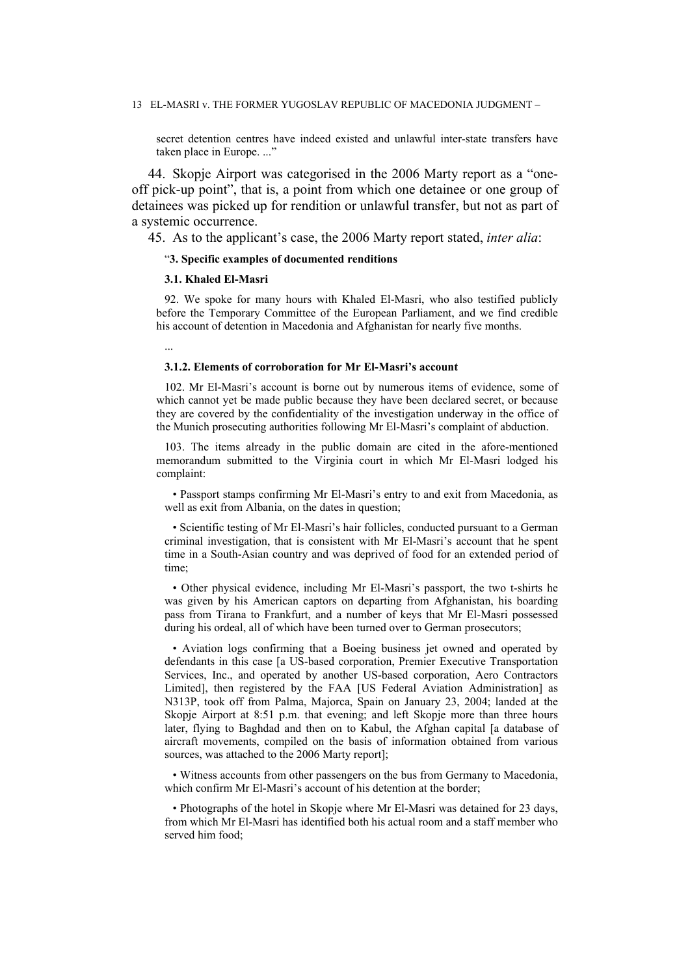secret detention centres have indeed existed and unlawful inter-state transfers have taken place in Europe...."

44. Skopie Airport was categorised in the 2006 Marty report as a "oneoff pick-up point", that is, a point from which one detainee or one group of detainees was picked up for rendition or unlawful transfer, but not as part of a systemic occurrence.

45. As to the applicant's case, the 2006 Marty report stated, *inter alia*:

#### "**3. Specific examples of documented renditions**

#### **3.1. Khaled El-Masri**

92. We spoke for many hours with Khaled El-Masri, who also testified publicly before the Temporary Committee of the European Parliament, and we find credible his account of detention in Macedonia and Afghanistan for nearly five months.

...

#### **3.1.2. Elements of corroboration for Mr El-Masri's account**

102. Mr El-Masri's account is borne out by numerous items of evidence, some of which cannot yet be made public because they have been declared secret, or because they are covered by the confidentiality of the investigation underway in the office of the Munich prosecuting authorities following Mr El-Masri's complaint of abduction.

103. The items already in the public domain are cited in the afore-mentioned memorandum submitted to the Virginia court in which Mr El-Masri lodged his complaint:

• Passport stamps confirming Mr El-Masri's entry to and exit from Macedonia, as well as exit from Albania, on the dates in question;

• Scientific testing of Mr El-Masri's hair follicles, conducted pursuant to a German criminal investigation, that is consistent with Mr El-Masri's account that he spent time in a South-Asian country and was deprived of food for an extended period of time;

• Other physical evidence, including Mr El-Masri's passport, the two t-shirts he was given by his American captors on departing from Afghanistan, his boarding pass from Tirana to Frankfurt, and a number of keys that Mr El-Masri possessed during his ordeal, all of which have been turned over to German prosecutors;

• Aviation logs confirming that a Boeing business jet owned and operated by defendants in this case [a US-based corporation, Premier Executive Transportation Services, Inc., and operated by another US-based corporation, Aero Contractors Limited], then registered by the FAA [US Federal Aviation Administration] as N313P, took off from Palma, Majorca, Spain on January 23, 2004; landed at the Skopje Airport at 8:51 p.m. that evening; and left Skopje more than three hours later, flying to Baghdad and then on to Kabul, the Afghan capital [a database of aircraft movements, compiled on the basis of information obtained from various sources, was attached to the 2006 Marty report];

• Witness accounts from other passengers on the bus from Germany to Macedonia, which confirm Mr El-Masri's account of his detention at the border;

• Photographs of the hotel in Skopje where Mr El-Masri was detained for 23 days, from which Mr El-Masri has identified both his actual room and a staff member who served him food;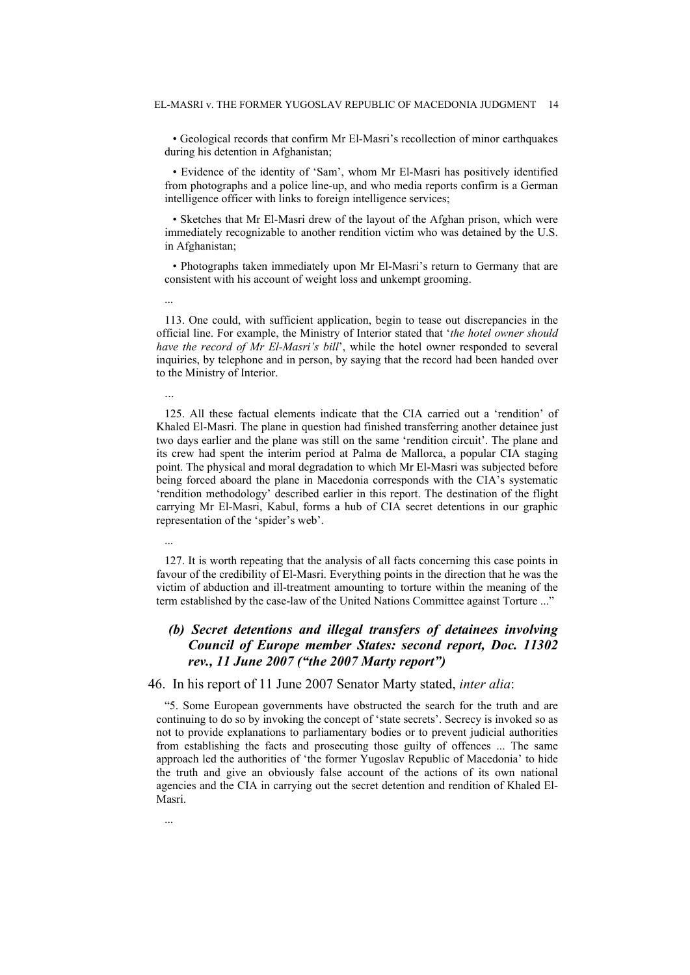• Geological records that confirm Mr El-Masri's recollection of minor earthquakes during his detention in Afghanistan;

• Evidence of the identity of 'Sam', whom Mr El-Masri has positively identified from photographs and a police line-up, and who media reports confirm is a German intelligence officer with links to foreign intelligence services;

• Sketches that Mr El-Masri drew of the layout of the Afghan prison, which were immediately recognizable to another rendition victim who was detained by the U.S. in Afghanistan;

• Photographs taken immediately upon Mr El-Masri's return to Germany that are consistent with his account of weight loss and unkempt grooming.

113. One could, with sufficient application, begin to tease out discrepancies in the official line. For example, the Ministry of Interior stated that '*the hotel owner should have the record of Mr El-Masri's bill*', while the hotel owner responded to several inquiries, by telephone and in person, by saying that the record had been handed over to the Ministry of Interior.

...

...

125. All these factual elements indicate that the CIA carried out a 'rendition' of Khaled El-Masri. The plane in question had finished transferring another detainee just two days earlier and the plane was still on the same 'rendition circuit'. The plane and its crew had spent the interim period at Palma de Mallorca, a popular CIA staging point. The physical and moral degradation to which Mr El-Masri was subjected before being forced aboard the plane in Macedonia corresponds with the CIA's systematic 'rendition methodology' described earlier in this report. The destination of the flight carrying Mr El-Masri, Kabul, forms a hub of CIA secret detentions in our graphic representation of the 'spider's web'.

...

127. It is worth repeating that the analysis of all facts concerning this case points in favour of the credibility of El-Masri. Everything points in the direction that he was the victim of abduction and ill-treatment amounting to torture within the meaning of the term established by the case-law of the United Nations Committee against Torture ..."

# *(b) Secret detentions and illegal transfers of detainees involving Council of Europe member States: second report, Doc. 11302 rev., 11 June 2007 ("the 2007 Marty report")*

46. In his report of 11 June 2007 Senator Marty stated, *inter alia*:

"5. Some European governments have obstructed the search for the truth and are continuing to do so by invoking the concept of 'state secrets'. Secrecy is invoked so as not to provide explanations to parliamentary bodies or to prevent judicial authorities from establishing the facts and prosecuting those guilty of offences ... The same approach led the authorities of 'the former Yugoslav Republic of Macedonia' to hide the truth and give an obviously false account of the actions of its own national agencies and the CIA in carrying out the secret detention and rendition of Khaled El-Masri.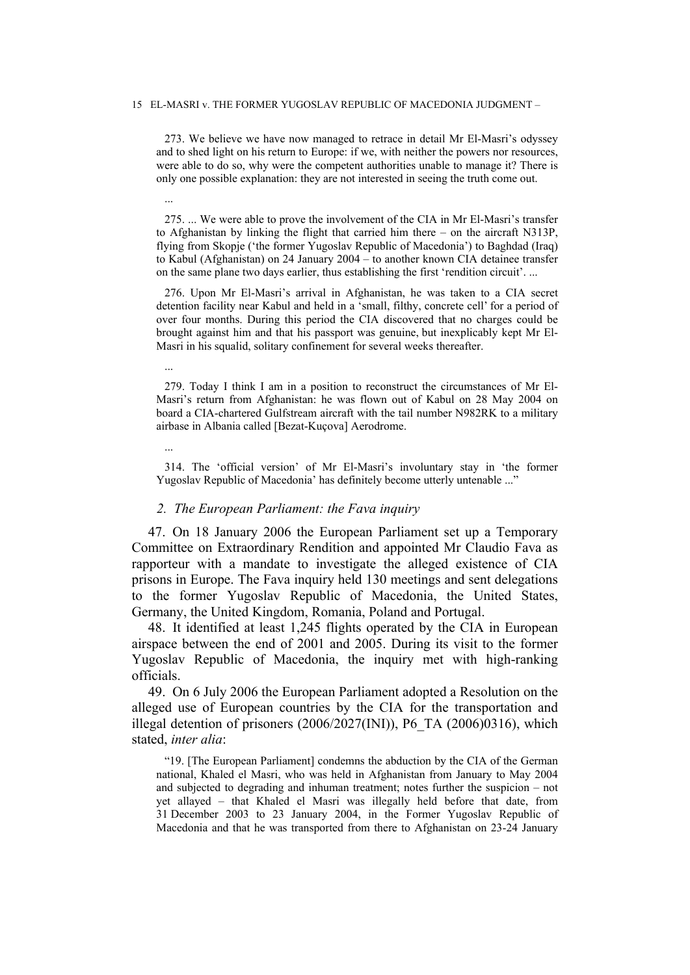273. We believe we have now managed to retrace in detail Mr El-Masri's odyssey and to shed light on his return to Europe: if we, with neither the powers nor resources, were able to do so, why were the competent authorities unable to manage it? There is only one possible explanation: they are not interested in seeing the truth come out.

275. ... We were able to prove the involvement of the CIA in Mr El-Masri's transfer to Afghanistan by linking the flight that carried him there – on the aircraft N313P, flying from Skopje ('the former Yugoslav Republic of Macedonia') to Baghdad (Iraq) to Kabul (Afghanistan) on 24 January 2004 – to another known CIA detainee transfer on the same plane two days earlier, thus establishing the first 'rendition circuit'. ...

276. Upon Mr El-Masri's arrival in Afghanistan, he was taken to a CIA secret detention facility near Kabul and held in a 'small, filthy, concrete cell' for a period of over four months. During this period the CIA discovered that no charges could be brought against him and that his passport was genuine, but inexplicably kept Mr El-Masri in his squalid, solitary confinement for several weeks thereafter.

...

...

279. Today I think I am in a position to reconstruct the circumstances of Mr El-Masri's return from Afghanistan: he was flown out of Kabul on 28 May 2004 on board a CIA-chartered Gulfstream aircraft with the tail number N982RK to a military airbase in Albania called [Bezat-Kuçova] Aerodrome.

...

314. The 'official version' of Mr El-Masri's involuntary stay in 'the former Yugoslav Republic of Macedonia' has definitely become utterly untenable ..."

#### *2. The European Parliament: the Fava inquiry*

47. On 18 January 2006 the European Parliament set up a Temporary Committee on Extraordinary Rendition and appointed Mr Claudio Fava as rapporteur with a mandate to investigate the alleged existence of CIA prisons in Europe. The Fava inquiry held 130 meetings and sent delegations to the former Yugoslav Republic of Macedonia, the United States, Germany, the United Kingdom, Romania, Poland and Portugal.

48. It identified at least 1,245 flights operated by the CIA in European airspace between the end of 2001 and 2005. During its visit to the former Yugoslav Republic of Macedonia, the inquiry met with high-ranking officials.

49. On 6 July 2006 the European Parliament adopted a Resolution on the alleged use of European countries by the CIA for the transportation and illegal detention of prisoners (2006/2027(INI)), P6\_TA (2006)0316), which stated, *inter alia*:

"19. [The European Parliament] condemns the abduction by the CIA of the German national, Khaled el Masri, who was held in Afghanistan from January to May 2004 and subjected to degrading and inhuman treatment; notes further the suspicion – not yet allayed – that Khaled el Masri was illegally held before that date, from 31 December 2003 to 23 January 2004, in the Former Yugoslav Republic of Macedonia and that he was transported from there to Afghanistan on 23-24 January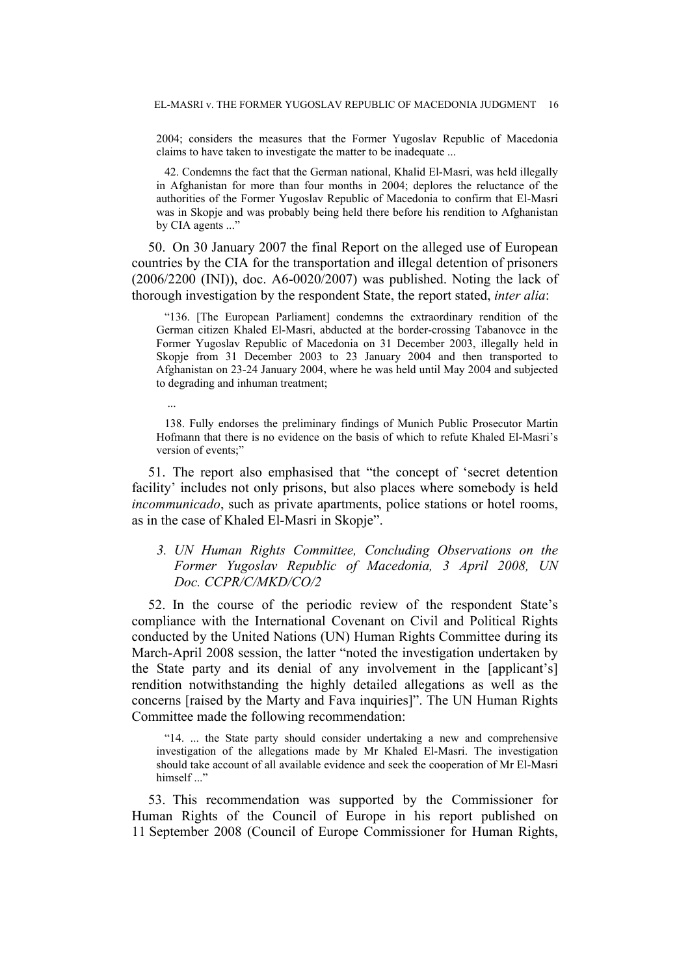2004; considers the measures that the Former Yugoslav Republic of Macedonia claims to have taken to investigate the matter to be inadequate ...

42. Condemns the fact that the German national, Khalid El-Masri, was held illegally in Afghanistan for more than four months in 2004; deplores the reluctance of the authorities of the Former Yugoslav Republic of Macedonia to confirm that El-Masri was in Skopje and was probably being held there before his rendition to Afghanistan by CIA agents ..."

50. On 30 January 2007 the final Report on the alleged use of European countries by the CIA for the transportation and illegal detention of prisoners (2006/2200 (INI)), doc. A6-0020/2007) was published. Noting the lack of thorough investigation by the respondent State, the report stated, *inter alia*:

"136. [The European Parliament] condemns the extraordinary rendition of the German citizen Khaled El-Masri, abducted at the border-crossing Tabanovce in the Former Yugoslav Republic of Macedonia on 31 December 2003, illegally held in Skopje from 31 December 2003 to 23 January 2004 and then transported to Afghanistan on 23-24 January 2004, where he was held until May 2004 and subjected to degrading and inhuman treatment;

...

138. Fully endorses the preliminary findings of Munich Public Prosecutor Martin Hofmann that there is no evidence on the basis of which to refute Khaled El-Masri's version of events;"

51. The report also emphasised that "the concept of 'secret detention facility' includes not only prisons, but also places where somebody is held *incommunicado*, such as private apartments, police stations or hotel rooms, as in the case of Khaled El-Masri in Skopje".

# *3. UN Human Rights Committee, Concluding Observations on the Former Yugoslav Republic of Macedonia, 3 April 2008, UN Doc. ССРR/С/МKD/СO/2*

52. In the course of the periodic review of the respondent State's compliance with the International Covenant on Civil and Political Rights conducted by the United Nations (UN) Human Rights Committee during its March-April 2008 session, the latter "noted the investigation undertaken by the State party and its denial of any involvement in the [applicant's] rendition notwithstanding the highly detailed allegations as well as the concerns [raised by the Marty and Fava inquiries]". The UN Human Rights Committee made the following recommendation:

"14. ... the State party should consider undertaking a new and comprehensive investigation of the allegations made by Mr Khaled El-Masri. The investigation should take account of all available evidence and seek the cooperation of Mr El-Masri himself ..."

53. This recommendation was supported by the Commissioner for Human Rights of the Council of Europe in his report published on 11 September 2008 (Council of Europe Commissioner for Human Rights,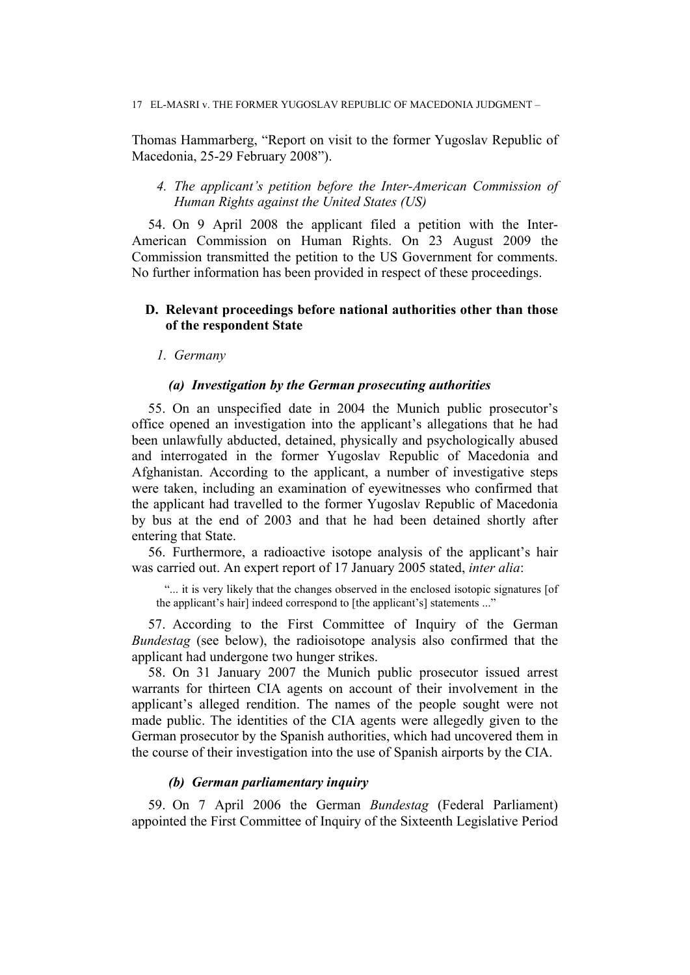Thomas Hammarberg, "Report on visit to the former Yugoslav Republic of Macedonia, 25-29 February 2008").

# *4. The applicant's petition before the Inter-American Commission of Human Rights against the United States (US)*

54. On 9 April 2008 the applicant filed a petition with the Inter-American Commission on Human Rights. On 23 August 2009 the Commission transmitted the petition to the US Government for comments. No further information has been provided in respect of these proceedings.

# **D. Relevant proceedings before national authorities other than those of the respondent State**

### *1. Germany*

# *(a) Investigation by the German prosecuting authorities*

55. On an unspecified date in 2004 the Munich public prosecutor's office opened an investigation into the applicant's allegations that he had been unlawfully abducted, detained, physically and psychologically abused and interrogated in the former Yugoslav Republic of Macedonia and Afghanistan. According to the applicant, a number of investigative steps were taken, including an examination of eyewitnesses who confirmed that the applicant had travelled to the former Yugoslav Republic of Macedonia by bus at the end of 2003 and that he had been detained shortly after entering that State.

56. Furthermore, a radioactive isotope analysis of the applicant's hair was carried out. An expert report of 17 January 2005 stated, *inter alia*:

"... it is very likely that the changes observed in the enclosed isotopic signatures [of the applicant's hair] indeed correspond to [the applicant's] statements ..."

57. According to the First Committee of Inquiry of the German *Bundestag* (see below), the radioisotope analysis also confirmed that the applicant had undergone two hunger strikes.

58. On 31 January 2007 the Munich public prosecutor issued arrest warrants for thirteen CIA agents on account of their involvement in the applicant's alleged rendition. The names of the people sought were not made public. The identities of the CIA agents were allegedly given to the German prosecutor by the Spanish authorities, which had uncovered them in the course of their investigation into the use of Spanish airports by the CIA.

# *(b) German parliamentary inquiry*

59. On 7 April 2006 the German *Bundestag* (Federal Parliament) appointed the First Committee of Inquiry of the Sixteenth Legislative Period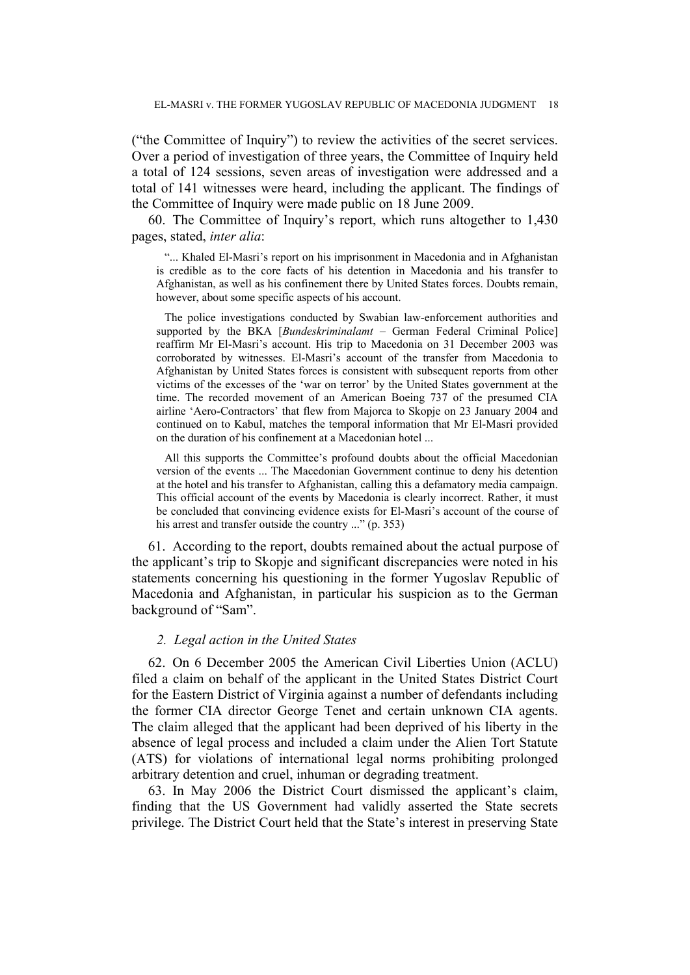("the Committee of Inquiry") to review the activities of the secret services. Over a period of investigation of three years, the Committee of Inquiry held a total of 124 sessions, seven areas of investigation were addressed and a total of 141 witnesses were heard, including the applicant. The findings of the Committee of Inquiry were made public on 18 June 2009.

60. The Committee of Inquiry's report, which runs altogether to 1,430 pages, stated, *inter alia*:

"... Khaled El-Masri's report on his imprisonment in Macedonia and in Afghanistan is credible as to the core facts of his detention in Macedonia and his transfer to Afghanistan, as well as his confinement there by United States forces. Doubts remain, however, about some specific aspects of his account.

The police investigations conducted by Swabian law-enforcement authorities and supported by the BKA [*Bundeskriminalamt –* German Federal Criminal Police] reaffirm Mr El-Masri's account. His trip to Macedonia on 31 December 2003 was corroborated by witnesses. El-Masri's account of the transfer from Macedonia to Afghanistan by United States forces is consistent with subsequent reports from other victims of the excesses of the 'war on terror' by the United States government at the time. The recorded movement of an American Boeing 737 of the presumed CIA airline 'Aero-Contractors' that flew from Majorca to Skopje on 23 January 2004 and continued on to Kabul, matches the temporal information that Mr El-Masri provided on the duration of his confinement at a Macedonian hotel ...

All this supports the Committee's profound doubts about the official Macedonian version of the events ... The Macedonian Government continue to deny his detention at the hotel and his transfer to Afghanistan, calling this a defamatory media campaign. This official account of the events by Macedonia is clearly incorrect. Rather, it must be concluded that convincing evidence exists for El-Masri's account of the course of his arrest and transfer outside the country ..." (p. 353)

61. According to the report, doubts remained about the actual purpose of the applicant's trip to Skopje and significant discrepancies were noted in his statements concerning his questioning in the former Yugoslav Republic of Macedonia and Afghanistan, in particular his suspicion as to the German background of "Sam".

### *2. Legal action in the United States*

62. On 6 December 2005 the American Civil Liberties Union (ACLU) filed a claim on behalf of the applicant in the United States District Court for the Eastern District of Virginia against a number of defendants including the former CIA director George Tenet and certain unknown CIA agents. The claim alleged that the applicant had been deprived of his liberty in the absence of legal process and included a claim under the Alien Tort Statute (ATS) for violations of international legal norms prohibiting prolonged arbitrary detention and cruel, inhuman or degrading treatment.

63. In May 2006 the District Court dismissed the applicant's claim, finding that the US Government had validly asserted the State secrets privilege. The District Court held that the State's interest in preserving State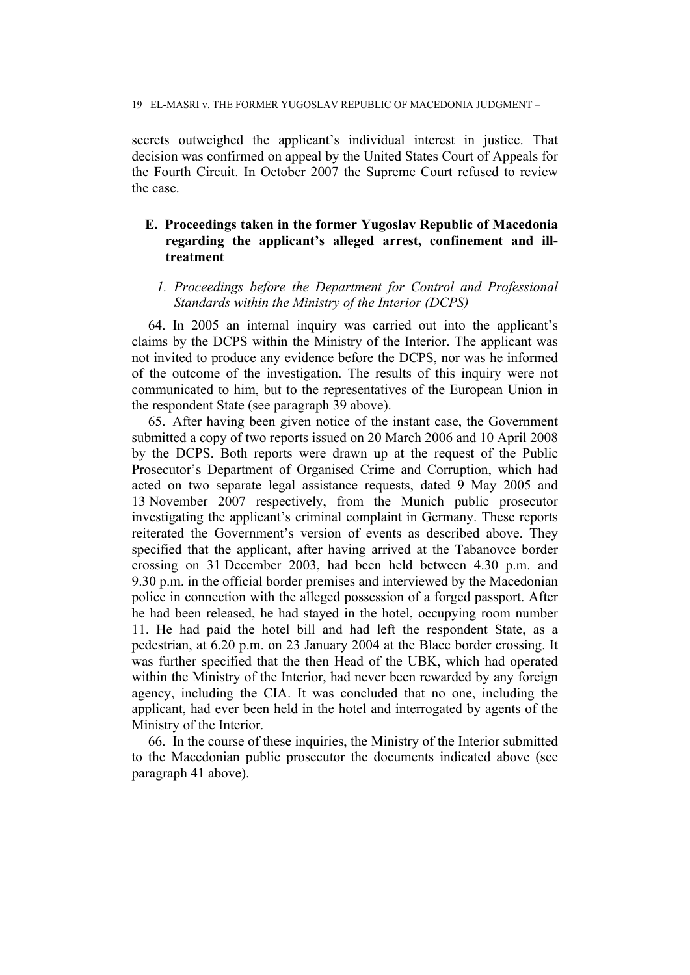secrets outweighed the applicant's individual interest in justice. That decision was confirmed on appeal by the United States Court of Appeals for the Fourth Circuit. In October 2007 the Supreme Court refused to review the case.

# **E. Proceedings taken in the former Yugoslav Republic of Macedonia regarding the applicant's alleged arrest, confinement and illtreatment**

# *1. Proceedings before the Department for Control and Professional Standards within the Ministry of the Interior (DCPS)*

64. In 2005 an internal inquiry was carried out into the applicant's claims by the DCPS within the Ministry of the Interior. The applicant was not invited to produce any evidence before the DCPS, nor was he informed of the outcome of the investigation. The results of this inquiry were not communicated to him, but to the representatives of the European Union in the respondent State (see paragraph 39 above).

65. After having been given notice of the instant case, the Government submitted a copy of two reports issued on 20 March 2006 and 10 April 2008 by the DCPS. Both reports were drawn up at the request of the Public Prosecutor's Department of Organised Crime and Corruption, which had acted on two separate legal assistance requests, dated 9 May 2005 and 13 November 2007 respectively, from the Munich public prosecutor investigating the applicant's criminal complaint in Germany. These reports reiterated the Government's version of events as described above. They specified that the applicant, after having arrived at the Tabanovce border crossing on 31 December 2003, had been held between 4.30 p.m. and 9.30 p.m. in the official border premises and interviewed by the Macedonian police in connection with the alleged possession of a forged passport. After he had been released, he had stayed in the hotel, occupying room number 11. He had paid the hotel bill and had left the respondent State, as a pedestrian, at 6.20 p.m. on 23 January 2004 at the Blace border crossing. It was further specified that the then Head of the UBK, which had operated within the Ministry of the Interior, had never been rewarded by any foreign agency, including the CIA. It was concluded that no one, including the applicant, had ever been held in the hotel and interrogated by agents of the Ministry of the Interior.

66. In the course of these inquiries, the Ministry of the Interior submitted to the Macedonian public prosecutor the documents indicated above (see paragraph 41 above).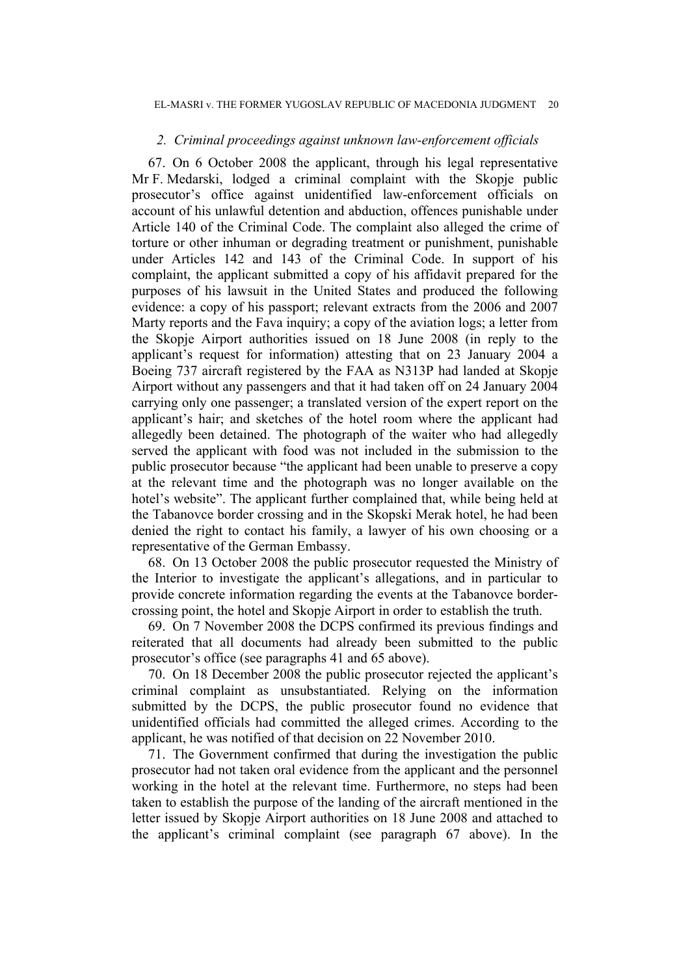### *2. Criminal proceedings against unknown law-enforcement officials*

67. On 6 October 2008 the applicant, through his legal representative Mr F. Medarski, lodged a criminal complaint with the Skopje public prosecutor's office against unidentified law-enforcement officials on account of his unlawful detention and abduction, offences punishable under Article 140 of the Criminal Code. The complaint also alleged the crime of torture or other inhuman or degrading treatment or punishment, punishable under Articles 142 and 143 of the Criminal Code. In support of his complaint, the applicant submitted a copy of his affidavit prepared for the purposes of his lawsuit in the United States and produced the following evidence: a copy of his passport; relevant extracts from the 2006 and 2007 Marty reports and the Fava inquiry; a copy of the aviation logs; a letter from the Skopje Airport authorities issued on 18 June 2008 (in reply to the applicant's request for information) attesting that on 23 January 2004 a Boeing 737 aircraft registered by the FAA as N313P had landed at Skopje Airport without any passengers and that it had taken off on 24 January 2004 carrying only one passenger; a translated version of the expert report on the applicant's hair; and sketches of the hotel room where the applicant had allegedly been detained. The photograph of the waiter who had allegedly served the applicant with food was not included in the submission to the public prosecutor because "the applicant had been unable to preserve a copy at the relevant time and the photograph was no longer available on the hotel's website". The applicant further complained that, while being held at the Tabanovce border crossing and in the Skopski Merak hotel, he had been denied the right to contact his family, a lawyer of his own choosing or a representative of the German Embassy.

68. On 13 October 2008 the public prosecutor requested the Ministry of the Interior to investigate the applicant's allegations, and in particular to provide concrete information regarding the events at the Tabanovce bordercrossing point, the hotel and Skopje Airport in order to establish the truth.

69. On 7 November 2008 the DCPS confirmed its previous findings and reiterated that all documents had already been submitted to the public prosecutor's office (see paragraphs 41 and 65 above).

70. On 18 December 2008 the public prosecutor rejected the applicant's criminal complaint as unsubstantiated. Relying on the information submitted by the DCPS, the public prosecutor found no evidence that unidentified officials had committed the alleged crimes. According to the applicant, he was notified of that decision on 22 November 2010.

71. The Government confirmed that during the investigation the public prosecutor had not taken oral evidence from the applicant and the personnel working in the hotel at the relevant time. Furthermore, no steps had been taken to establish the purpose of the landing of the aircraft mentioned in the letter issued by Skopje Airport authorities on 18 June 2008 and attached to the applicant's criminal complaint (see paragraph 67 above). In the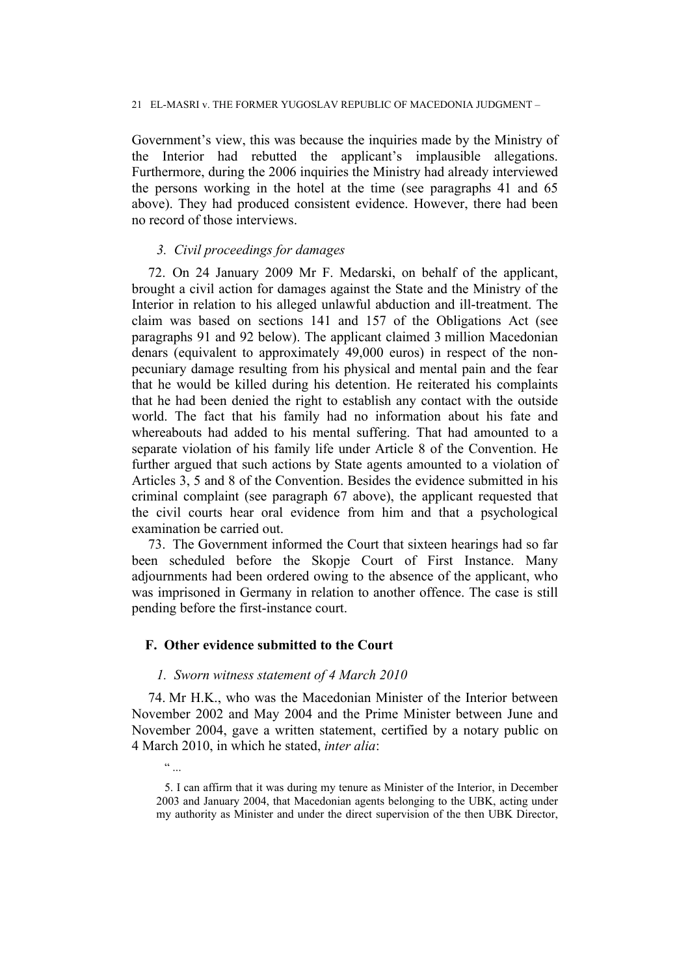Government's view, this was because the inquiries made by the Ministry of the Interior had rebutted the applicant's implausible allegations. Furthermore, during the 2006 inquiries the Ministry had already interviewed the persons working in the hotel at the time (see paragraphs 41 and 65 above). They had produced consistent evidence. However, there had been no record of those interviews.

# *3. Civil proceedings for damages*

72. On 24 January 2009 Mr F. Medarski, on behalf of the applicant, brought a civil action for damages against the State and the Ministry of the Interior in relation to his alleged unlawful abduction and ill-treatment. The claim was based on sections 141 and 157 of the Obligations Act (see paragraphs 91 and 92 below). The applicant claimed 3 million Macedonian denars (equivalent to approximately 49,000 euros) in respect of the nonpecuniary damage resulting from his physical and mental pain and the fear that he would be killed during his detention. He reiterated his complaints that he had been denied the right to establish any contact with the outside world. The fact that his family had no information about his fate and whereabouts had added to his mental suffering. That had amounted to a separate violation of his family life under Article 8 of the Convention. He further argued that such actions by State agents amounted to a violation of Articles 3, 5 and 8 of the Convention. Besides the evidence submitted in his criminal complaint (see paragraph 67 above), the applicant requested that the civil courts hear oral evidence from him and that a psychological examination be carried out.

73. The Government informed the Court that sixteen hearings had so far been scheduled before the Skopje Court of First Instance. Many adjournments had been ordered owing to the absence of the applicant, who was imprisoned in Germany in relation to another offence. The case is still pending before the first-instance court.

# **F. Other evidence submitted to the Court**

" ...

### *1. Sworn witness statement of 4 March 2010*

74. Mr H.K., who was the Macedonian Minister of the Interior between November 2002 and May 2004 and the Prime Minister between June and November 2004, gave a written statement, certified by a notary public on 4 March 2010, in which he stated, *inter alia*:

<sup>5.</sup> I can affirm that it was during my tenure as Minister of the Interior, in December 2003 and January 2004, that Macedonian agents belonging to the UBK, acting under my authority as Minister and under the direct supervision of the then UBK Director,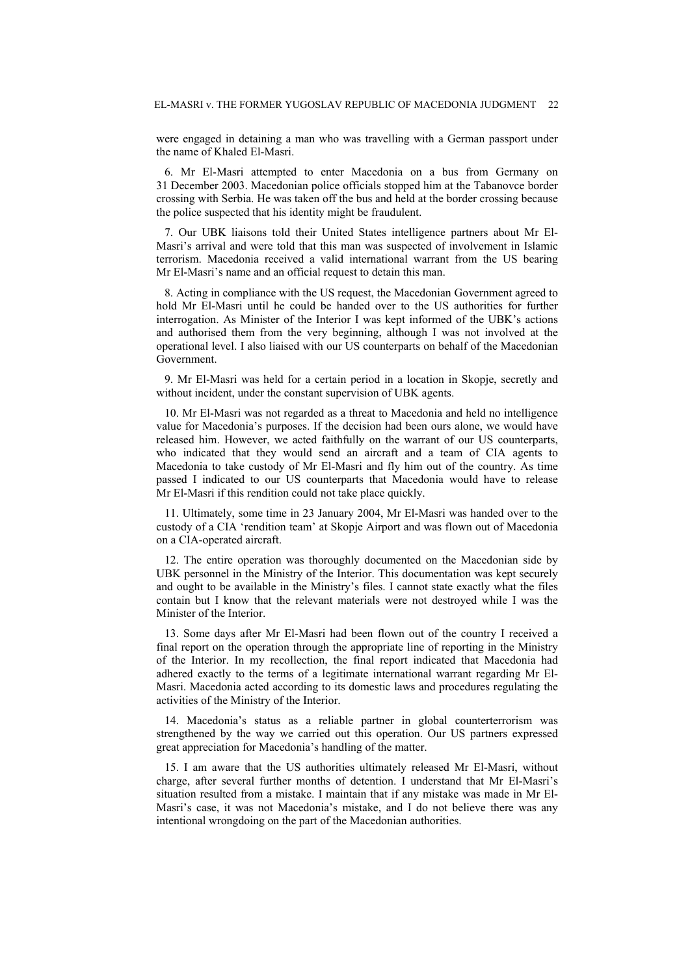were engaged in detaining a man who was travelling with a German passport under the name of Khaled El-Masri.

6. Mr El-Masri attempted to enter Macedonia on a bus from Germany on 31 December 2003. Macedonian police officials stopped him at the Tabanovce border crossing with Serbia. He was taken off the bus and held at the border crossing because the police suspected that his identity might be fraudulent.

7. Our UBK liaisons told their United States intelligence partners about Mr El-Masri's arrival and were told that this man was suspected of involvement in Islamic terrorism. Macedonia received a valid international warrant from the US bearing Mr El-Masri's name and an official request to detain this man.

8. Acting in compliance with the US request, the Macedonian Government agreed to hold Mr El-Masri until he could be handed over to the US authorities for further interrogation. As Minister of the Interior I was kept informed of the UBK's actions and authorised them from the very beginning, although I was not involved at the operational level. I also liaised with our US counterparts on behalf of the Macedonian Government.

9. Mr El-Masri was held for a certain period in a location in Skopje, secretly and without incident, under the constant supervision of UBK agents.

10. Mr El-Masri was not regarded as a threat to Macedonia and held no intelligence value for Macedonia's purposes. If the decision had been ours alone, we would have released him. However, we acted faithfully on the warrant of our US counterparts, who indicated that they would send an aircraft and a team of CIA agents to Macedonia to take custody of Mr El-Masri and fly him out of the country. As time passed I indicated to our US counterparts that Macedonia would have to release Mr El-Masri if this rendition could not take place quickly.

11. Ultimately, some time in 23 January 2004, Mr El-Masri was handed over to the custody of a CIA 'rendition team' at Skopje Airport and was flown out of Macedonia on a CIA-operated aircraft.

12. The entire operation was thoroughly documented on the Macedonian side by UBK personnel in the Ministry of the Interior. This documentation was kept securely and ought to be available in the Ministry's files. I cannot state exactly what the files contain but I know that the relevant materials were not destroyed while I was the Minister of the Interior.

13. Some days after Mr El-Masri had been flown out of the country I received a final report on the operation through the appropriate line of reporting in the Ministry of the Interior. In my recollection, the final report indicated that Macedonia had adhered exactly to the terms of a legitimate international warrant regarding Mr El-Masri. Macedonia acted according to its domestic laws and procedures regulating the activities of the Ministry of the Interior.

14. Macedonia's status as a reliable partner in global counterterrorism was strengthened by the way we carried out this operation. Our US partners expressed great appreciation for Macedonia's handling of the matter.

15. I am aware that the US authorities ultimately released Mr El-Masri, without charge, after several further months of detention. I understand that Mr El-Masri's situation resulted from a mistake. I maintain that if any mistake was made in Mr El-Masri's case, it was not Macedonia's mistake, and I do not believe there was any intentional wrongdoing on the part of the Macedonian authorities.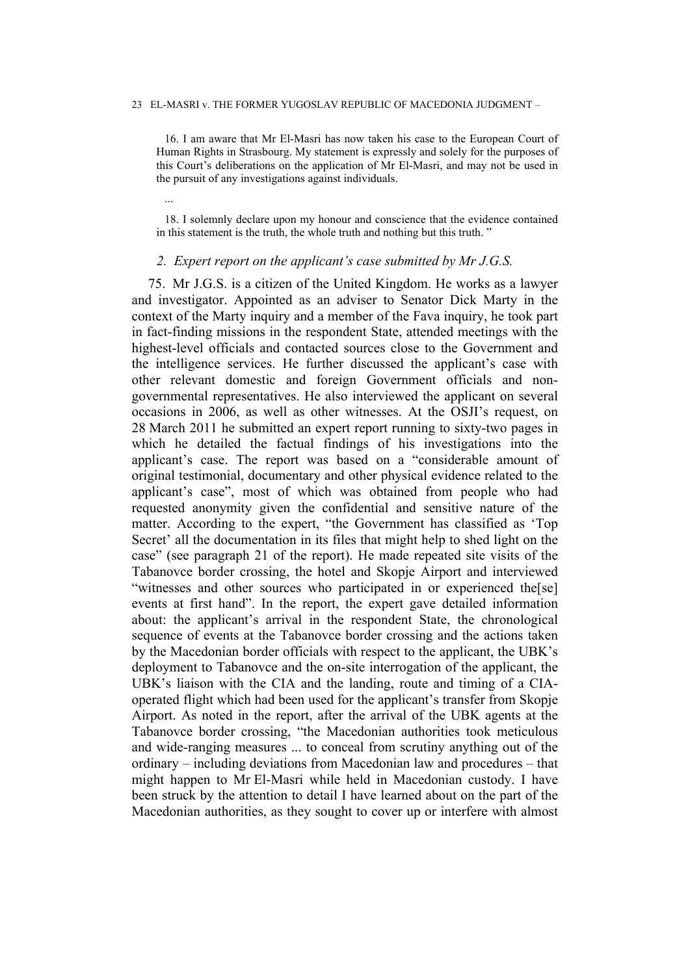16. I am aware that Mr El-Masri has now taken his case to the European Court of Human Rights in Strasbourg. My statement is expressly and solely for the purposes of this Court's deliberations on the application of Mr El-Masri, and may not be used in the pursuit of any investigations against individuals.

18. I solemnly declare upon my honour and conscience that the evidence contained in this statement is the truth, the whole truth and nothing but this truth. "

# *2. Expert report on the applicant's case submitted by Mr J.G.S.*

...

75. Mr J.G.S. is a citizen of the United Kingdom. He works as a lawyer and investigator. Appointed as an adviser to Senator Dick Marty in the context of the Marty inquiry and a member of the Fava inquiry, he took part in fact-finding missions in the respondent State, attended meetings with the highest-level officials and contacted sources close to the Government and the intelligence services. He further discussed the applicant's case with other relevant domestic and foreign Government officials and nongovernmental representatives. He also interviewed the applicant on several occasions in 2006, as well as other witnesses. At the OSJI's request, on 28 March 2011 he submitted an expert report running to sixty-two pages in which he detailed the factual findings of his investigations into the applicant's case. The report was based on a "considerable amount of original testimonial, documentary and other physical evidence related to the applicant's case", most of which was obtained from people who had requested anonymity given the confidential and sensitive nature of the matter. According to the expert, "the Government has classified as 'Top Secret' all the documentation in its files that might help to shed light on the case" (see paragraph 21 of the report). He made repeated site visits of the Tabanovce border crossing, the hotel and Skopje Airport and interviewed "witnesses and other sources who participated in or experienced the[se] events at first hand". In the report, the expert gave detailed information about: the applicant's arrival in the respondent State, the chronological sequence of events at the Tabanovce border crossing and the actions taken by the Macedonian border officials with respect to the applicant, the UBK's deployment to Tabanovce and the on-site interrogation of the applicant, the UBK's liaison with the CIA and the landing, route and timing of a CIAoperated flight which had been used for the applicant's transfer from Skopje Airport. As noted in the report, after the arrival of the UBK agents at the Tabanovce border crossing, "the Macedonian authorities took meticulous and wide-ranging measures ... to conceal from scrutiny anything out of the ordinary – including deviations from Macedonian law and procedures – that might happen to Mr El-Masri while held in Macedonian custody. I have been struck by the attention to detail I have learned about on the part of the Macedonian authorities, as they sought to cover up or interfere with almost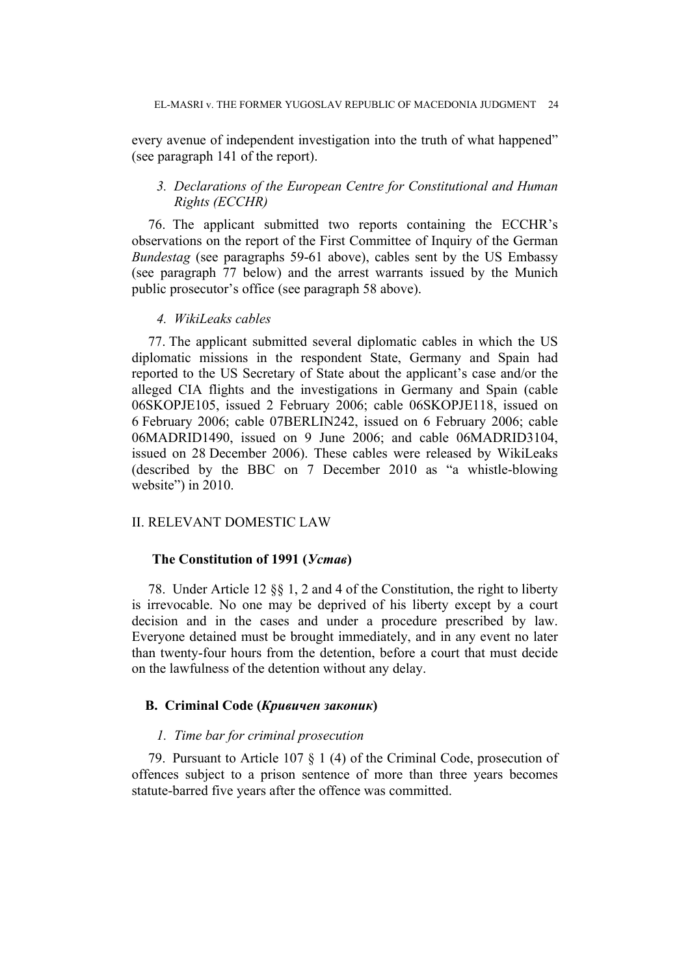every avenue of independent investigation into the truth of what happened" (see paragraph 141 of the report).

# *3. Declarations of the European Centre for Constitutional and Human Rights (ECCHR)*

76. The applicant submitted two reports containing the ECCHR's observations on the report of the First Committee of Inquiry of the German *Bundestag* (see paragraphs 59-61 above), cables sent by the US Embassy (see paragraph 77 below) and the arrest warrants issued by the Munich public prosecutor's office (see paragraph 58 above).

# *4. WikiLeaks cables*

77. The applicant submitted several diplomatic cables in which the US diplomatic missions in the respondent State, Germany and Spain had reported to the US Secretary of State about the applicant's case and/or the alleged CIA flights and the investigations in Germany and Spain (cable 06SKOPJE105, issued 2 February 2006; cable 06SKOPJE118, issued on 6 February 2006; cable 07BERLIN242, issued on 6 February 2006; cable 06MADRID1490, issued on 9 June 2006; and cable 06MADRID3104, issued on 28 December 2006). These cables were released by WikiLeaks (described by the BBC on 7 December 2010 as "a whistle-blowing website") in 2010.

### II. RELEVANT DOMESTIC LAW

# **The Constitution of 1991 (***Устав***)**

78. Under Article 12 §§ 1, 2 and 4 of the Constitution, the right to liberty is irrevocable. No one may be deprived of his liberty except by a court decision and in the cases and under a procedure prescribed by law. Everyone detained must be brought immediately, and in any event no later than twenty-four hours from the detention, before a court that must decide on the lawfulness of the detention without any delay.

# **B. Criminal Code (***Кривичен законик***)**

# *1. Time bar for criminal prosecution*

79. Pursuant to Article 107 § 1 (4) of the Criminal Code, prosecution of offences subject to a prison sentence of more than three years becomes statute-barred five years after the offence was committed.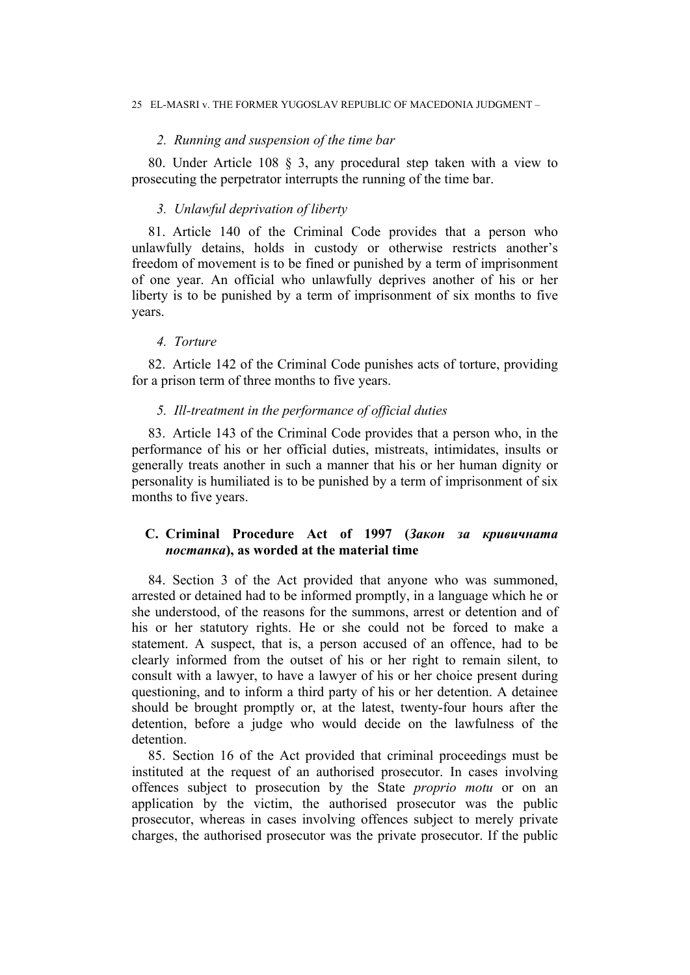### *2. Running and suspension of the time bar*

80. Under Article 108 § 3, any procedural step taken with a view to prosecuting the perpetrator interrupts the running of the time bar.

# *3. Unlawful deprivation of liberty*

81. Article 140 of the Criminal Code provides that a person who unlawfully detains, holds in custody or otherwise restricts another's freedom of movement is to be fined or punished by a term of imprisonment of one year. An official who unlawfully deprives another of his or her liberty is to be punished by a term of imprisonment of six months to five years.

# *4. Torture*

82. Article 142 of the Criminal Code punishes acts of torture, providing for a prison term of three months to five years.

# *5. Ill-treatment in the performance of official duties*

83. Article 143 of the Criminal Code provides that a person who, in the performance of his or her official duties, mistreats, intimidates, insults or generally treats another in such a manner that his or her human dignity or personality is humiliated is to be punished by a term of imprisonment of six months to five years.

# **C. Criminal Procedure Act of 1997 (***Закон за кривичната постапка***), as worded at the material time**

84. Section 3 of the Act provided that anyone who was summoned, arrested or detained had to be informed promptly, in a language which he or she understood, of the reasons for the summons, arrest or detention and of his or her statutory rights. He or she could not be forced to make a statement. A suspect, that is, a person accused of an offence, had to be clearly informed from the outset of his or her right to remain silent, to consult with a lawyer, to have a lawyer of his or her choice present during questioning, and to inform a third party of his or her detention. A detainee should be brought promptly or, at the latest, twenty-four hours after the detention, before a judge who would decide on the lawfulness of the detention.

85. Section 16 of the Act provided that criminal proceedings must be instituted at the request of an authorised prosecutor. In cases involving offences subject to prosecution by the State *proprio motu* or on an application by the victim, the authorised prosecutor was the public prosecutor, whereas in cases involving offences subject to merely private charges, the authorised prosecutor was the private prosecutor. If the public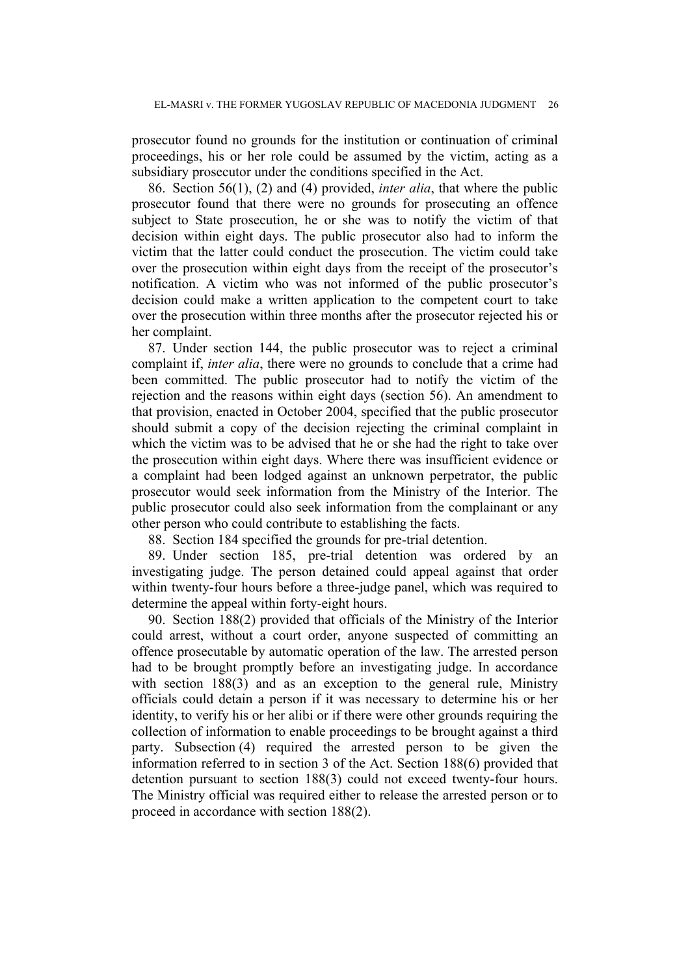prosecutor found no grounds for the institution or continuation of criminal proceedings, his or her role could be assumed by the victim, acting as a subsidiary prosecutor under the conditions specified in the Act.

86. Section 56(1), (2) and (4) provided, *inter alia*, that where the public prosecutor found that there were no grounds for prosecuting an offence subject to State prosecution, he or she was to notify the victim of that decision within eight days. The public prosecutor also had to inform the victim that the latter could conduct the prosecution. The victim could take over the prosecution within eight days from the receipt of the prosecutor's notification. A victim who was not informed of the public prosecutor's decision could make a written application to the competent court to take over the prosecution within three months after the prosecutor rejected his or her complaint.

87. Under section 144, the public prosecutor was to reject a criminal complaint if, *inter alia*, there were no grounds to conclude that a crime had been committed. The public prosecutor had to notify the victim of the rejection and the reasons within eight days (section 56). An amendment to that provision, enacted in October 2004, specified that the public prosecutor should submit a copy of the decision rejecting the criminal complaint in which the victim was to be advised that he or she had the right to take over the prosecution within eight days. Where there was insufficient evidence or a complaint had been lodged against an unknown perpetrator, the public prosecutor would seek information from the Ministry of the Interior. The public prosecutor could also seek information from the complainant or any other person who could contribute to establishing the facts.

88. Section 184 specified the grounds for pre-trial detention.

89. Under section 185, pre-trial detention was ordered by an investigating judge. The person detained could appeal against that order within twenty-four hours before a three-judge panel, which was required to determine the appeal within forty-eight hours.

90. Section 188(2) provided that officials of the Ministry of the Interior could arrest, without a court order, anyone suspected of committing an offence prosecutable by automatic operation of the law. The arrested person had to be brought promptly before an investigating judge. In accordance with section 188(3) and as an exception to the general rule, Ministry officials could detain a person if it was necessary to determine his or her identity, to verify his or her alibi or if there were other grounds requiring the collection of information to enable proceedings to be brought against a third party. Subsection (4) required the arrested person to be given the information referred to in section 3 of the Act. Section 188(6) provided that detention pursuant to section 188(3) could not exceed twenty-four hours. The Ministry official was required either to release the arrested person or to proceed in accordance with section 188(2).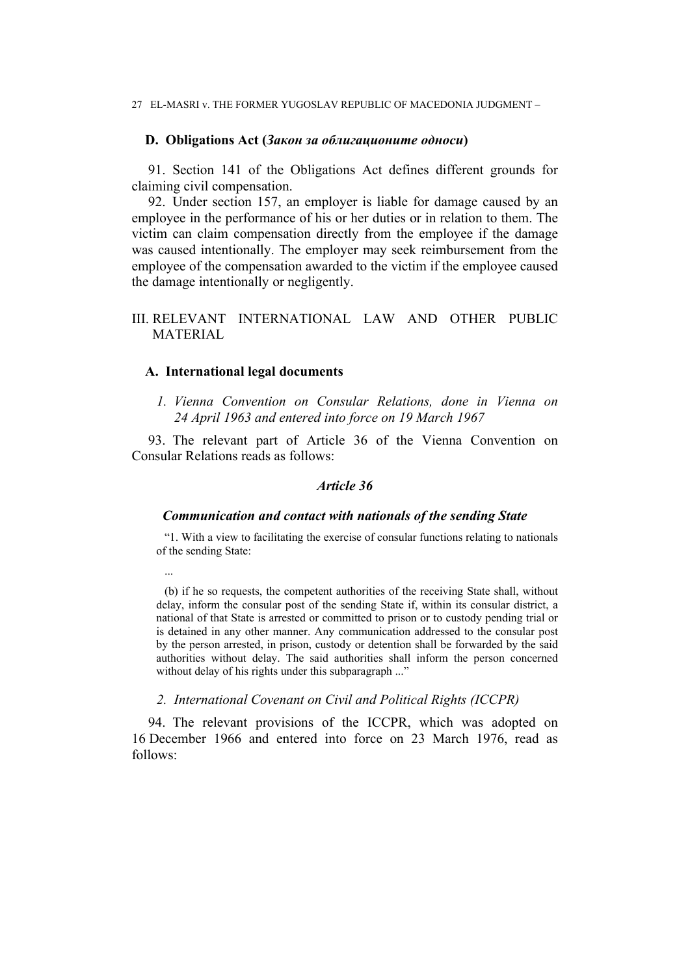### **D. Obligations Act (***Закон за облигационите односи***)**

91. Section 141 of the Obligations Act defines different grounds for claiming civil compensation.

92. Under section 157, an employer is liable for damage caused by an employee in the performance of his or her duties or in relation to them. The victim can claim compensation directly from the employee if the damage was caused intentionally. The employer may seek reimbursement from the employee of the compensation awarded to the victim if the employee caused the damage intentionally or negligently.

# III. RELEVANT INTERNATIONAL LAW AND OTHER PUBLIC MATERIAL

### **A. International legal documents**

*1. Vienna Convention on Consular Relations, done in Vienna on 24 April 1963 and entered into force on 19 March 1967*

93. The relevant part of Article 36 of the Vienna Convention on Consular Relations reads as follows:

# *Article 36*

### *Communication and contact with nationals of the sending State*

"1. With a view to facilitating the exercise of consular functions relating to nationals of the sending State:

...

(b) if he so requests, the competent authorities of the receiving State shall, without delay, inform the consular post of the sending State if, within its consular district, a national of that State is arrested or committed to prison or to custody pending trial or is detained in any other manner. Any communication addressed to the consular post by the person arrested, in prison, custody or detention shall be forwarded by the said authorities without delay. The said authorities shall inform the person concerned without delay of his rights under this subparagraph ..."

### *2. International Covenant on Civil and Political Rights (ICCPR)*

94. The relevant provisions of the ICCPR, which was adopted on 16 December 1966 and entered into force on 23 March 1976, read as follows: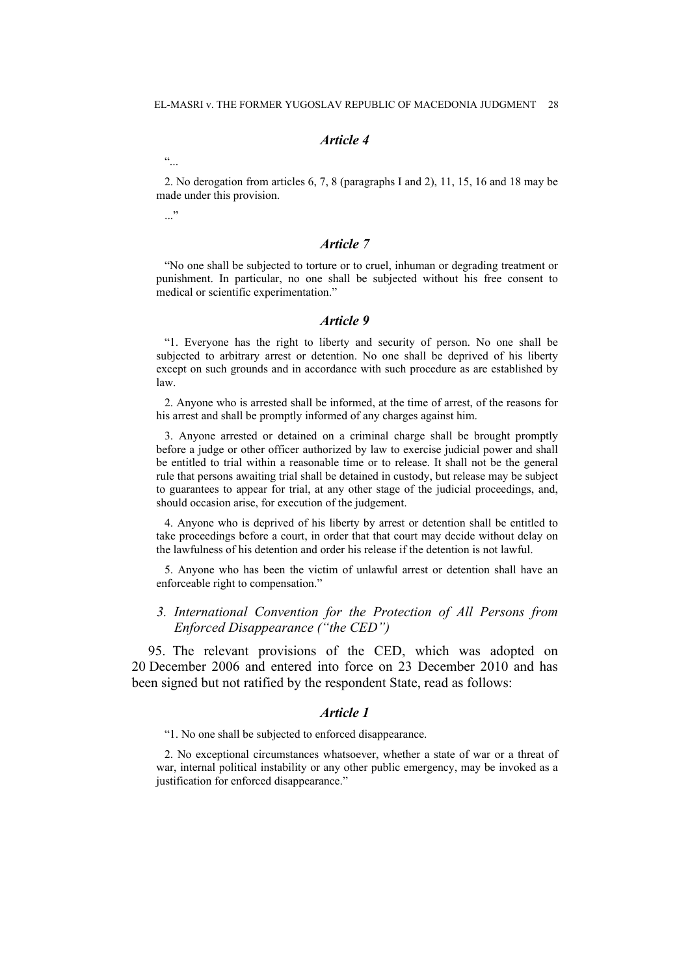# *Article 4*

 $\ddot{\cdot}$ 

2. No derogation from articles 6, 7, 8 (paragraphs I and 2), 11, 15, 16 and 18 may be made under this provision.

..."

# *Article 7*

"No one shall be subjected to torture or to cruel, inhuman or degrading treatment or punishment. In particular, no one shall be subjected without his free consent to medical or scientific experimentation."

### *Article 9*

"1. Everyone has the right to liberty and security of person. No one shall be subjected to arbitrary arrest or detention. No one shall be deprived of his liberty except on such grounds and in accordance with such procedure as are established by law.

2. Anyone who is arrested shall be informed, at the time of arrest, of the reasons for his arrest and shall be promptly informed of any charges against him.

3. Anyone arrested or detained on a criminal charge shall be brought promptly before a judge or other officer authorized by law to exercise judicial power and shall be entitled to trial within a reasonable time or to release. It shall not be the general rule that persons awaiting trial shall be detained in custody, but release may be subject to guarantees to appear for trial, at any other stage of the judicial proceedings, and, should occasion arise, for execution of the judgement.

4. Anyone who is deprived of his liberty by arrest or detention shall be entitled to take proceedings before a court, in order that that court may decide without delay on the lawfulness of his detention and order his release if the detention is not lawful.

5. Anyone who has been the victim of unlawful arrest or detention shall have an enforceable right to compensation."

# *3. International Convention for the Protection of All Persons from Enforced Disappearance ("the CED")*

95. The relevant provisions of the CED, which was adopted on 20 December 2006 and entered into force on 23 December 2010 and has been signed but not ratified by the respondent State, read as follows:

# *Article 1*

"1. No one shall be subjected to enforced disappearance.

2. No exceptional circumstances whatsoever, whether a state of war or a threat of war, internal political instability or any other public emergency, may be invoked as a justification for enforced disappearance."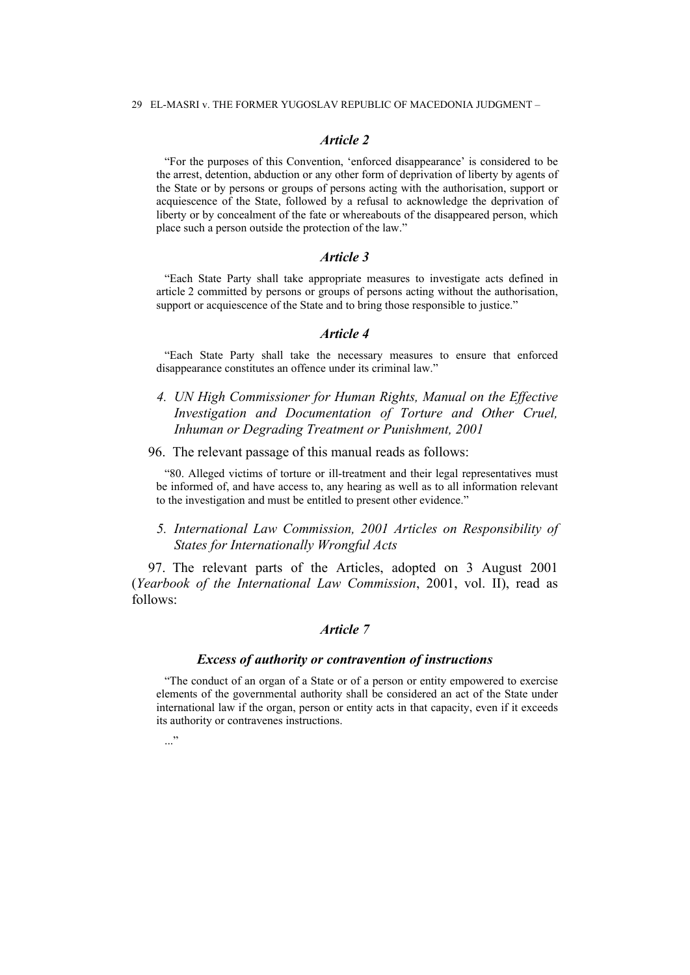# *Article 2*

"For the purposes of this Convention, 'enforced disappearance' is considered to be the arrest, detention, abduction or any other form of deprivation of liberty by agents of the State or by persons or groups of persons acting with the authorisation, support or acquiescence of the State, followed by a refusal to acknowledge the deprivation of liberty or by concealment of the fate or whereabouts of the disappeared person, which place such a person outside the protection of the law."

### *Article 3*

"Each State Party shall take appropriate measures to investigate acts defined in article 2 committed by persons or groups of persons acting without the authorisation, support or acquiescence of the State and to bring those responsible to justice."

### *Article 4*

"Each State Party shall take the necessary measures to ensure that enforced disappearance constitutes an offence under its criminal law."

- *4. UN High Commissioner for Human Rights, Manual on the Effective Investigation and Documentation of Torture and Other Cruel, Inhuman or Degrading Treatment or Punishment, 2001*
- 96. The relevant passage of this manual reads as follows:

"80. Alleged victims of torture or ill-treatment and their legal representatives must be informed of, and have access to, any hearing as well as to all information relevant to the investigation and must be entitled to present other evidence."

*5. International Law Commission, 2001 Articles on Responsibility of States for Internationally Wrongful Acts*

97. The relevant parts of the Articles, adopted on 3 August 2001 (*Yearbook of the International Law Commission*, 2001, vol. II), read as follows:

# *Article 7*

### *Excess of authority or contravention of instructions*

"The conduct of an organ of a State or of a person or entity empowered to exercise elements of the governmental authority shall be considered an act of the State under international law if the organ, person or entity acts in that capacity, even if it exceeds its authority or contravenes instructions.

..."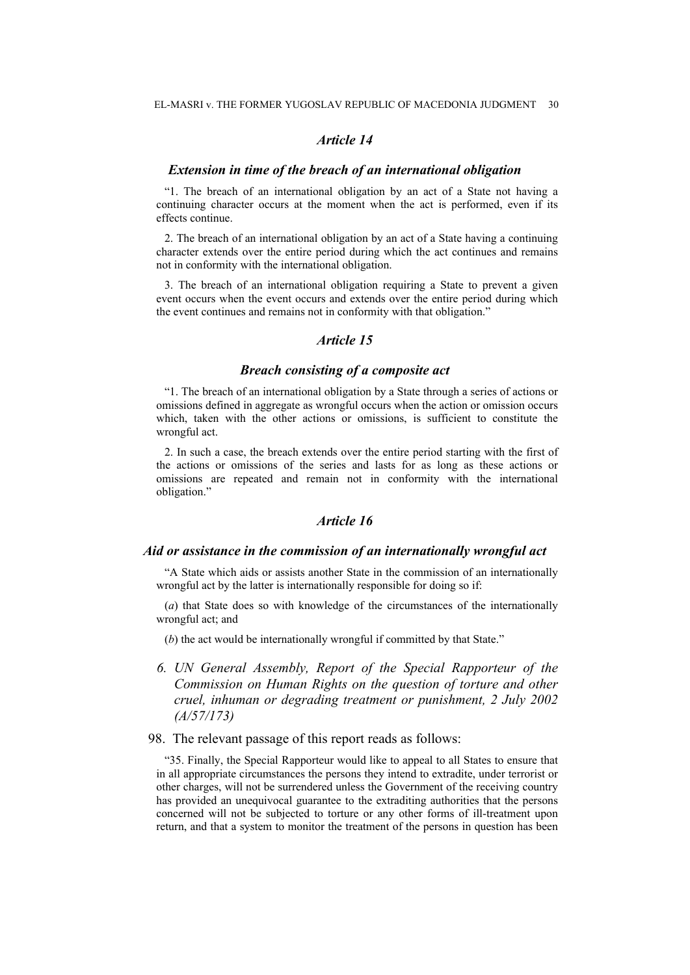## *Article 14*

### *Extension in time of the breach of an international obligation*

"1. The breach of an international obligation by an act of a State not having a continuing character occurs at the moment when the act is performed, even if its effects continue.

2. The breach of an international obligation by an act of a State having a continuing character extends over the entire period during which the act continues and remains not in conformity with the international obligation.

3. The breach of an international obligation requiring a State to prevent a given event occurs when the event occurs and extends over the entire period during which the event continues and remains not in conformity with that obligation."

## *Article 15*

#### *Breach consisting of a composite act*

"1. The breach of an international obligation by a State through a series of actions or omissions defined in aggregate as wrongful occurs when the action or omission occurs which, taken with the other actions or omissions, is sufficient to constitute the wrongful act.

2. In such a case, the breach extends over the entire period starting with the first of the actions or omissions of the series and lasts for as long as these actions or omissions are repeated and remain not in conformity with the international obligation."

## *Article 16*

### *Aid or assistance in the commission of an internationally wrongful act*

"A State which aids or assists another State in the commission of an internationally wrongful act by the latter is internationally responsible for doing so if:

(*a*) that State does so with knowledge of the circumstances of the internationally wrongful act; and

(*b*) the act would be internationally wrongful if committed by that State."

*6. UN General Assembly, Report of the Special Rapporteur of the Commission on Human Rights on the question of torture and other cruel, inhuman or degrading treatment or punishment, 2 July 2002 (A/57/173)*

### 98. The relevant passage of this report reads as follows:

"35. Finally, the Special Rapporteur would like to appeal to all States to ensure that in all appropriate circumstances the persons they intend to extradite, under terrorist or other charges, will not be surrendered unless the Government of the receiving country has provided an unequivocal guarantee to the extraditing authorities that the persons concerned will not be subjected to torture or any other forms of ill-treatment upon return, and that a system to monitor the treatment of the persons in question has been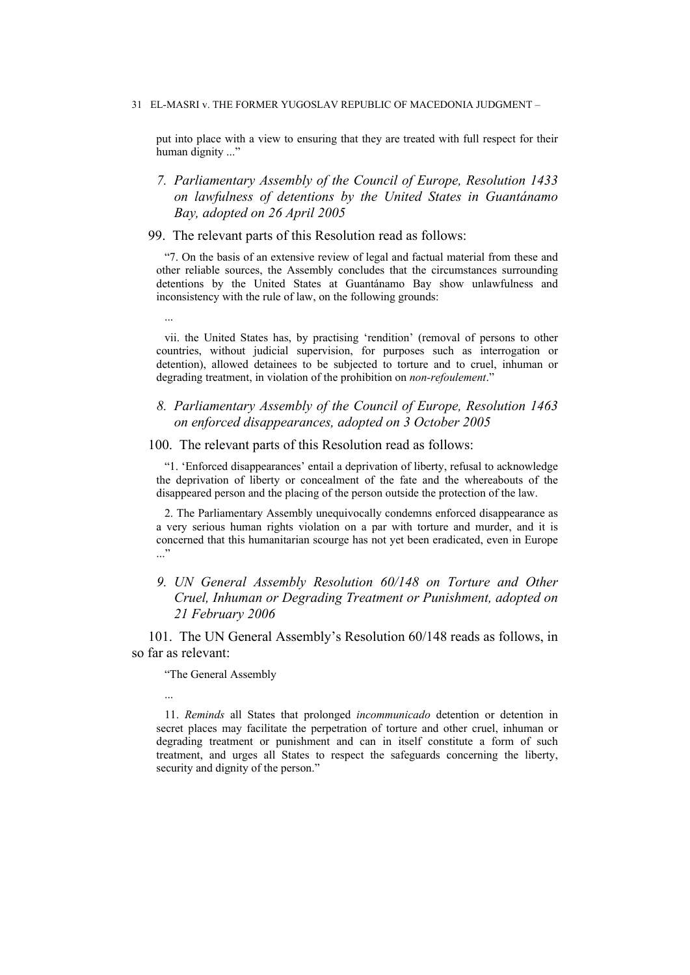put into place with a view to ensuring that they are treated with full respect for their human dignity ..."

# *7. Parliamentary Assembly of the Council of Europe, Resolution 1433 on lawfulness of detentions by the United States in Guantánamo Bay, adopted on 26 April 2005*

## 99. The relevant parts of this Resolution read as follows:

"7. On the basis of an extensive review of legal and factual material from these and other reliable sources, the Assembly concludes that the circumstances surrounding detentions by the United States at Guantánamo Bay show unlawfulness and inconsistency with the rule of law, on the following grounds:

...

vii. the United States has, by practising 'rendition' (removal of persons to other countries, without judicial supervision, for purposes such as interrogation or detention), allowed detainees to be subjected to torture and to cruel, inhuman or degrading treatment, in violation of the prohibition on *non-refoulement*."

## *8. Parliamentary Assembly of the Council of Europe, Resolution 1463 on enforced disappearances, adopted on 3 October 2005*

#### 100. The relevant parts of this Resolution read as follows:

"1. 'Enforced disappearances' entail a deprivation of liberty, refusal to acknowledge the deprivation of liberty or concealment of the fate and the whereabouts of the disappeared person and the placing of the person outside the protection of the law.

2. The Parliamentary Assembly unequivocally condemns enforced disappearance as a very serious human rights violation on a par with torture and murder, and it is concerned that this humanitarian scourge has not yet been eradicated, even in Europe ..."

# *9. UN General Assembly Resolution 60/148 on Torture and Other Cruel, Inhuman or Degrading Treatment or Punishment, adopted on 21 February 2006*

101. The UN General Assembly's Resolution 60/148 reads as follows, in so far as relevant:

"The General Assembly

...

11. *Reminds* all States that prolonged *incommunicado* detention or detention in secret places may facilitate the perpetration of torture and other cruel, inhuman or degrading treatment or punishment and can in itself constitute a form of such treatment, and urges all States to respect the safeguards concerning the liberty, security and dignity of the person."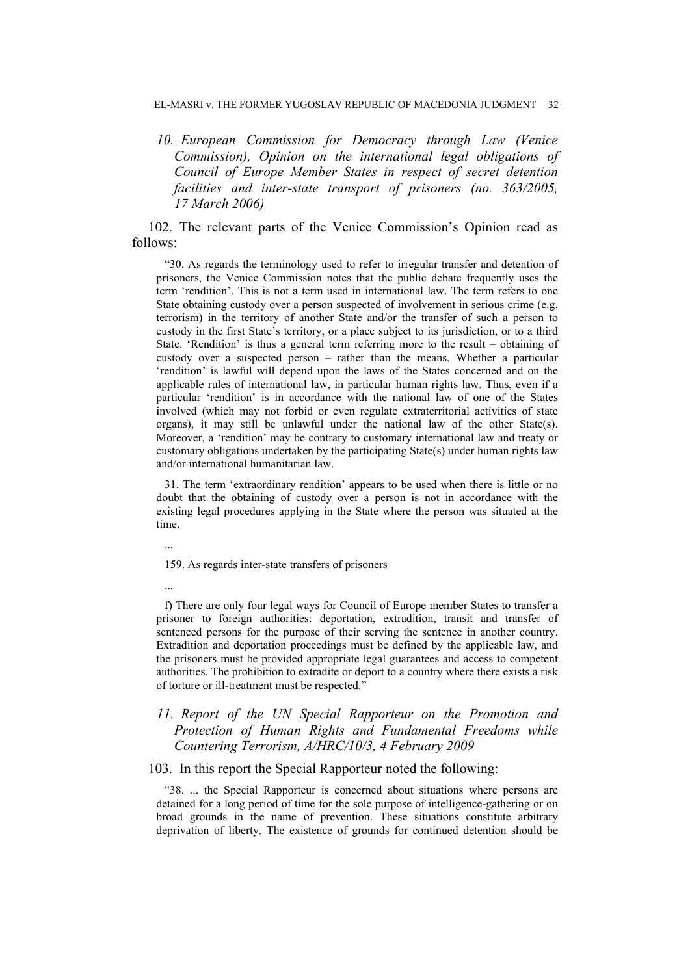# *10. European Commission for Democracy through Law (Venice Commission), Opinion on the international legal obligations of Council of Europe Member States in respect of secret detention facilities and inter-state transport of prisoners (no. 363/2005, 17 March 2006)*

102. The relevant parts of the Venice Commission's Opinion read as follows:

"30. As regards the terminology used to refer to irregular transfer and detention of prisoners, the Venice Commission notes that the public debate frequently uses the term 'rendition'. This is not a term used in international law. The term refers to one State obtaining custody over a person suspected of involvement in serious crime (e.g. terrorism) in the territory of another State and/or the transfer of such a person to custody in the first State's territory, or a place subject to its jurisdiction, or to a third State. 'Rendition' is thus a general term referring more to the result – obtaining of custody over a suspected person – rather than the means. Whether a particular 'rendition' is lawful will depend upon the laws of the States concerned and on the applicable rules of international law, in particular human rights law. Thus, even if a particular 'rendition' is in accordance with the national law of one of the States involved (which may not forbid or even regulate extraterritorial activities of state organs), it may still be unlawful under the national law of the other State(s). Moreover, a 'rendition' may be contrary to customary international law and treaty or customary obligations undertaken by the participating State(s) under human rights law and/or international humanitarian law.

31. The term 'extraordinary rendition' appears to be used when there is little or no doubt that the obtaining of custody over a person is not in accordance with the existing legal procedures applying in the State where the person was situated at the time.

...

...

159. As regards inter-state transfers of prisoners

f) There are only four legal ways for Council of Europe member States to transfer a prisoner to foreign authorities: deportation, extradition, transit and transfer of sentenced persons for the purpose of their serving the sentence in another country. Extradition and deportation proceedings must be defined by the applicable law, and the prisoners must be provided appropriate legal guarantees and access to competent authorities. The prohibition to extradite or deport to a country where there exists a risk of torture or ill-treatment must be respected."

# *11. Report of the UN Special Rapporteur on the Promotion and Protection of Human Rights and Fundamental Freedoms while Countering Terrorism, A/HRC/10/3, 4 February 2009*

### 103. In this report the Special Rapporteur noted the following:

"38. ... the Special Rapporteur is concerned about situations where persons are detained for a long period of time for the sole purpose of intelligence-gathering or on broad grounds in the name of prevention. These situations constitute arbitrary deprivation of liberty. The existence of grounds for continued detention should be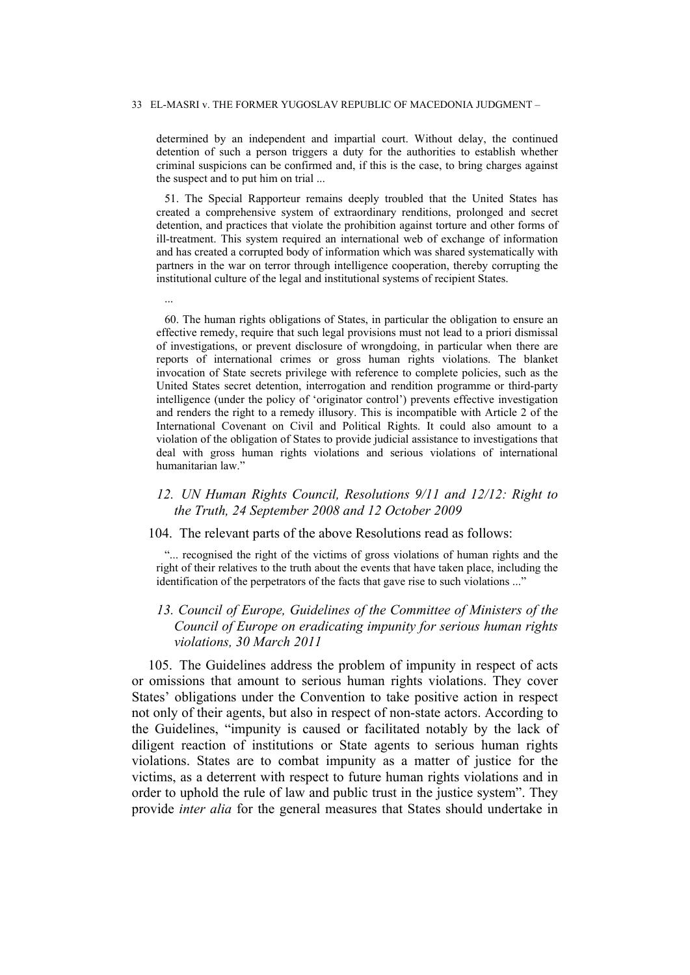determined by an independent and impartial court. Without delay, the continued detention of such a person triggers a duty for the authorities to establish whether criminal suspicions can be confirmed and, if this is the case, to bring charges against the suspect and to put him on trial ...

51. The Special Rapporteur remains deeply troubled that the United States has created a comprehensive system of extraordinary renditions, prolonged and secret detention, and practices that violate the prohibition against torture and other forms of ill-treatment. This system required an international web of exchange of information and has created a corrupted body of information which was shared systematically with partners in the war on terror through intelligence cooperation, thereby corrupting the institutional culture of the legal and institutional systems of recipient States.

...

60. The human rights obligations of States, in particular the obligation to ensure an effective remedy, require that such legal provisions must not lead to a priori dismissal of investigations, or prevent disclosure of wrongdoing, in particular when there are reports of international crimes or gross human rights violations. The blanket invocation of State secrets privilege with reference to complete policies, such as the United States secret detention, interrogation and rendition programme or third-party intelligence (under the policy of 'originator control') prevents effective investigation and renders the right to a remedy illusory. This is incompatible with Article 2 of the International Covenant on Civil and Political Rights. It could also amount to a violation of the obligation of States to provide judicial assistance to investigations that deal with gross human rights violations and serious violations of international humanitarian law."

# *12. UN Human Rights Council, Resolutions 9/11 and 12/12: Right to the Truth, 24 September 2008 and 12 October 2009*

## 104. The relevant parts of the above Resolutions read as follows:

"... recognised the right of the victims of gross violations of human rights and the right of their relatives to the truth about the events that have taken place, including the identification of the perpetrators of the facts that gave rise to such violations ..."

# *13. Council of Europe, Guidelines of the Committee of Ministers of the Council of Europe on eradicating impunity for serious human rights violations, 30 March 2011*

105. The Guidelines address the problem of impunity in respect of acts or omissions that amount to serious human rights violations. They cover States' obligations under the Convention to take positive action in respect not only of their agents, but also in respect of non-state actors. According to the Guidelines, "impunity is caused or facilitated notably by the lack of diligent reaction of institutions or State agents to serious human rights violations. States are to combat impunity as a matter of justice for the victims, as a deterrent with respect to future human rights violations and in order to uphold the rule of law and public trust in the justice system". They provide *inter alia* for the general measures that States should undertake in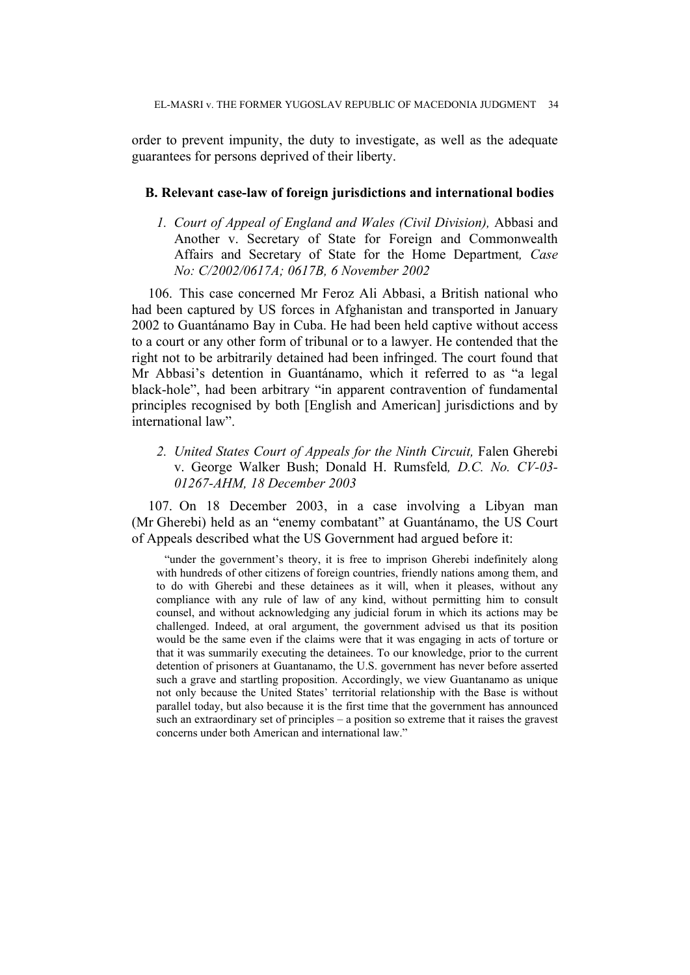order to prevent impunity, the duty to investigate, as well as the adequate guarantees for persons deprived of their liberty.

## **B. Relevant case-law of foreign jurisdictions and international bodies**

*1. Court of Appeal of England and Wales (Civil Division),* Abbasi and Another v. Secretary of State for Foreign and Commonwealth Affairs and Secretary of State for the Home Department*, Case No: C/2002/0617A; 0617B, 6 November 2002*

106. This case concerned Mr Feroz Ali Abbasi, a British national who had been captured by US forces in Afghanistan and transported in January 2002 to Guantánamo Bay in Cuba. He had been held captive without access to a court or any other form of tribunal or to a lawyer. He contended that the right not to be arbitrarily detained had been infringed. The court found that Mr Abbasi's detention in Guantánamo, which it referred to as "a legal black-hole", had been arbitrary "in apparent contravention of fundamental principles recognised by both [English and American] jurisdictions and by international law".

*2. United States Court of Appeals for the Ninth Circuit,* Falen Gherebi v. George Walker Bush; Donald H. Rumsfeld*, D.C. No. CV-03- 01267-AHM, 18 December 2003*

107. On 18 December 2003, in a case involving a Libyan man (Mr Gherebi) held as an "enemy combatant" at Guantánamo, the US Court of Appeals described what the US Government had argued before it:

"under the government's theory, it is free to imprison Gherebi indefinitely along with hundreds of other citizens of foreign countries, friendly nations among them, and to do with Gherebi and these detainees as it will, when it pleases, without any compliance with any rule of law of any kind, without permitting him to consult counsel, and without acknowledging any judicial forum in which its actions may be challenged. Indeed, at oral argument, the government advised us that its position would be the same even if the claims were that it was engaging in acts of torture or that it was summarily executing the detainees. To our knowledge, prior to the current detention of prisoners at Guantanamo, the U.S. government has never before asserted such a grave and startling proposition. Accordingly, we view Guantanamo as unique not only because the United States' territorial relationship with the Base is without parallel today, but also because it is the first time that the government has announced such an extraordinary set of principles – a position so extreme that it raises the gravest concerns under both American and international law."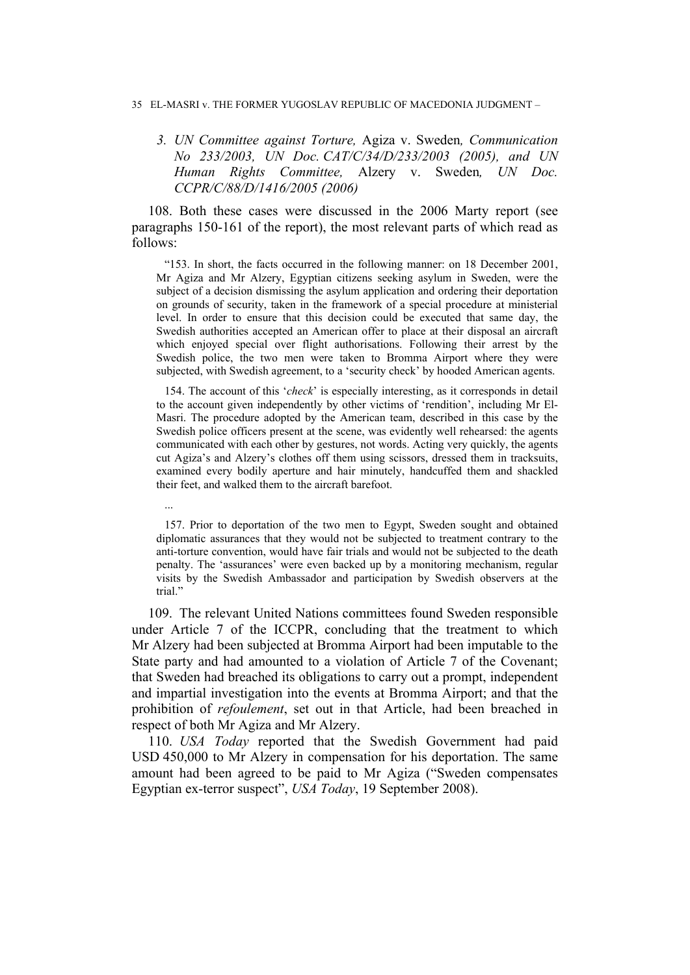# *3. UN Committee against Torture,* Agiza v. Sweden*, Communication No 233/2003, UN Doc. CAT/C/34/D/233/2003 (2005), and UN Human Rights Committee,* Alzery v. Sweden*, UN Doc. CCPR/C/88/D/1416/2005 (2006)*

108. Both these cases were discussed in the 2006 Marty report (see paragraphs 150-161 of the report), the most relevant parts of which read as follows:

"153. In short, the facts occurred in the following manner: on 18 December 2001, Mr Agiza and Mr Alzery, Egyptian citizens seeking asylum in Sweden, were the subject of a decision dismissing the asylum application and ordering their deportation on grounds of security, taken in the framework of a special procedure at ministerial level. In order to ensure that this decision could be executed that same day, the Swedish authorities accepted an American offer to place at their disposal an aircraft which enjoyed special over flight authorisations. Following their arrest by the Swedish police, the two men were taken to Bromma Airport where they were subjected, with Swedish agreement, to a 'security check' by hooded American agents.

154. The account of this '*check*' is especially interesting, as it corresponds in detail to the account given independently by other victims of 'rendition', including Mr El-Masri. The procedure adopted by the American team, described in this case by the Swedish police officers present at the scene, was evidently well rehearsed: the agents communicated with each other by gestures, not words. Acting very quickly, the agents cut Agiza's and Alzery's clothes off them using scissors, dressed them in tracksuits, examined every bodily aperture and hair minutely, handcuffed them and shackled their feet, and walked them to the aircraft barefoot.

...

157. Prior to deportation of the two men to Egypt, Sweden sought and obtained diplomatic assurances that they would not be subjected to treatment contrary to the anti-torture convention, would have fair trials and would not be subjected to the death penalty. The 'assurances' were even backed up by a monitoring mechanism, regular visits by the Swedish Ambassador and participation by Swedish observers at the trial"

109. The relevant United Nations committees found Sweden responsible under Article 7 of the ICCPR, concluding that the treatment to which Mr Alzery had been subjected at Bromma Airport had been imputable to the State party and had amounted to a violation of Article 7 of the Covenant; that Sweden had breached its obligations to carry out a prompt, independent and impartial investigation into the events at Bromma Airport; and that the prohibition of *refoulement*, set out in that Article, had been breached in respect of both Mr Agiza and Mr Alzery.

110. *USA Today* reported that the Swedish Government had paid USD 450,000 to Mr Alzery in compensation for his deportation. The same amount had been agreed to be paid to Mr Agiza ("Sweden compensates Egyptian ex-terror suspect", *USA Today*, 19 September 2008).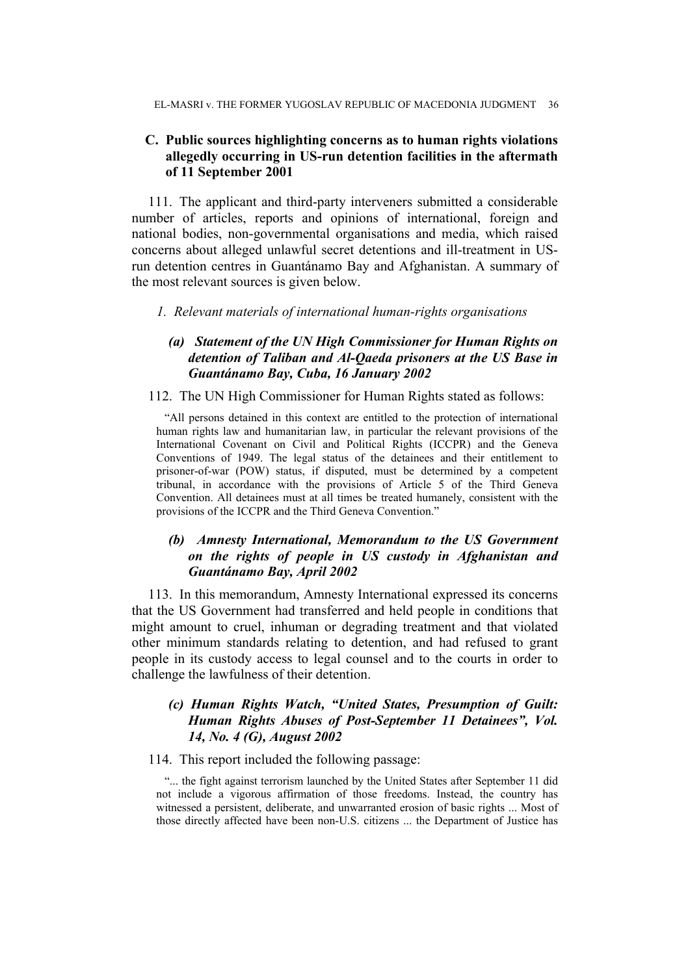# **C. Public sources highlighting concerns as to human rights violations allegedly occurring in US-run detention facilities in the aftermath of 11 September 2001**

111. The applicant and third-party interveners submitted a considerable number of articles, reports and opinions of international, foreign and national bodies, non-governmental organisations and media, which raised concerns about alleged unlawful secret detentions and ill-treatment in USrun detention centres in Guantánamo Bay and Afghanistan. A summary of the most relevant sources is given below.

## *1. Relevant materials of international human-rights organisations*

# *(a) Statement of the UN High Commissioner for Human Rights on detention of Taliban and Al-Qaeda prisoners at the US Base in Guantánamo Bay, Cuba, 16 January 2002*

### 112. The UN High Commissioner for Human Rights stated as follows:

"All persons detained in this context are entitled to the protection of international human rights law and humanitarian law, in particular the relevant provisions of the International Covenant on Civil and Political Rights (ICCPR) and the Geneva Conventions of 1949. The legal status of the detainees and their entitlement to prisoner-of-war (POW) status, if disputed, must be determined by a competent tribunal, in accordance with the provisions of Article 5 of the Third Geneva Convention. All detainees must at all times be treated humanely, consistent with the provisions of the ICCPR and the Third Geneva Convention."

# *(b) Amnesty International, Memorandum to the US Government on the rights of people in US custody in Afghanistan and Guantánamo Bay, April 2002*

113. In this memorandum, Amnesty International expressed its concerns that the US Government had transferred and held people in conditions that might amount to cruel, inhuman or degrading treatment and that violated other minimum standards relating to detention, and had refused to grant people in its custody access to legal counsel and to the courts in order to challenge the lawfulness of their detention.

# *(c) Human Rights Watch, "United States, Presumption of Guilt: Human Rights Abuses of Post-September 11 Detainees", Vol. 14, No. 4 (G), August 2002*

## 114. This report included the following passage:

"... the fight against terrorism launched by the United States after September 11 did not include a vigorous affirmation of those freedoms. Instead, the country has witnessed a persistent, deliberate, and unwarranted erosion of basic rights ... Most of those directly affected have been non-U.S. citizens ... the Department of Justice has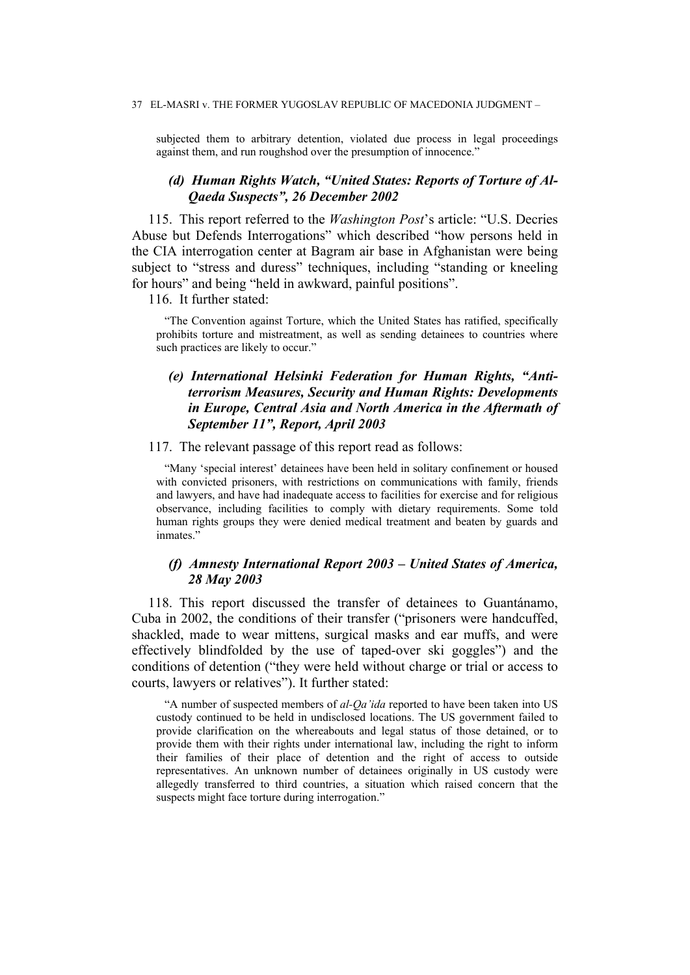subjected them to arbitrary detention, violated due process in legal proceedings against them, and run roughshod over the presumption of innocence."

# *(d) Human Rights Watch, "United States: Reports of Torture of Al-Qaeda Suspects", 26 December 2002*

115. This report referred to the *Washington Post*'s article: "U.S. Decries Abuse but Defends Interrogations" which described "how persons held in the CIA interrogation center at Bagram air base in Afghanistan were being subject to "stress and duress" techniques, including "standing or kneeling for hours" and being "held in awkward, painful positions".

116. It further stated:

"The Convention against Torture, which the United States has ratified, specifically prohibits torture and mistreatment, as well as sending detainees to countries where such practices are likely to occur."

# *(e) International Helsinki Federation for Human Rights, "Antiterrorism Measures, Security and Human Rights: Developments in Europe, Central Asia and North America in the Aftermath of September 11", Report, April 2003*

### 117. The relevant passage of this report read as follows:

"Many 'special interest' detainees have been held in solitary confinement or housed with convicted prisoners, with restrictions on communications with family, friends and lawyers, and have had inadequate access to facilities for exercise and for religious observance, including facilities to comply with dietary requirements. Some told human rights groups they were denied medical treatment and beaten by guards and inmates."

## *(f) Amnesty International Report 2003 – United States of America, 28 May 2003*

118. This report discussed the transfer of detainees to Guantánamo, Cuba in 2002, the conditions of their transfer ("prisoners were handcuffed, shackled, made to wear mittens, surgical masks and ear muffs, and were effectively blindfolded by the use of taped-over ski goggles") and the conditions of detention ("they were held without charge or trial or access to courts, lawyers or relatives"). It further stated:

"A number of suspected members of *al-Qa'ida* reported to have been taken into US custody continued to be held in undisclosed locations. The US government failed to provide clarification on the whereabouts and legal status of those detained, or to provide them with their rights under international law, including the right to inform their families of their place of detention and the right of access to outside representatives. An unknown number of detainees originally in US custody were allegedly transferred to third countries, a situation which raised concern that the suspects might face torture during interrogation."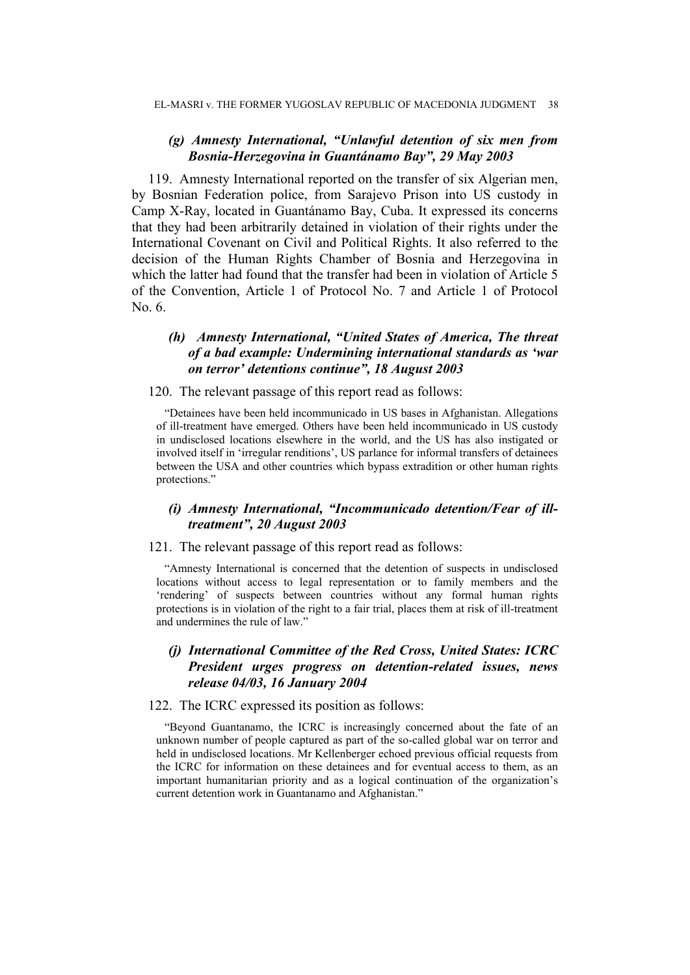## *(g) Amnesty International, "Unlawful detention of six men from Bosnia-Herzegovina in Guantánamo Bay", 29 May 2003*

119. Amnesty International reported on the transfer of six Algerian men, by Bosnian Federation police, from Sarajevo Prison into US custody in Camp X-Ray, located in Guantánamo Bay, Cuba. It expressed its concerns that they had been arbitrarily detained in violation of their rights under the International Covenant on Civil and Political Rights. It also referred to the decision of the Human Rights Chamber of Bosnia and Herzegovina in which the latter had found that the transfer had been in violation of Article 5 of the Convention, Article 1 of Protocol No. 7 and Article 1 of Protocol No. 6.

# *(h) Amnesty International, "United States of America, The threat of a bad example: Undermining international standards as 'war on terror' detentions continue", 18 August 2003*

### 120. The relevant passage of this report read as follows:

"Detainees have been held incommunicado in US bases in Afghanistan. Allegations of ill-treatment have emerged. Others have been held incommunicado in US custody in undisclosed locations elsewhere in the world, and the US has also instigated or involved itself in 'irregular renditions', US parlance for informal transfers of detainees between the USA and other countries which bypass extradition or other human rights protections."

# *(i) Amnesty International, "Incommunicado detention/Fear of illtreatment", 20 August 2003*

### 121. The relevant passage of this report read as follows:

"Amnesty International is concerned that the detention of suspects in undisclosed locations without access to legal representation or to family members and the 'rendering' of suspects between countries without any formal human rights protections is in violation of the right to a fair trial, places them at risk of ill-treatment and undermines the rule of law."

# *(j) International Committee of the Red Cross, United States: ICRC President urges progress on detention-related issues, news release 04/03, 16 January 2004*

### 122. The ICRC expressed its position as follows:

"Beyond Guantanamo, the ICRC is increasingly concerned about the fate of an unknown number of people captured as part of the so-called global war on terror and held in undisclosed locations. Mr Kellenberger echoed previous official requests from the ICRC for information on these detainees and for eventual access to them, as an important humanitarian priority and as a logical continuation of the organization's current detention work in Guantanamo and Afghanistan."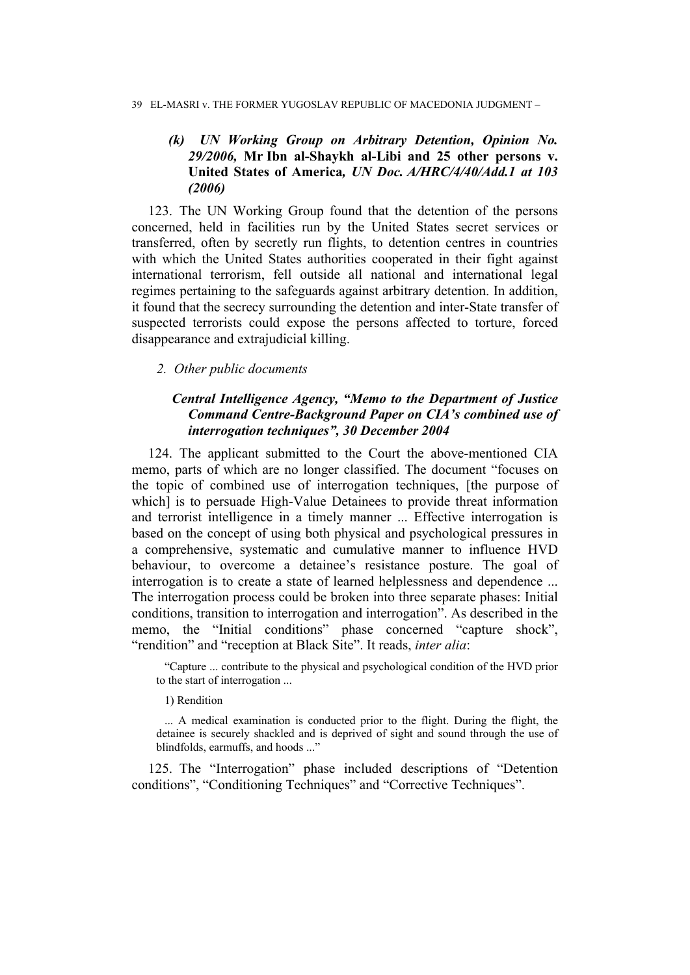# *(k) UN Working Group on Arbitrary Detention, Opinion No. 29/2006,* **Mr Ibn al-Shaykh al-Libi and 25 other persons v. United States of America***, UN Doc. A/HRC/4/40/Add.1 at 103 (2006)*

123. The UN Working Group found that the detention of the persons concerned, held in facilities run by the United States secret services or transferred, often by secretly run flights, to detention centres in countries with which the United States authorities cooperated in their fight against international terrorism, fell outside all national and international legal regimes pertaining to the safeguards against arbitrary detention. In addition, it found that the secrecy surrounding the detention and inter-State transfer of suspected terrorists could expose the persons affected to torture, forced disappearance and extrajudicial killing.

## *2. Other public documents*

# *Central Intelligence Agency, "Memo to the Department of Justice Command Centre-Background Paper on CIA's combined use of interrogation techniques", 30 December 2004*

124. The applicant submitted to the Court the above-mentioned CIA memo, parts of which are no longer classified. The document "focuses on the topic of combined use of interrogation techniques, [the purpose of which] is to persuade High-Value Detainees to provide threat information and terrorist intelligence in a timely manner ... Effective interrogation is based on the concept of using both physical and psychological pressures in a comprehensive, systematic and cumulative manner to influence HVD behaviour, to overcome a detainee's resistance posture. The goal of interrogation is to create a state of learned helplessness and dependence ... The interrogation process could be broken into three separate phases: Initial conditions, transition to interrogation and interrogation". As described in the memo, the "Initial conditions" phase concerned "capture shock", "rendition" and "reception at Black Site". It reads, *inter alia*:

"Capture ... contribute to the physical and psychological condition of the HVD prior to the start of interrogation ...

#### 1) Rendition

... A medical examination is conducted prior to the flight. During the flight, the detainee is securely shackled and is deprived of sight and sound through the use of blindfolds, earmuffs, and hoods ..."

125. The "Interrogation" phase included descriptions of "Detention conditions", "Conditioning Techniques" and "Corrective Techniques".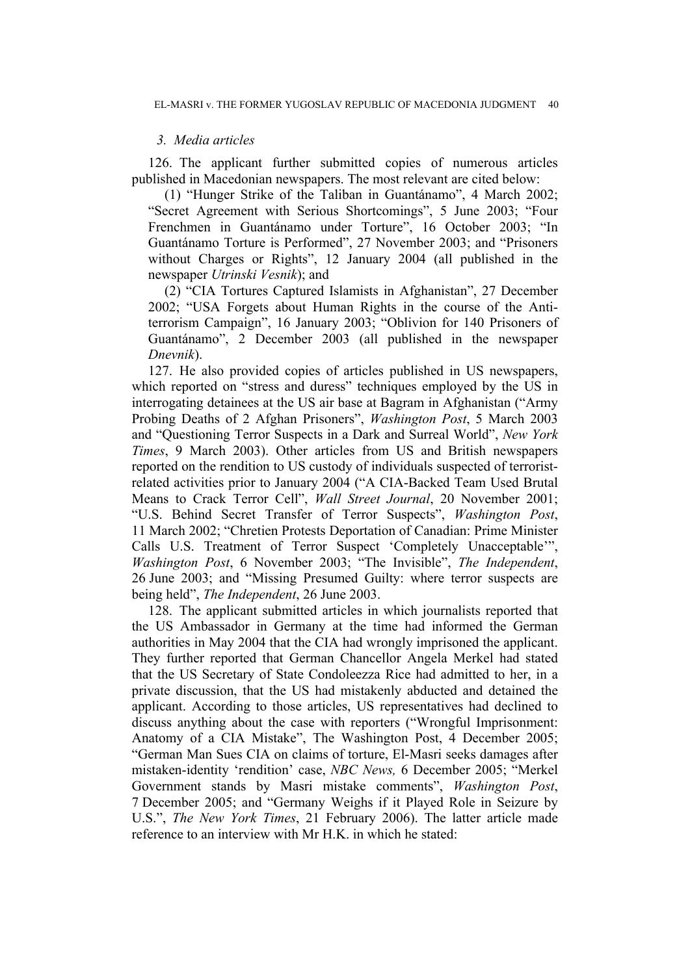## *3. Media articles*

126. The applicant further submitted copies of numerous articles published in Macedonian newspapers. The most relevant are cited below:

(1) "Hunger Strike of the Taliban in Guantánamo", 4 March 2002; "Secret Agreement with Serious Shortcomings", 5 June 2003; "Four Frenchmen in Guantánamo under Torture", 16 October 2003; "In Guantánamo Torture is Performed", 27 November 2003; and "Prisoners without Charges or Rights", 12 January 2004 (all published in the newspaper *Utrinski Vesnik*); and

(2) "CIA Tortures Captured Islamists in Afghanistan", 27 December 2002; "USA Forgets about Human Rights in the course of the Antiterrorism Campaign", 16 January 2003; "Oblivion for 140 Prisoners of Guantánamo", 2 December 2003 (all published in the newspaper *Dnevnik*).

127. He also provided copies of articles published in US newspapers, which reported on "stress and duress" techniques employed by the US in interrogating detainees at the US air base at Bagram in Afghanistan ("Army Probing Deaths of 2 Afghan Prisoners", *Washington Post*, 5 March 2003 and "Questioning Terror Suspects in a Dark and Surreal World", *New York Times*, 9 March 2003). Other articles from US and British newspapers reported on the rendition to US custody of individuals suspected of terroristrelated activities prior to January 2004 ("A CIA-Backed Team Used Brutal Means to Crack Terror Cell", *Wall Street Journal*, 20 November 2001; "U.S. Behind Secret Transfer of Terror Suspects", *Washington Post*, 11 March 2002; "Chretien Protests Deportation of Canadian: Prime Minister Calls U.S. Treatment of Terror Suspect 'Completely Unacceptable'", *Washington Post*, 6 November 2003; "The Invisible", *The Independent*, 26 June 2003; and "Missing Presumed Guilty: where terror suspects are being held", *The Independent*, 26 June 2003.

128. The applicant submitted articles in which journalists reported that the US Ambassador in Germany at the time had informed the German authorities in May 2004 that the CIA had wrongly imprisoned the applicant. They further reported that German Chancellor Angela Merkel had stated that the US Secretary of State Condoleezza Rice had admitted to her, in a private discussion, that the US had mistakenly abducted and detained the applicant. According to those articles, US representatives had declined to discuss anything about the case with reporters ("Wrongful Imprisonment: Anatomy of a CIA Mistake", The Washington Post, 4 December 2005; "German Man Sues CIA on claims of torture, El-Masri seeks damages after mistaken-identity 'rendition' case, *NBC News,* 6 December 2005; "Merkel Government stands by Masri mistake comments", *Washington Post*, 7 December 2005; and "Germany Weighs if it Played Role in Seizure by U.S.", *The New York Times*, 21 February 2006). The latter article made reference to an interview with Mr H.K. in which he stated: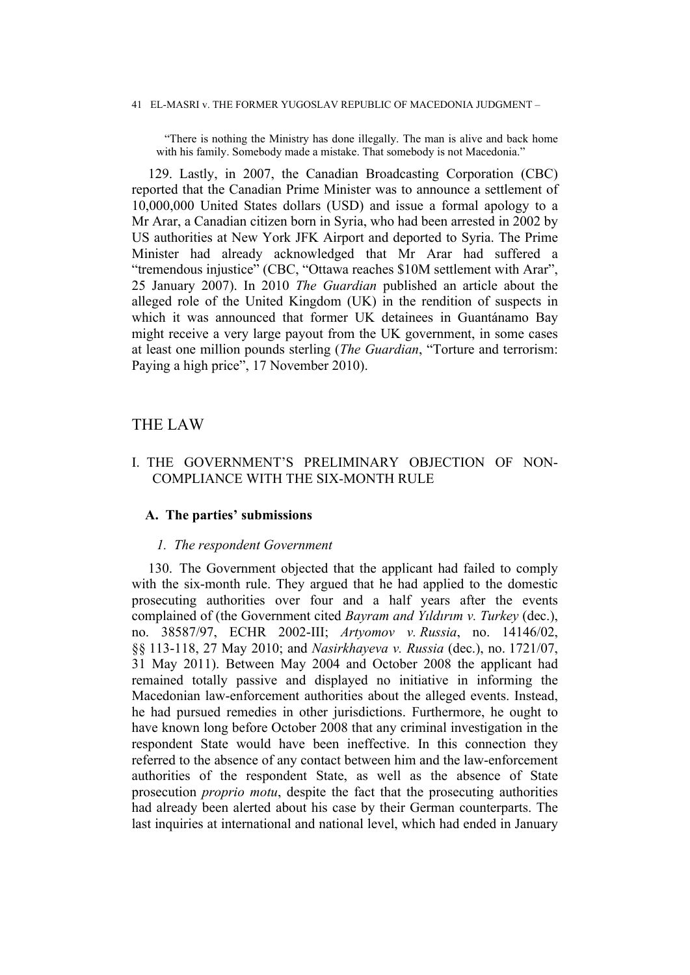"There is nothing the Ministry has done illegally. The man is alive and back home with his family. Somebody made a mistake. That somebody is not Macedonia."

129. Lastly, in 2007, the Canadian Broadcasting Corporation (CBC) reported that the Canadian Prime Minister was to announce a settlement of 10,000,000 United States dollars (USD) and issue a formal apology to a Mr Arar, a Canadian citizen born in Syria, who had been arrested in 2002 by US authorities at New York JFK Airport and deported to Syria. The Prime Minister had already acknowledged that Mr Arar had suffered a "tremendous injustice" (CBC, "Ottawa reaches \$10M settlement with Arar", 25 January 2007). In 2010 *The Guardian* published an article about the alleged role of the United Kingdom (UK) in the rendition of suspects in which it was announced that former UK detainees in Guantánamo Bay might receive a very large payout from the UK government, in some cases at least one million pounds sterling (*The Guardian*, "Torture and terrorism: Paying a high price", 17 November 2010).

# THE LAW

# I. THE GOVERNMENT'S PRELIMINARY OBJECTION OF NON-COMPLIANCE WITH THE SIX-MONTH RULE

# **A. The parties' submissions**

### *1. The respondent Government*

130. The Government objected that the applicant had failed to comply with the six-month rule. They argued that he had applied to the domestic prosecuting authorities over four and a half years after the events complained of (the Government cited *Bayram and Yıldırım v. Turkey* (dec.), no. 38587/97, ECHR 2002-III; *Artyomov v. Russia*, no. 14146/02, §§ 113-118, 27 May 2010; and *Nasirkhayeva v. Russia* (dec.), no. 1721/07, 31 May 2011). Between May 2004 and October 2008 the applicant had remained totally passive and displayed no initiative in informing the Macedonian law-enforcement authorities about the alleged events. Instead, he had pursued remedies in other jurisdictions. Furthermore, he ought to have known long before October 2008 that any criminal investigation in the respondent State would have been ineffective. In this connection they referred to the absence of any contact between him and the law-enforcement authorities of the respondent State, as well as the absence of State prosecution *proprio motu*, despite the fact that the prosecuting authorities had already been alerted about his case by their German counterparts. The last inquiries at international and national level, which had ended in January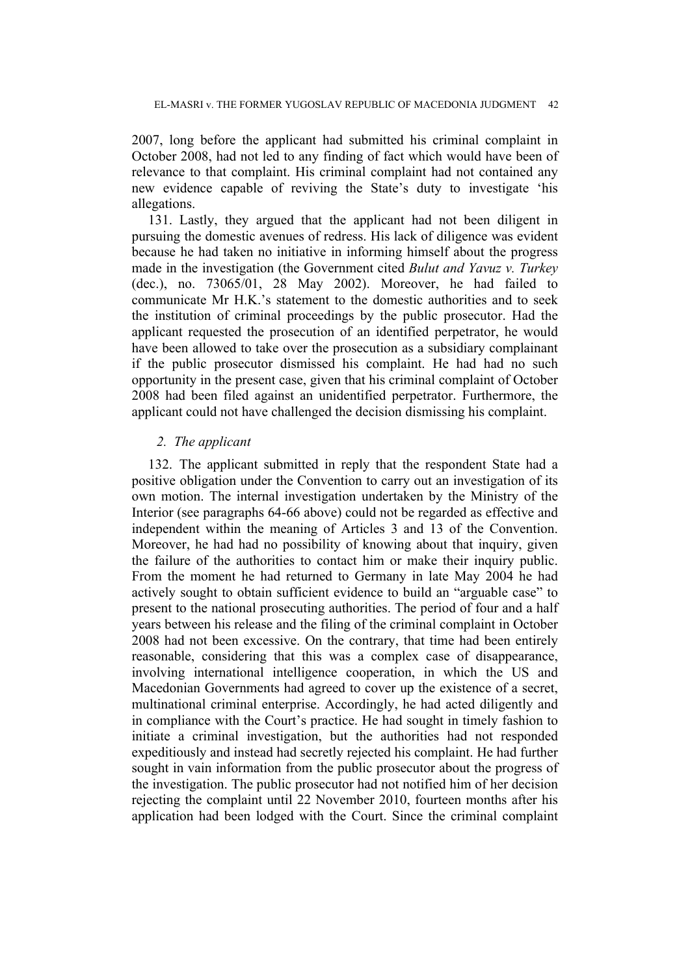2007, long before the applicant had submitted his criminal complaint in October 2008, had not led to any finding of fact which would have been of relevance to that complaint. His criminal complaint had not contained any new evidence capable of reviving the State's duty to investigate 'his allegations.

131. Lastly, they argued that the applicant had not been diligent in pursuing the domestic avenues of redress. His lack of diligence was evident because he had taken no initiative in informing himself about the progress made in the investigation (the Government cited *Bulut and Yavuz v. Turkey* (dec.), no. 73065/01, 28 May 2002). Moreover, he had failed to communicate Mr H.K.'s statement to the domestic authorities and to seek the institution of criminal proceedings by the public prosecutor. Had the applicant requested the prosecution of an identified perpetrator, he would have been allowed to take over the prosecution as a subsidiary complainant if the public prosecutor dismissed his complaint. He had had no such opportunity in the present case, given that his criminal complaint of October 2008 had been filed against an unidentified perpetrator. Furthermore, the applicant could not have challenged the decision dismissing his complaint.

## *2. The applicant*

132. The applicant submitted in reply that the respondent State had a positive obligation under the Convention to carry out an investigation of its own motion. The internal investigation undertaken by the Ministry of the Interior (see paragraphs 64-66 above) could not be regarded as effective and independent within the meaning of Articles 3 and 13 of the Convention. Moreover, he had had no possibility of knowing about that inquiry, given the failure of the authorities to contact him or make their inquiry public. From the moment he had returned to Germany in late May 2004 he had actively sought to obtain sufficient evidence to build an "arguable case" to present to the national prosecuting authorities. The period of four and a half years between his release and the filing of the criminal complaint in October 2008 had not been excessive. On the contrary, that time had been entirely reasonable, considering that this was a complex case of disappearance, involving international intelligence cooperation, in which the US and Macedonian Governments had agreed to cover up the existence of a secret, multinational criminal enterprise. Accordingly, he had acted diligently and in compliance with the Court's practice. He had sought in timely fashion to initiate a criminal investigation, but the authorities had not responded expeditiously and instead had secretly rejected his complaint. He had further sought in vain information from the public prosecutor about the progress of the investigation. The public prosecutor had not notified him of her decision rejecting the complaint until 22 November 2010, fourteen months after his application had been lodged with the Court. Since the criminal complaint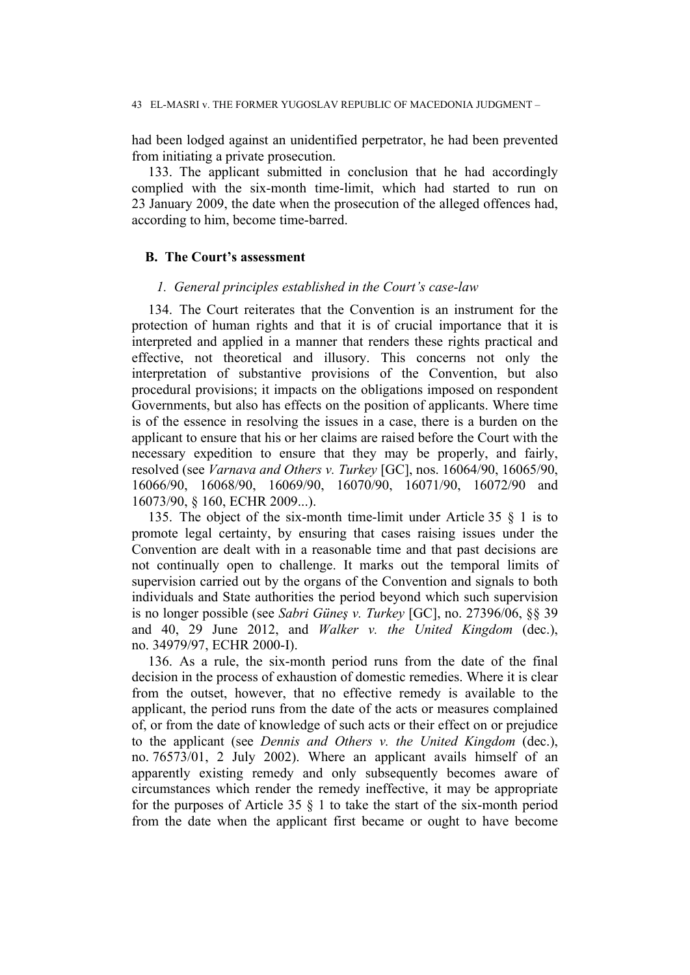had been lodged against an unidentified perpetrator, he had been prevented from initiating a private prosecution.

133. The applicant submitted in conclusion that he had accordingly complied with the six-month time-limit, which had started to run on 23 January 2009, the date when the prosecution of the alleged offences had, according to him, become time-barred.

## **B. The Court's assessment**

### *1. General principles established in the Court's case-law*

134. The Court reiterates that the Convention is an instrument for the protection of human rights and that it is of crucial importance that it is interpreted and applied in a manner that renders these rights practical and effective, not theoretical and illusory. This concerns not only the interpretation of substantive provisions of the Convention, but also procedural provisions; it impacts on the obligations imposed on respondent Governments, but also has effects on the position of applicants. Where time is of the essence in resolving the issues in a case, there is a burden on the applicant to ensure that his or her claims are raised before the Court with the necessary expedition to ensure that they may be properly, and fairly, resolved (see *Varnava and Others v. Turkey* [GC], nos. 16064/90, 16065/90, 16066/90, 16068/90, 16069/90, 16070/90, 16071/90, 16072/90 and 16073/90, § 160, ECHR 2009...).

135. The object of the six-month time-limit under Article 35 § 1 is to promote legal certainty, by ensuring that cases raising issues under the Convention are dealt with in a reasonable time and that past decisions are not continually open to challenge. It marks out the temporal limits of supervision carried out by the organs of the Convention and signals to both individuals and State authorities the period beyond which such supervision is no longer possible (see *Sabri Güneş v. Turkey* [GC], no. 27396/06, §§ 39 and 40, 29 June 2012, and *Walker v. the United Kingdom* (dec.), no. 34979/97, ECHR 2000-I).

136. As a rule, the six-month period runs from the date of the final decision in the process of exhaustion of domestic remedies. Where it is clear from the outset, however, that no effective remedy is available to the applicant, the period runs from the date of the acts or measures complained of, or from the date of knowledge of such acts or their effect on or prejudice to the applicant (see *Dennis and Others v. the United Kingdom* (dec.), no. 76573/01, 2 July 2002). Where an applicant avails himself of an apparently existing remedy and only subsequently becomes aware of circumstances which render the remedy ineffective, it may be appropriate for the purposes of Article 35 § 1 to take the start of the six-month period from the date when the applicant first became or ought to have become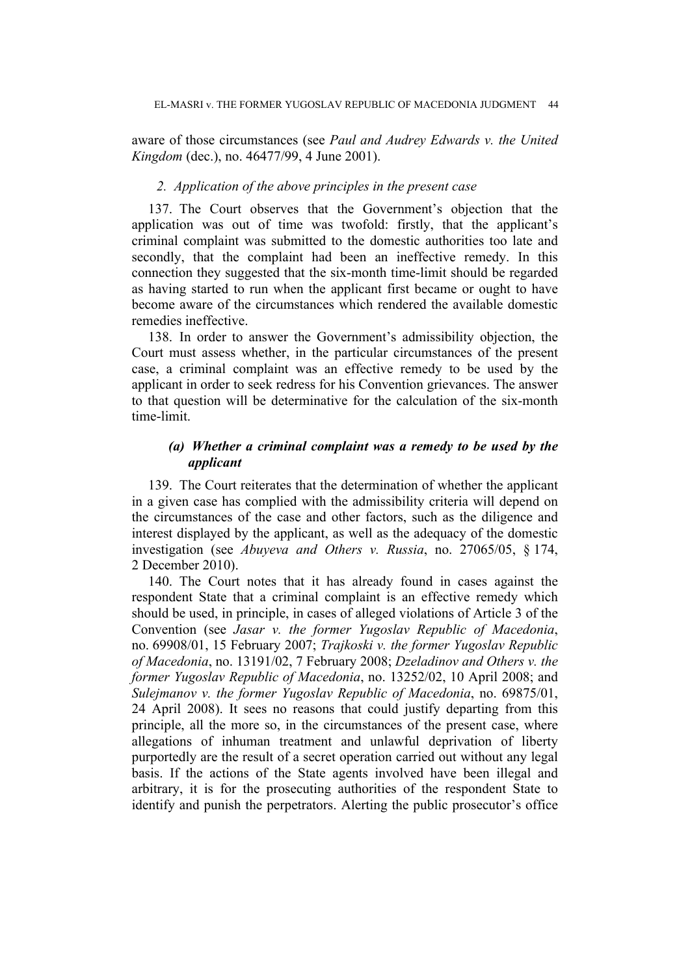aware of those circumstances (see *Paul and Audrey Edwards v. the United Kingdom* (dec.), no. 46477/99, 4 June 2001).

## *2. Application of the above principles in the present case*

137. The Court observes that the Government's objection that the application was out of time was twofold: firstly, that the applicant's criminal complaint was submitted to the domestic authorities too late and secondly, that the complaint had been an ineffective remedy. In this connection they suggested that the six-month time-limit should be regarded as having started to run when the applicant first became or ought to have become aware of the circumstances which rendered the available domestic remedies ineffective.

138. In order to answer the Government's admissibility objection, the Court must assess whether, in the particular circumstances of the present case, a criminal complaint was an effective remedy to be used by the applicant in order to seek redress for his Convention grievances. The answer to that question will be determinative for the calculation of the six-month time-limit.

# *(a) Whether a criminal complaint was a remedy to be used by the applicant*

139. The Court reiterates that the determination of whether the applicant in a given case has complied with the admissibility criteria will depend on the circumstances of the case and other factors, such as the diligence and interest displayed by the applicant, as well as the adequacy of the domestic investigation (see *Abuyeva and Others v. Russia*, no. 27065/05, § 174, 2 December 2010).

140. The Court notes that it has already found in cases against the respondent State that a criminal complaint is an effective remedy which should be used, in principle, in cases of alleged violations of Article 3 of the Convention (see *Jasar v. the former Yugoslav Republic of Macedonia*, no. 69908/01, 15 February 2007; *Trajkoski v. the former Yugoslav Republic of Macedonia*, no. 13191/02, 7 February 2008; *Dzeladinov and Others v. the former Yugoslav Republic of Macedonia*, no. 13252/02, 10 April 2008; and *Sulejmanov v. the former Yugoslav Republic of Macedonia*, no. 69875/01, 24 April 2008). It sees no reasons that could justify departing from this principle, all the more so, in the circumstances of the present case, where allegations of inhuman treatment and unlawful deprivation of liberty purportedly are the result of a secret operation carried out without any legal basis. If the actions of the State agents involved have been illegal and arbitrary, it is for the prosecuting authorities of the respondent State to identify and punish the perpetrators. Alerting the public prosecutor's office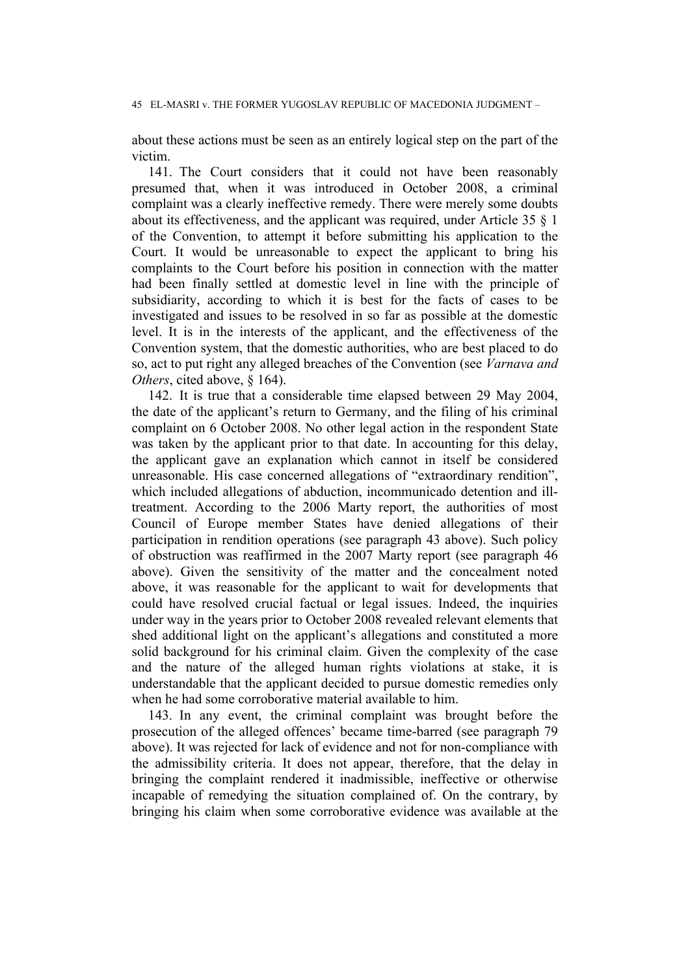about these actions must be seen as an entirely logical step on the part of the victim.

141. The Court considers that it could not have been reasonably presumed that, when it was introduced in October 2008, a criminal complaint was a clearly ineffective remedy. There were merely some doubts about its effectiveness, and the applicant was required, under Article 35 § 1 of the Convention, to attempt it before submitting his application to the Court. It would be unreasonable to expect the applicant to bring his complaints to the Court before his position in connection with the matter had been finally settled at domestic level in line with the principle of subsidiarity, according to which it is best for the facts of cases to be investigated and issues to be resolved in so far as possible at the domestic level. It is in the interests of the applicant, and the effectiveness of the Convention system, that the domestic authorities, who are best placed to do so, act to put right any alleged breaches of the Convention (see *Varnava and Others*, cited above, § 164).

142. It is true that a considerable time elapsed between 29 May 2004, the date of the applicant's return to Germany, and the filing of his criminal complaint on 6 October 2008. No other legal action in the respondent State was taken by the applicant prior to that date. In accounting for this delay, the applicant gave an explanation which cannot in itself be considered unreasonable. His case concerned allegations of "extraordinary rendition", which included allegations of abduction, incommunicado detention and illtreatment. According to the 2006 Marty report, the authorities of most Council of Europe member States have denied allegations of their participation in rendition operations (see paragraph 43 above). Such policy of obstruction was reaffirmed in the 2007 Marty report (see paragraph 46 above). Given the sensitivity of the matter and the concealment noted above, it was reasonable for the applicant to wait for developments that could have resolved crucial factual or legal issues. Indeed, the inquiries under way in the years prior to October 2008 revealed relevant elements that shed additional light on the applicant's allegations and constituted a more solid background for his criminal claim. Given the complexity of the case and the nature of the alleged human rights violations at stake, it is understandable that the applicant decided to pursue domestic remedies only when he had some corroborative material available to him.

143. In any event, the criminal complaint was brought before the prosecution of the alleged offences' became time-barred (see paragraph 79 above). It was rejected for lack of evidence and not for non-compliance with the admissibility criteria. It does not appear, therefore, that the delay in bringing the complaint rendered it inadmissible, ineffective or otherwise incapable of remedying the situation complained of. On the contrary, by bringing his claim when some corroborative evidence was available at the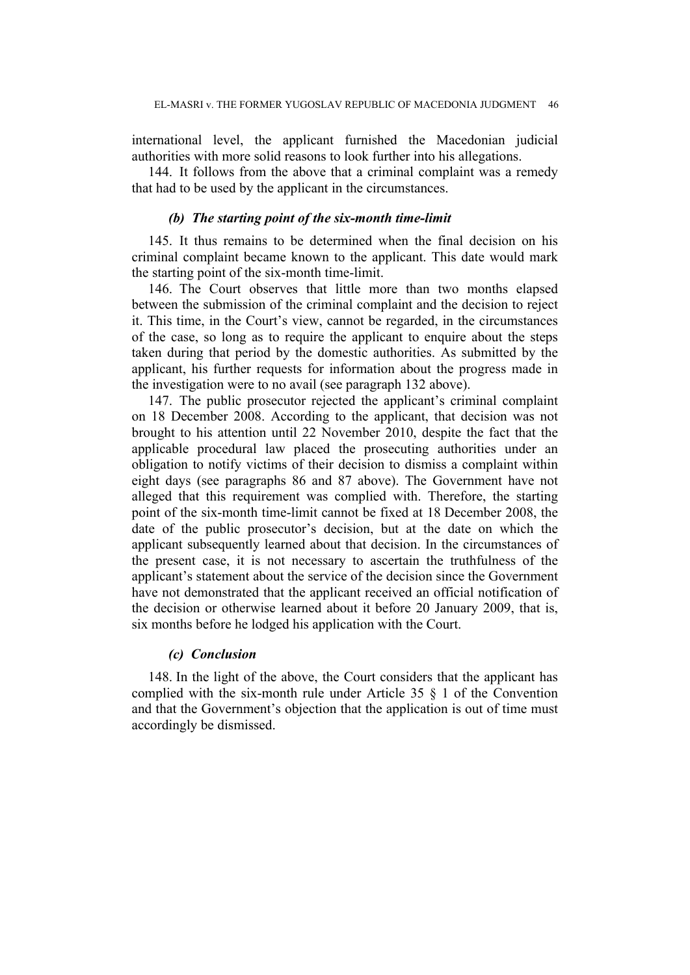international level, the applicant furnished the Macedonian judicial authorities with more solid reasons to look further into his allegations.

144. It follows from the above that a criminal complaint was a remedy that had to be used by the applicant in the circumstances.

### *(b) The starting point of the six-month time-limit*

145. It thus remains to be determined when the final decision on his criminal complaint became known to the applicant. This date would mark the starting point of the six-month time-limit.

146. The Court observes that little more than two months elapsed between the submission of the criminal complaint and the decision to reject it. This time, in the Court's view, cannot be regarded, in the circumstances of the case, so long as to require the applicant to enquire about the steps taken during that period by the domestic authorities. As submitted by the applicant, his further requests for information about the progress made in the investigation were to no avail (see paragraph 132 above).

147. The public prosecutor rejected the applicant's criminal complaint on 18 December 2008. According to the applicant, that decision was not brought to his attention until 22 November 2010, despite the fact that the applicable procedural law placed the prosecuting authorities under an obligation to notify victims of their decision to dismiss a complaint within eight days (see paragraphs 86 and 87 above). The Government have not alleged that this requirement was complied with. Therefore, the starting point of the six-month time-limit cannot be fixed at 18 December 2008, the date of the public prosecutor's decision, but at the date on which the applicant subsequently learned about that decision. In the circumstances of the present case, it is not necessary to ascertain the truthfulness of the applicant's statement about the service of the decision since the Government have not demonstrated that the applicant received an official notification of the decision or otherwise learned about it before 20 January 2009, that is, six months before he lodged his application with the Court.

### *(c) Conclusion*

148. In the light of the above, the Court considers that the applicant has complied with the six-month rule under Article 35 § 1 of the Convention and that the Government's objection that the application is out of time must accordingly be dismissed.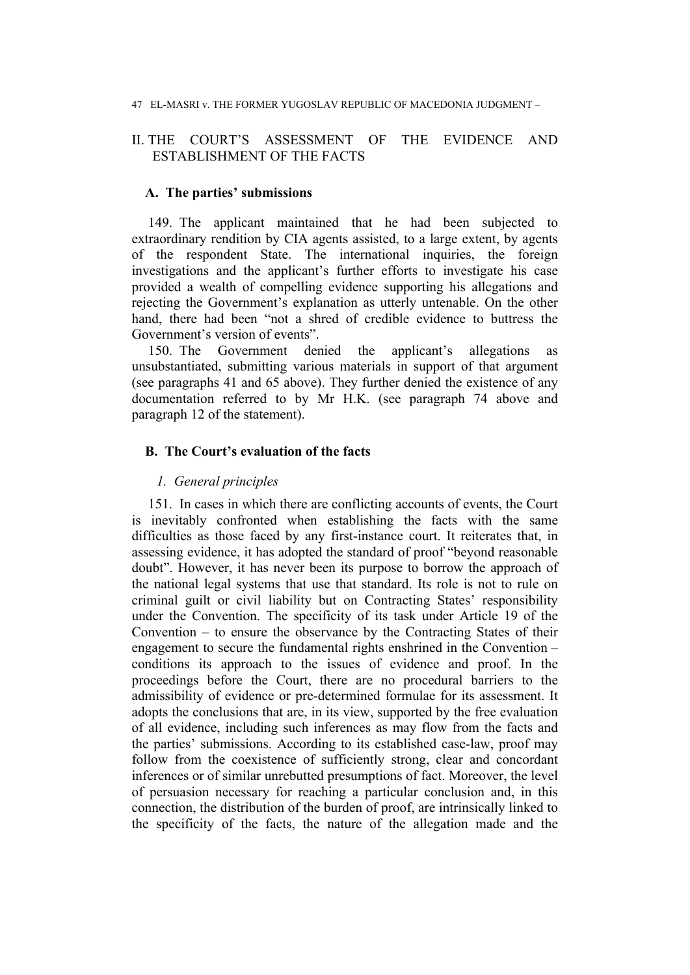# II. THE COURT'S ASSESSMENT OF THE EVIDENCE AND ESTABLISHMENT OF THE FACTS

## **A. The parties' submissions**

149. The applicant maintained that he had been subjected to extraordinary rendition by CIA agents assisted, to a large extent, by agents of the respondent State. The international inquiries, the foreign investigations and the applicant's further efforts to investigate his case provided a wealth of compelling evidence supporting his allegations and rejecting the Government's explanation as utterly untenable. On the other hand, there had been "not a shred of credible evidence to buttress the Government's version of events".

150. The Government denied the applicant's allegations as unsubstantiated, submitting various materials in support of that argument (see paragraphs 41 and 65 above). They further denied the existence of any documentation referred to by Mr H.K. (see paragraph 74 above and paragraph 12 of the statement).

## **B. The Court's evaluation of the facts**

## *1. General principles*

151. In cases in which there are conflicting accounts of events, the Court is inevitably confronted when establishing the facts with the same difficulties as those faced by any first-instance court. It reiterates that, in assessing evidence, it has adopted the standard of proof "beyond reasonable doubt". However, it has never been its purpose to borrow the approach of the national legal systems that use that standard. Its role is not to rule on criminal guilt or civil liability but on Contracting States' responsibility under the Convention. The specificity of its task under Article 19 of the Convention – to ensure the observance by the Contracting States of their engagement to secure the fundamental rights enshrined in the Convention – conditions its approach to the issues of evidence and proof. In the proceedings before the Court, there are no procedural barriers to the admissibility of evidence or pre-determined formulae for its assessment. It adopts the conclusions that are, in its view, supported by the free evaluation of all evidence, including such inferences as may flow from the facts and the parties' submissions. According to its established case-law, proof may follow from the coexistence of sufficiently strong, clear and concordant inferences or of similar unrebutted presumptions of fact. Moreover, the level of persuasion necessary for reaching a particular conclusion and, in this connection, the distribution of the burden of proof, are intrinsically linked to the specificity of the facts, the nature of the allegation made and the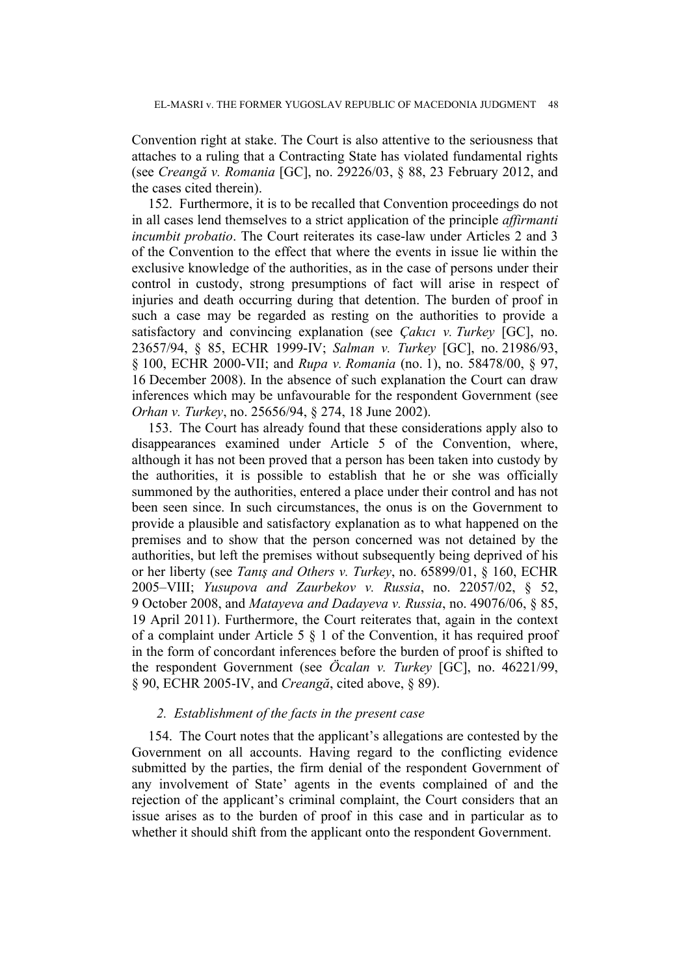Convention right at stake. The Court is also attentive to the seriousness that attaches to a ruling that a Contracting State has violated fundamental rights (see *Creangă v. Romania* [GC], no. 29226/03, § 88, 23 February 2012, and the cases cited therein).

152. Furthermore, it is to be recalled that Convention proceedings do not in all cases lend themselves to a strict application of the principle *affirmanti incumbit probatio*. The Court reiterates its case-law under Articles 2 and 3 of the Convention to the effect that where the events in issue lie within the exclusive knowledge of the authorities, as in the case of persons under their control in custody, strong presumptions of fact will arise in respect of injuries and death occurring during that detention. The burden of proof in such a case may be regarded as resting on the authorities to provide a satisfactory and convincing explanation (see *Çakıcı v. Turkey* [GC], no. 23657/94, § 85, ECHR 1999-IV; *Salman v. Turkey* [GC], no. 21986/93, § 100, ECHR 2000-VII; and *Rupa v. Romania* (no. 1), no. 58478/00, § 97, 16 December 2008). In the absence of such explanation the Court can draw inferences which may be unfavourable for the respondent Government (see *Orhan v. Turkey*, no. 25656/94, § 274, 18 June 2002).

153. The Court has already found that these considerations apply also to disappearances examined under Article 5 of the Convention, where, although it has not been proved that a person has been taken into custody by the authorities, it is possible to establish that he or she was officially summoned by the authorities, entered a place under their control and has not been seen since. In such circumstances, the onus is on the Government to provide a plausible and satisfactory explanation as to what happened on the premises and to show that the person concerned was not detained by the authorities, but left the premises without subsequently being deprived of his or her liberty (see *Tanış and Others v. Turkey*, no. 65899/01, § 160, ECHR 2005–VIII; *Yusupova and Zaurbekov v. Russia*, no. 22057/02, § 52, 9 October 2008, and *Matayeva and Dadayeva v. Russia*, no. 49076/06, § 85, 19 April 2011). Furthermore, the Court reiterates that, again in the context of a complaint under Article 5 § 1 of the Convention, it has required proof in the form of concordant inferences before the burden of proof is shifted to the respondent Government (see *Öcalan v. Turkey* [GC], no. 46221/99, § 90, ECHR 2005-IV, and *Creangă*, cited above, § 89).

# *2. Establishment of the facts in the present case*

154. The Court notes that the applicant's allegations are contested by the Government on all accounts. Having regard to the conflicting evidence submitted by the parties, the firm denial of the respondent Government of any involvement of State' agents in the events complained of and the rejection of the applicant's criminal complaint, the Court considers that an issue arises as to the burden of proof in this case and in particular as to whether it should shift from the applicant onto the respondent Government.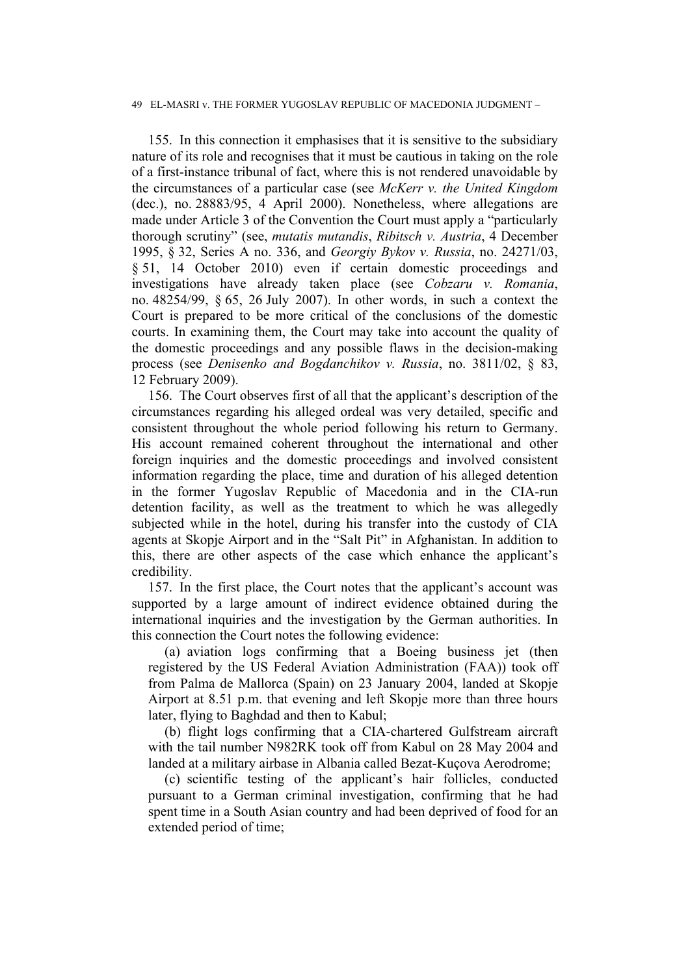155. In this connection it emphasises that it is sensitive to the subsidiary nature of its role and recognises that it must be cautious in taking on the role of a first-instance tribunal of fact, where this is not rendered unavoidable by the circumstances of a particular case (see *McKerr v. the United Kingdom* (dec.), no. 28883/95, 4 April 2000). Nonetheless, where allegations are made under Article 3 of the Convention the Court must apply a "particularly thorough scrutiny" (see, *mutatis mutandis*, *Ribitsch v. Austria*, 4 December 1995, § 32, Series A no. 336, and *Georgiy Bykov v. Russia*, no. 24271/03, § 51, 14 October 2010) even if certain domestic proceedings and investigations have already taken place (see *Cobzaru v. Romania*, no. 48254/99, § 65, 26 July 2007). In other words, in such a context the Court is prepared to be more critical of the conclusions of the domestic courts. In examining them, the Court may take into account the quality of the domestic proceedings and any possible flaws in the decision-making process (see *Denisenko and Bogdanchikov v. Russia*, no. 3811/02, § 83, 12 February 2009).

156. The Court observes first of all that the applicant's description of the circumstances regarding his alleged ordeal was very detailed, specific and consistent throughout the whole period following his return to Germany. His account remained coherent throughout the international and other foreign inquiries and the domestic proceedings and involved consistent information regarding the place, time and duration of his alleged detention in the former Yugoslav Republic of Macedonia and in the CIA-run detention facility, as well as the treatment to which he was allegedly subjected while in the hotel, during his transfer into the custody of CIA agents at Skopje Airport and in the "Salt Pit" in Afghanistan. In addition to this, there are other aspects of the case which enhance the applicant's credibility.

157. In the first place, the Court notes that the applicant's account was supported by a large amount of indirect evidence obtained during the international inquiries and the investigation by the German authorities. In this connection the Court notes the following evidence:

(a) aviation logs confirming that a Boeing business jet (then registered by the US Federal Aviation Administration (FAA)) took off from Palma de Mallorca (Spain) on 23 January 2004, landed at Skopje Airport at 8.51 p.m. that evening and left Skopje more than three hours later, flying to Baghdad and then to Kabul;

(b) flight logs confirming that a CIA-chartered Gulfstream aircraft with the tail number N982RK took off from Kabul on 28 May 2004 and landed at a military airbase in Albania called Bezat-Kuçova Aerodrome;

(c) scientific testing of the applicant's hair follicles, conducted pursuant to a German criminal investigation, confirming that he had spent time in a South Asian country and had been deprived of food for an extended period of time;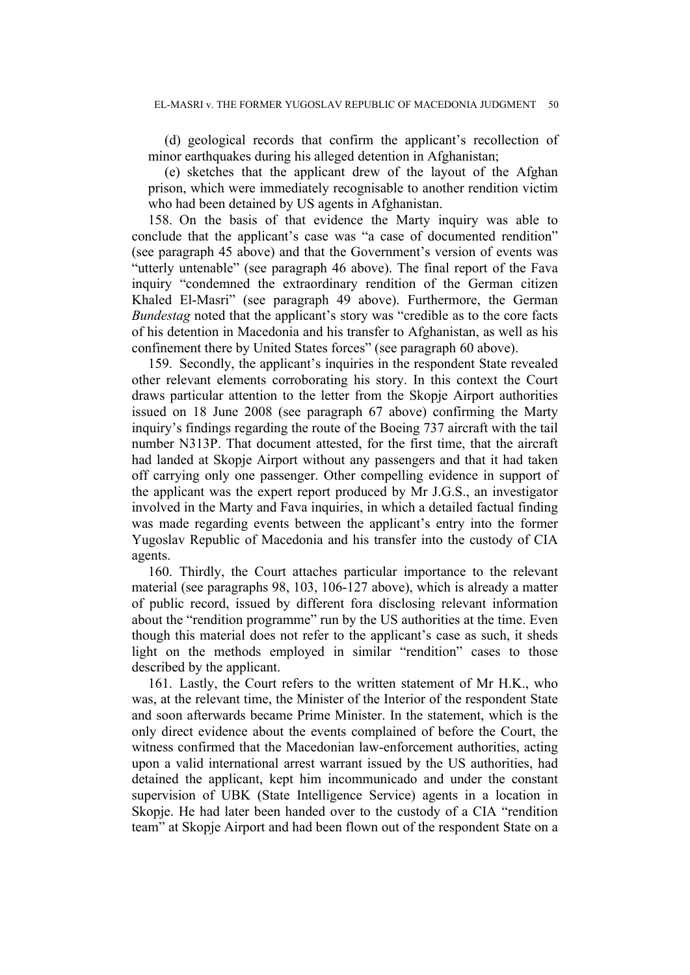(d) geological records that confirm the applicant's recollection of minor earthquakes during his alleged detention in Afghanistan;

(e) sketches that the applicant drew of the layout of the Afghan prison, which were immediately recognisable to another rendition victim who had been detained by US agents in Afghanistan.

158. On the basis of that evidence the Marty inquiry was able to conclude that the applicant's case was "a case of documented rendition" (see paragraph 45 above) and that the Government's version of events was "utterly untenable" (see paragraph 46 above). The final report of the Fava inquiry "condemned the extraordinary rendition of the German citizen Khaled El-Masri" (see paragraph 49 above). Furthermore, the German *Bundestag* noted that the applicant's story was "credible as to the core facts of his detention in Macedonia and his transfer to Afghanistan, as well as his confinement there by United States forces" (see paragraph 60 above).

159. Secondly, the applicant's inquiries in the respondent State revealed other relevant elements corroborating his story. In this context the Court draws particular attention to the letter from the Skopje Airport authorities issued on 18 June 2008 (see paragraph 67 above) confirming the Marty inquiry's findings regarding the route of the Boeing 737 aircraft with the tail number N313P. That document attested, for the first time, that the aircraft had landed at Skopje Airport without any passengers and that it had taken off carrying only one passenger. Other compelling evidence in support of the applicant was the expert report produced by Mr J.G.S., an investigator involved in the Marty and Fava inquiries, in which a detailed factual finding was made regarding events between the applicant's entry into the former Yugoslav Republic of Macedonia and his transfer into the custody of CIA agents.

160. Thirdly, the Court attaches particular importance to the relevant material (see paragraphs 98, 103, 106-127 above), which is already a matter of public record, issued by different fora disclosing relevant information about the "rendition programme" run by the US authorities at the time. Even though this material does not refer to the applicant's case as such, it sheds light on the methods employed in similar "rendition" cases to those described by the applicant.

161. Lastly, the Court refers to the written statement of Mr H.K., who was, at the relevant time, the Minister of the Interior of the respondent State and soon afterwards became Prime Minister. In the statement, which is the only direct evidence about the events complained of before the Court, the witness confirmed that the Macedonian law-enforcement authorities, acting upon a valid international arrest warrant issued by the US authorities, had detained the applicant, kept him incommunicado and under the constant supervision of UBK (State Intelligence Service) agents in a location in Skopje. He had later been handed over to the custody of a CIA "rendition team" at Skopje Airport and had been flown out of the respondent State on a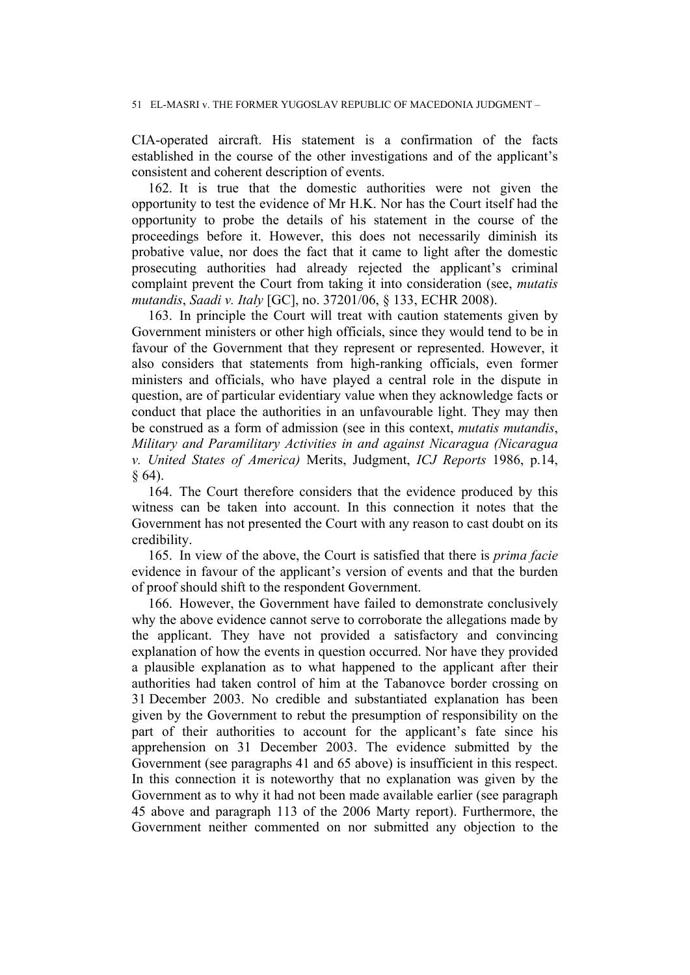CIA-operated aircraft. His statement is a confirmation of the facts established in the course of the other investigations and of the applicant's consistent and coherent description of events.

162. It is true that the domestic authorities were not given the opportunity to test the evidence of Mr H.K. Nor has the Court itself had the opportunity to probe the details of his statement in the course of the proceedings before it. However, this does not necessarily diminish its probative value, nor does the fact that it came to light after the domestic prosecuting authorities had already rejected the applicant's criminal complaint prevent the Court from taking it into consideration (see, *mutatis mutandis*, *Saadi v. Italy* [GC], no. 37201/06, § 133, ECHR 2008).

163. In principle the Court will treat with caution statements given by Government ministers or other high officials, since they would tend to be in favour of the Government that they represent or represented. However, it also considers that statements from high-ranking officials, even former ministers and officials, who have played a central role in the dispute in question, are of particular evidentiary value when they acknowledge facts or conduct that place the authorities in an unfavourable light. They may then be construed as a form of admission (see in this context, *mutatis mutandis*, *Military and Paramilitary Activities in and against Nicaragua (Nicaragua v. United States of America)* Merits, Judgment, *ICJ Reports* 1986, p.14, § 64).

164. The Court therefore considers that the evidence produced by this witness can be taken into account. In this connection it notes that the Government has not presented the Court with any reason to cast doubt on its credibility.

165. In view of the above, the Court is satisfied that there is *prima facie* evidence in favour of the applicant's version of events and that the burden of proof should shift to the respondent Government.

166. However, the Government have failed to demonstrate conclusively why the above evidence cannot serve to corroborate the allegations made by the applicant. They have not provided a satisfactory and convincing explanation of how the events in question occurred. Nor have they provided a plausible explanation as to what happened to the applicant after their authorities had taken control of him at the Tabanovce border crossing on 31 December 2003. No credible and substantiated explanation has been given by the Government to rebut the presumption of responsibility on the part of their authorities to account for the applicant's fate since his apprehension on 31 December 2003. The evidence submitted by the Government (see paragraphs 41 and 65 above) is insufficient in this respect. In this connection it is noteworthy that no explanation was given by the Government as to why it had not been made available earlier (see paragraph 45 above and paragraph 113 of the 2006 Marty report). Furthermore, the Government neither commented on nor submitted any objection to the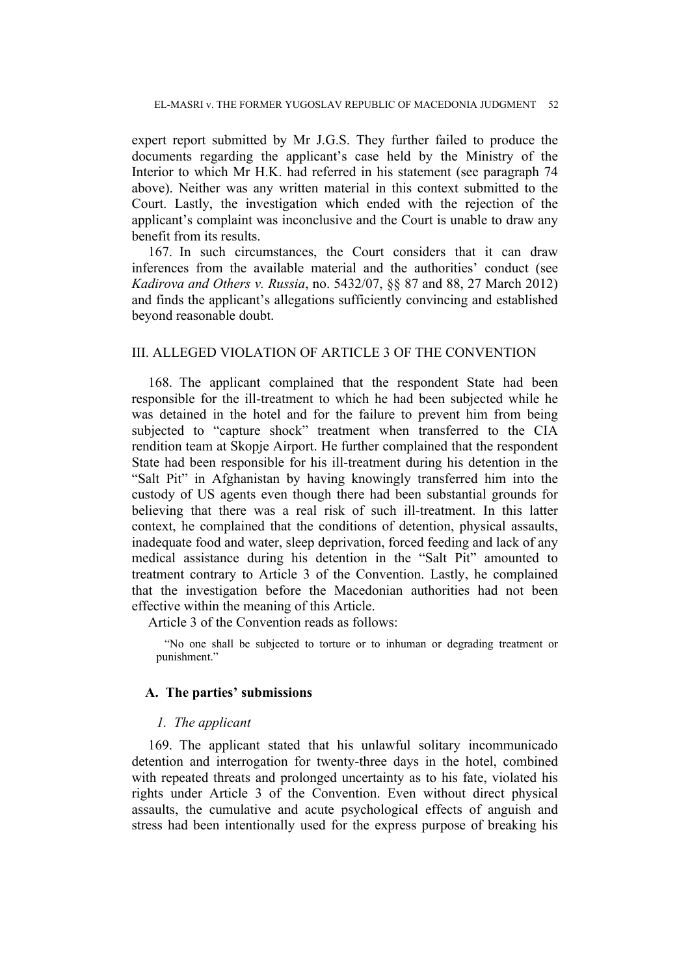expert report submitted by Mr J.G.S. They further failed to produce the documents regarding the applicant's case held by the Ministry of the Interior to which Mr H.K. had referred in his statement (see paragraph 74 above). Neither was any written material in this context submitted to the Court. Lastly, the investigation which ended with the rejection of the applicant's complaint was inconclusive and the Court is unable to draw any benefit from its results.

167. In such circumstances, the Court considers that it can draw inferences from the available material and the authorities' conduct (see *Kadirova and Others v. Russia*, no. 5432/07, §§ 87 and 88, 27 March 2012) and finds the applicant's allegations sufficiently convincing and established beyond reasonable doubt.

# III. ALLEGED VIOLATION OF ARTICLE 3 OF THE CONVENTION

168. The applicant complained that the respondent State had been responsible for the ill-treatment to which he had been subjected while he was detained in the hotel and for the failure to prevent him from being subjected to "capture shock" treatment when transferred to the CIA rendition team at Skopje Airport. He further complained that the respondent State had been responsible for his ill-treatment during his detention in the "Salt Pit" in Afghanistan by having knowingly transferred him into the custody of US agents even though there had been substantial grounds for believing that there was a real risk of such ill-treatment. In this latter context, he complained that the conditions of detention, physical assaults, inadequate food and water, sleep deprivation, forced feeding and lack of any medical assistance during his detention in the "Salt Pit" amounted to treatment contrary to Article 3 of the Convention. Lastly, he complained that the investigation before the Macedonian authorities had not been effective within the meaning of this Article.

Article 3 of the Convention reads as follows:

"No one shall be subjected to torture or to inhuman or degrading treatment or punishment."

## **A. The parties' submissions**

## *1. The applicant*

169. The applicant stated that his unlawful solitary incommunicado detention and interrogation for twenty-three days in the hotel, combined with repeated threats and prolonged uncertainty as to his fate, violated his rights under Article 3 of the Convention. Even without direct physical assaults, the cumulative and acute psychological effects of anguish and stress had been intentionally used for the express purpose of breaking his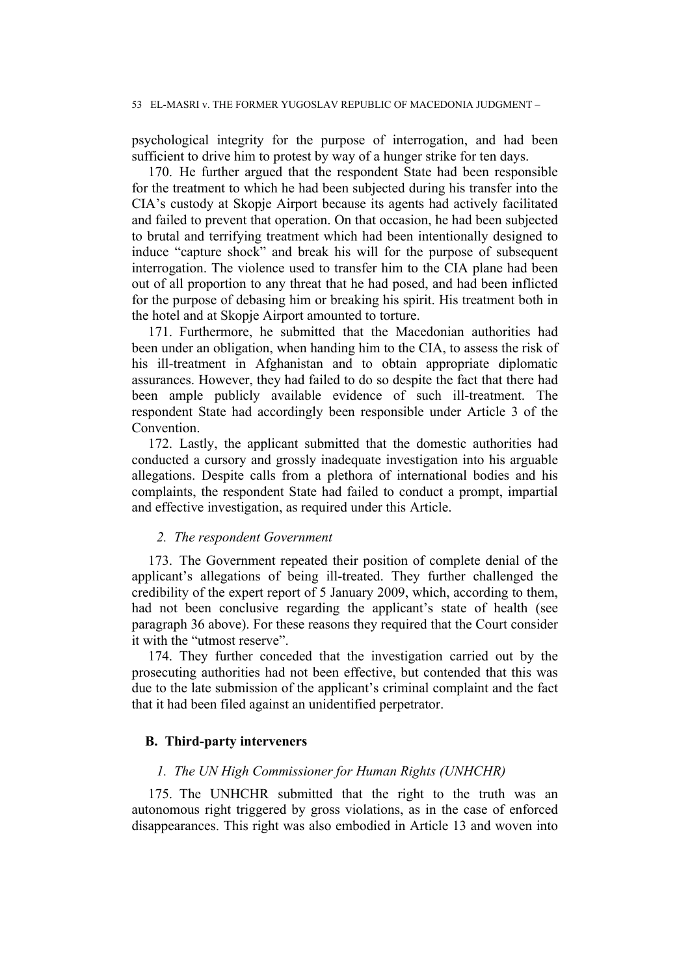psychological integrity for the purpose of interrogation, and had been sufficient to drive him to protest by way of a hunger strike for ten days.

170. He further argued that the respondent State had been responsible for the treatment to which he had been subjected during his transfer into the CIA's custody at Skopje Airport because its agents had actively facilitated and failed to prevent that operation. On that occasion, he had been subjected to brutal and terrifying treatment which had been intentionally designed to induce "capture shock" and break his will for the purpose of subsequent interrogation. The violence used to transfer him to the CIA plane had been out of all proportion to any threat that he had posed, and had been inflicted for the purpose of debasing him or breaking his spirit. His treatment both in the hotel and at Skopje Airport amounted to torture.

171. Furthermore, he submitted that the Macedonian authorities had been under an obligation, when handing him to the CIA, to assess the risk of his ill-treatment in Afghanistan and to obtain appropriate diplomatic assurances. However, they had failed to do so despite the fact that there had been ample publicly available evidence of such ill-treatment. The respondent State had accordingly been responsible under Article 3 of the Convention.

172. Lastly, the applicant submitted that the domestic authorities had conducted a cursory and grossly inadequate investigation into his arguable allegations. Despite calls from a plethora of international bodies and his complaints, the respondent State had failed to conduct a prompt, impartial and effective investigation, as required under this Article.

## *2. The respondent Government*

173. The Government repeated their position of complete denial of the applicant's allegations of being ill-treated. They further challenged the credibility of the expert report of 5 January 2009, which, according to them, had not been conclusive regarding the applicant's state of health (see paragraph 36 above). For these reasons they required that the Court consider it with the "utmost reserve".

174. They further conceded that the investigation carried out by the prosecuting authorities had not been effective, but contended that this was due to the late submission of the applicant's criminal complaint and the fact that it had been filed against an unidentified perpetrator.

## **B. Third-party interveners**

## *1. The UN High Commissioner for Human Rights (UNHCHR)*

175. The UNHCHR submitted that the right to the truth was an autonomous right triggered by gross violations, as in the case of enforced disappearances. This right was also embodied in Article 13 and woven into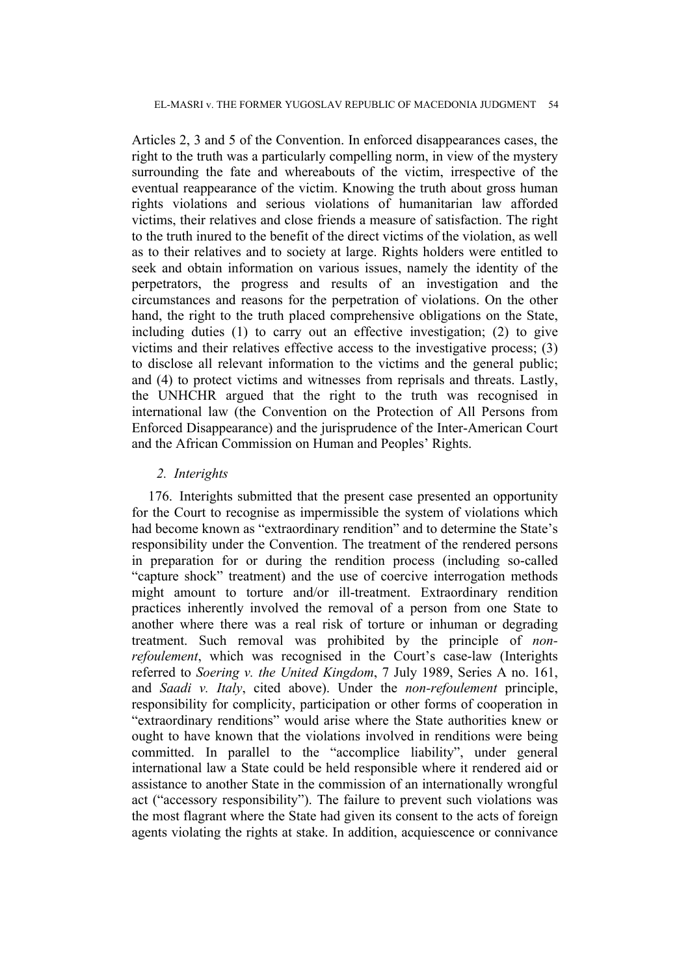Articles 2, 3 and 5 of the Convention. In enforced disappearances cases, the right to the truth was a particularly compelling norm, in view of the mystery surrounding the fate and whereabouts of the victim, irrespective of the eventual reappearance of the victim. Knowing the truth about gross human rights violations and serious violations of humanitarian law afforded victims, their relatives and close friends a measure of satisfaction. The right to the truth inured to the benefit of the direct victims of the violation, as well as to their relatives and to society at large. Rights holders were entitled to seek and obtain information on various issues, namely the identity of the perpetrators, the progress and results of an investigation and the circumstances and reasons for the perpetration of violations. On the other hand, the right to the truth placed comprehensive obligations on the State, including duties (1) to carry out an effective investigation; (2) to give victims and their relatives effective access to the investigative process; (3) to disclose all relevant information to the victims and the general public; and (4) to protect victims and witnesses from reprisals and threats. Lastly, the UNHCHR argued that the right to the truth was recognised in international law (the Convention on the Protection of All Persons from Enforced Disappearance) and the jurisprudence of the Inter-American Court and the African Commission on Human and Peoples' Rights.

## *2. Interights*

176. Interights submitted that the present case presented an opportunity for the Court to recognise as impermissible the system of violations which had become known as "extraordinary rendition" and to determine the State's responsibility under the Convention. The treatment of the rendered persons in preparation for or during the rendition process (including so-called "capture shock" treatment) and the use of coercive interrogation methods might amount to torture and/or ill-treatment. Extraordinary rendition practices inherently involved the removal of a person from one State to another where there was a real risk of torture or inhuman or degrading treatment. Such removal was prohibited by the principle of *nonrefoulement*, which was recognised in the Court's case-law (Interights referred to *Soering v. the United Kingdom*, 7 July 1989, Series A no. 161, and *Saadi v. Italy*, cited above). Under the *non-refoulement* principle, responsibility for complicity, participation or other forms of cooperation in "extraordinary renditions" would arise where the State authorities knew or ought to have known that the violations involved in renditions were being committed. In parallel to the "accomplice liability", under general international law a State could be held responsible where it rendered aid or assistance to another State in the commission of an internationally wrongful act ("accessory responsibility"). The failure to prevent such violations was the most flagrant where the State had given its consent to the acts of foreign agents violating the rights at stake. In addition, acquiescence or connivance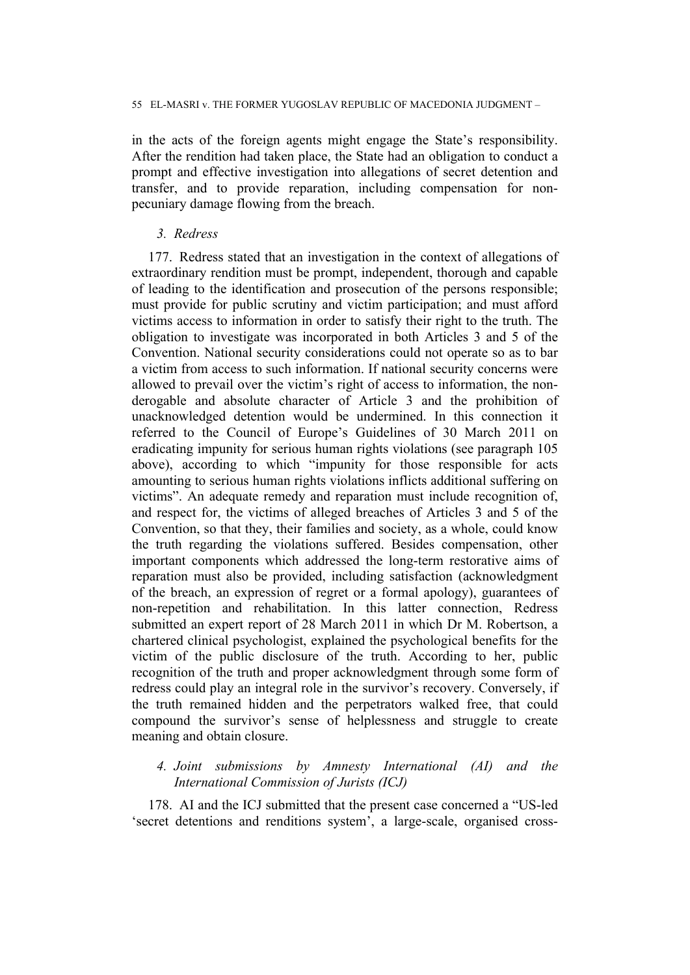in the acts of the foreign agents might engage the State's responsibility. After the rendition had taken place, the State had an obligation to conduct a prompt and effective investigation into allegations of secret detention and transfer, and to provide reparation, including compensation for nonpecuniary damage flowing from the breach.

## *3. Redress*

177. Redress stated that an investigation in the context of allegations of extraordinary rendition must be prompt, independent, thorough and capable of leading to the identification and prosecution of the persons responsible; must provide for public scrutiny and victim participation; and must afford victims access to information in order to satisfy their right to the truth. The obligation to investigate was incorporated in both Articles 3 and 5 of the Convention. National security considerations could not operate so as to bar a victim from access to such information. If national security concerns were allowed to prevail over the victim's right of access to information, the nonderogable and absolute character of Article 3 and the prohibition of unacknowledged detention would be undermined. In this connection it referred to the Council of Europe's Guidelines of 30 March 2011 on eradicating impunity for serious human rights violations (see paragraph 105 above), according to which "impunity for those responsible for acts amounting to serious human rights violations inflicts additional suffering on victims". An adequate remedy and reparation must include recognition of, and respect for, the victims of alleged breaches of Articles 3 and 5 of the Convention, so that they, their families and society, as a whole, could know the truth regarding the violations suffered. Besides compensation, other important components which addressed the long-term restorative aims of reparation must also be provided, including satisfaction (acknowledgment of the breach, an expression of regret or a formal apology), guarantees of non-repetition and rehabilitation. In this latter connection, Redress submitted an expert report of 28 March 2011 in which Dr M. Robertson, a chartered clinical psychologist, explained the psychological benefits for the victim of the public disclosure of the truth. According to her, public recognition of the truth and proper acknowledgment through some form of redress could play an integral role in the survivor's recovery. Conversely, if the truth remained hidden and the perpetrators walked free, that could compound the survivor's sense of helplessness and struggle to create meaning and obtain closure.

# *4. Joint submissions by Amnesty International (AI) and the International Commission of Jurists (ICJ)*

178. AI and the ICJ submitted that the present case concerned a "US-led 'secret detentions and renditions system', a large-scale, organised cross-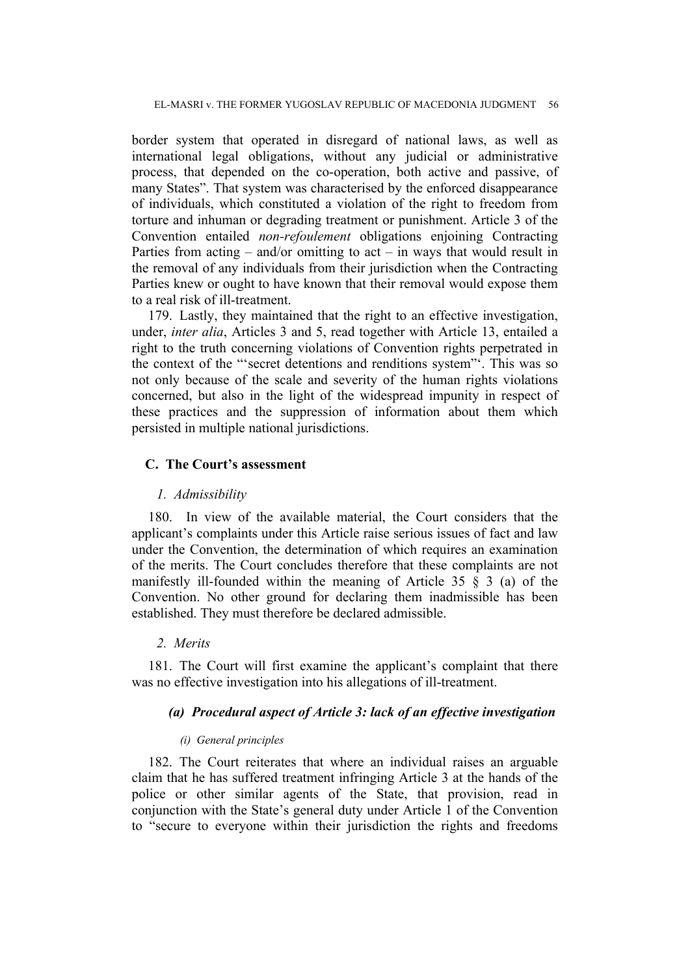border system that operated in disregard of national laws, as well as international legal obligations, without any judicial or administrative process, that depended on the co-operation, both active and passive, of many States". That system was characterised by the enforced disappearance of individuals, which constituted a violation of the right to freedom from torture and inhuman or degrading treatment or punishment. Article 3 of the Convention entailed *non-refoulement* obligations enjoining Contracting Parties from acting – and/or omitting to  $act - in$  ways that would result in the removal of any individuals from their jurisdiction when the Contracting Parties knew or ought to have known that their removal would expose them to a real risk of ill-treatment.

179. Lastly, they maintained that the right to an effective investigation, under, *inter alia*, Articles 3 and 5, read together with Article 13, entailed a right to the truth concerning violations of Convention rights perpetrated in the context of the "'secret detentions and renditions system"'. This was so not only because of the scale and severity of the human rights violations concerned, but also in the light of the widespread impunity in respect of these practices and the suppression of information about them which persisted in multiple national jurisdictions.

## **C. The Court's assessment**

### *1. Admissibility*

180. In view of the available material, the Court considers that the applicant's complaints under this Article raise serious issues of fact and law under the Convention, the determination of which requires an examination of the merits. The Court concludes therefore that these complaints are not manifestly ill-founded within the meaning of Article 35 § 3 (a) of the Convention. No other ground for declaring them inadmissible has been established. They must therefore be declared admissible.

### *2. Merits*

181. The Court will first examine the applicant's complaint that there was no effective investigation into his allegations of ill-treatment.

### *(a) Procedural aspect of Article 3: lack of an effective investigation*

### *(i) General principles*

182. The Court reiterates that where an individual raises an arguable claim that he has suffered treatment infringing Article 3 at the hands of the police or other similar agents of the State, that provision, read in conjunction with the State's general duty under Article 1 of the Convention to "secure to everyone within their jurisdiction the rights and freedoms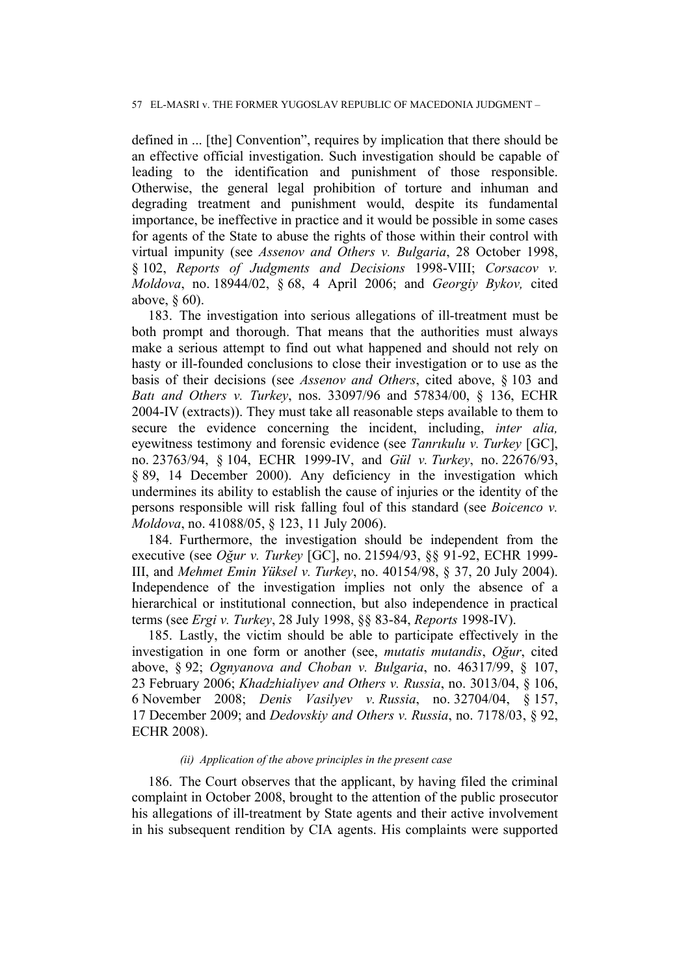defined in ... [the] Convention", requires by implication that there should be an effective official investigation. Such investigation should be capable of leading to the identification and punishment of those responsible. Otherwise, the general legal prohibition of torture and inhuman and degrading treatment and punishment would, despite its fundamental importance, be ineffective in practice and it would be possible in some cases for agents of the State to abuse the rights of those within their control with virtual impunity (see *Assenov and Others v. Bulgaria*, 28 October 1998, § 102, *Reports of Judgments and Decisions* 1998-VIII; *Corsacov v. Moldova*, no. 18944/02, § 68, 4 April 2006; and *Georgiy Bykov,* cited above, § 60).

183. The investigation into serious allegations of ill-treatment must be both prompt and thorough. That means that the authorities must always make a serious attempt to find out what happened and should not rely on hasty or ill-founded conclusions to close their investigation or to use as the basis of their decisions (see *Assenov and Others*, cited above, § 103 and *Batı and Others v. Turkey*, nos. 33097/96 and 57834/00, § 136, ECHR 2004-IV (extracts)). They must take all reasonable steps available to them to secure the evidence concerning the incident, including, *inter alia,* eyewitness testimony and forensic evidence (see *Tanrıkulu v. Turkey* [GC], no. 23763/94, § 104, ECHR 1999-IV, and *Gül v. Turkey*, no. 22676/93, § 89, 14 December 2000). Any deficiency in the investigation which undermines its ability to establish the cause of injuries or the identity of the persons responsible will risk falling foul of this standard (see *Boicenco v. Moldova*, no. 41088/05, § 123, 11 July 2006).

184. Furthermore, the investigation should be independent from the executive (see *Oğur v. Turkey* [GC], no. 21594/93, §§ 91-92, ECHR 1999- III, and *Mehmet Emin Yüksel v. Turkey*, no. 40154/98, § 37, 20 July 2004). Independence of the investigation implies not only the absence of a hierarchical or institutional connection, but also independence in practical terms (see *Ergi v. Turkey*, 28 July 1998, §§ 83-84, *Reports* 1998-IV).

185. Lastly, the victim should be able to participate effectively in the investigation in one form or another (see, *mutatis mutandis*, *Oğur*, cited above, § 92; *Ognyanova and Choban v. Bulgaria*, no. 46317/99, § 107, 23 February 2006; *Khadzhialiyev and Others v. Russia*, no. 3013/04, § 106, 6 November 2008; *Denis Vasilyev v. Russia*, no. 32704/04, § 157, 17 December 2009; and *Dedovskiy and Others v. Russia*, no. 7178/03, § 92, ECHR 2008).

### *(ii) Application of the above principles in the present case*

186. The Court observes that the applicant, by having filed the criminal complaint in October 2008, brought to the attention of the public prosecutor his allegations of ill-treatment by State agents and their active involvement in his subsequent rendition by CIA agents. His complaints were supported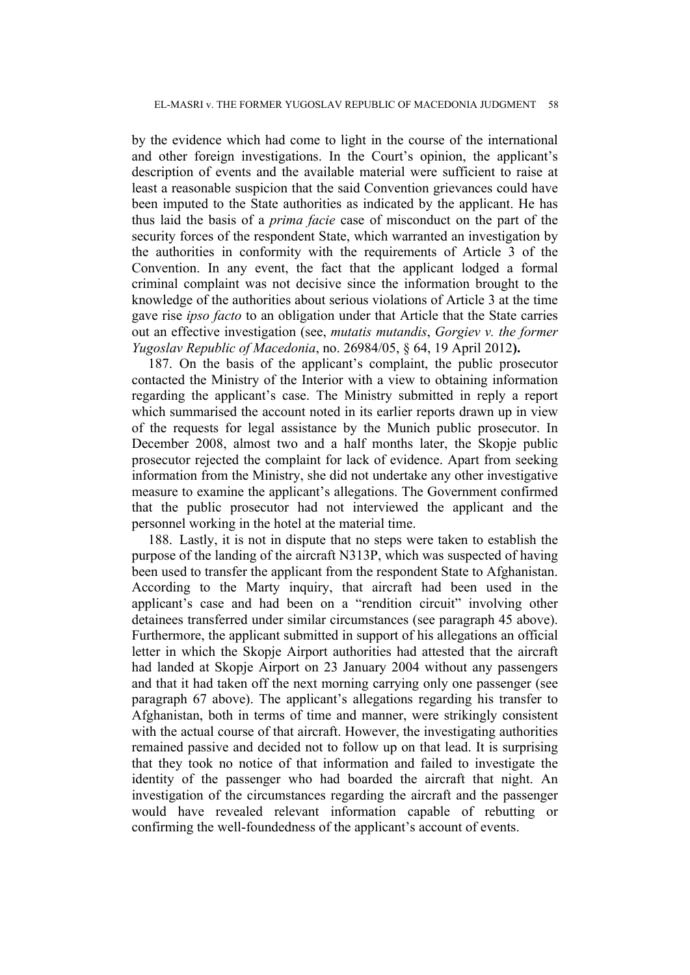by the evidence which had come to light in the course of the international and other foreign investigations. In the Court's opinion, the applicant's description of events and the available material were sufficient to raise at least a reasonable suspicion that the said Convention grievances could have been imputed to the State authorities as indicated by the applicant. He has thus laid the basis of a *prima facie* case of misconduct on the part of the security forces of the respondent State, which warranted an investigation by the authorities in conformity with the requirements of Article 3 of the Convention. In any event, the fact that the applicant lodged a formal criminal complaint was not decisive since the information brought to the knowledge of the authorities about serious violations of Article 3 at the time gave rise *ipso facto* to an obligation under that Article that the State carries out an effective investigation (see, *mutatis mutandis*, *Gorgiev v. the former Yugoslav Republic of Macedonia*, no. 26984/05, § 64, 19 April 2012**).**

187. On the basis of the applicant's complaint, the public prosecutor contacted the Ministry of the Interior with a view to obtaining information regarding the applicant's case. The Ministry submitted in reply a report which summarised the account noted in its earlier reports drawn up in view of the requests for legal assistance by the Munich public prosecutor. In December 2008, almost two and a half months later, the Skopje public prosecutor rejected the complaint for lack of evidence. Apart from seeking information from the Ministry, she did not undertake any other investigative measure to examine the applicant's allegations. The Government confirmed that the public prosecutor had not interviewed the applicant and the personnel working in the hotel at the material time.

188. Lastly, it is not in dispute that no steps were taken to establish the purpose of the landing of the aircraft N313P, which was suspected of having been used to transfer the applicant from the respondent State to Afghanistan. According to the Marty inquiry, that aircraft had been used in the applicant's case and had been on a "rendition circuit" involving other detainees transferred under similar circumstances (see paragraph 45 above). Furthermore, the applicant submitted in support of his allegations an official letter in which the Skopje Airport authorities had attested that the aircraft had landed at Skopje Airport on 23 January 2004 without any passengers and that it had taken off the next morning carrying only one passenger (see paragraph 67 above). The applicant's allegations regarding his transfer to Afghanistan, both in terms of time and manner, were strikingly consistent with the actual course of that aircraft. However, the investigating authorities remained passive and decided not to follow up on that lead. It is surprising that they took no notice of that information and failed to investigate the identity of the passenger who had boarded the aircraft that night. An investigation of the circumstances regarding the aircraft and the passenger would have revealed relevant information capable of rebutting or confirming the well-foundedness of the applicant's account of events.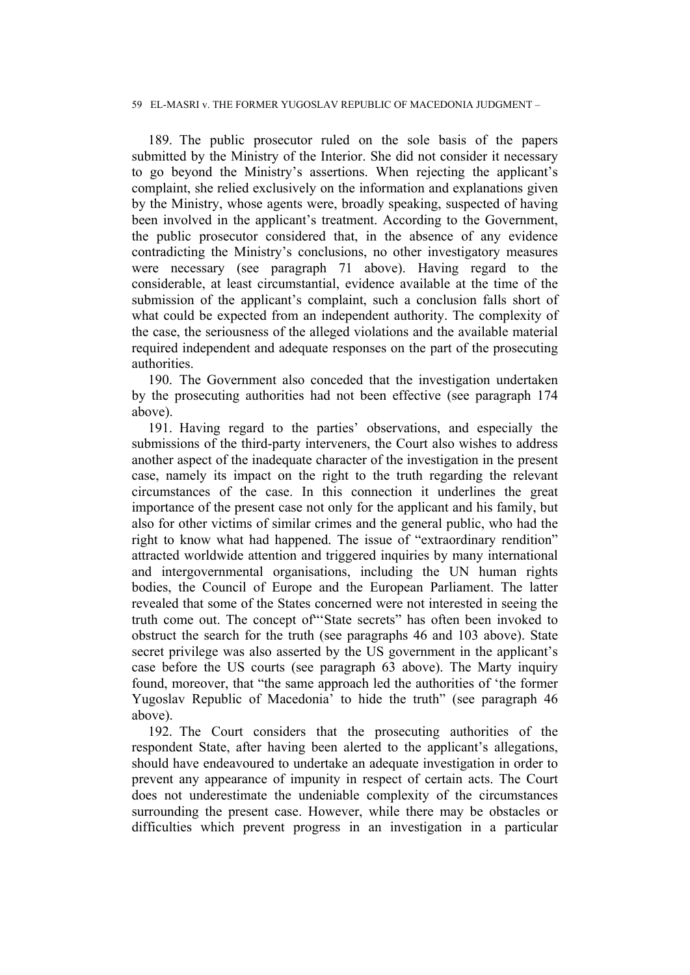189. The public prosecutor ruled on the sole basis of the papers submitted by the Ministry of the Interior. She did not consider it necessary to go beyond the Ministry's assertions. When rejecting the applicant's complaint, she relied exclusively on the information and explanations given by the Ministry, whose agents were, broadly speaking, suspected of having been involved in the applicant's treatment. According to the Government, the public prosecutor considered that, in the absence of any evidence contradicting the Ministry's conclusions, no other investigatory measures were necessary (see paragraph 71 above). Having regard to the considerable, at least circumstantial, evidence available at the time of the submission of the applicant's complaint, such a conclusion falls short of what could be expected from an independent authority. The complexity of the case, the seriousness of the alleged violations and the available material required independent and adequate responses on the part of the prosecuting authorities.

190. The Government also conceded that the investigation undertaken by the prosecuting authorities had not been effective (see paragraph 174 above).

191. Having regard to the parties' observations, and especially the submissions of the third-party interveners, the Court also wishes to address another aspect of the inadequate character of the investigation in the present case, namely its impact on the right to the truth regarding the relevant circumstances of the case. In this connection it underlines the great importance of the present case not only for the applicant and his family, but also for other victims of similar crimes and the general public, who had the right to know what had happened. The issue of "extraordinary rendition" attracted worldwide attention and triggered inquiries by many international and intergovernmental organisations, including the UN human rights bodies, the Council of Europe and the European Parliament. The latter revealed that some of the States concerned were not interested in seeing the truth come out. The concept of"'State secrets" has often been invoked to obstruct the search for the truth (see paragraphs 46 and 103 above). State secret privilege was also asserted by the US government in the applicant's case before the US courts (see paragraph 63 above). The Marty inquiry found, moreover, that "the same approach led the authorities of 'the former Yugoslav Republic of Macedonia' to hide the truth" (see paragraph 46 above).

192. The Court considers that the prosecuting authorities of the respondent State, after having been alerted to the applicant's allegations, should have endeavoured to undertake an adequate investigation in order to prevent any appearance of impunity in respect of certain acts. The Court does not underestimate the undeniable complexity of the circumstances surrounding the present case. However, while there may be obstacles or difficulties which prevent progress in an investigation in a particular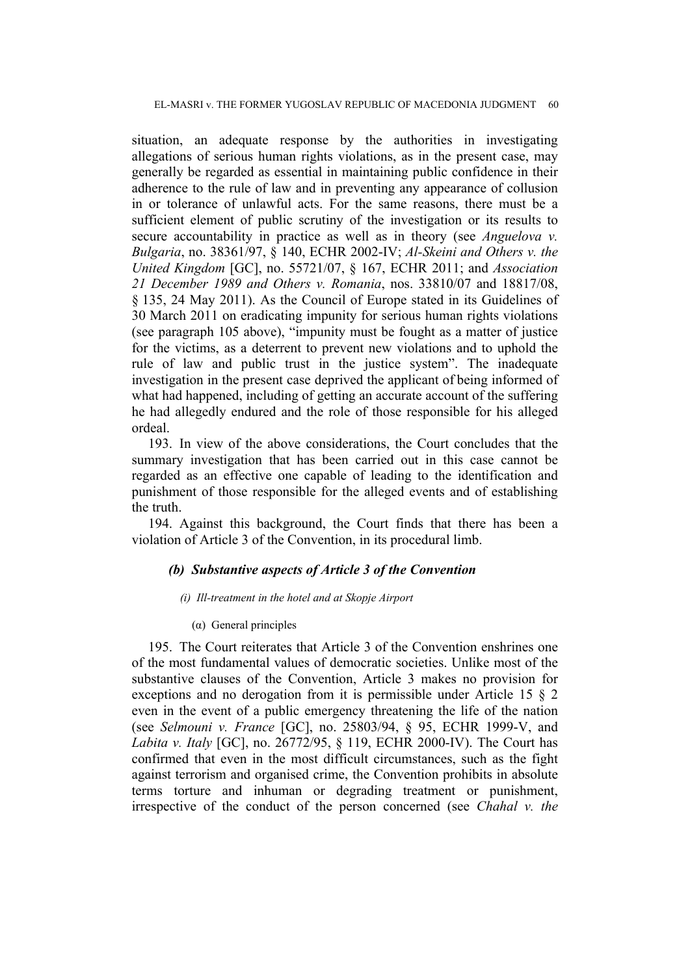situation, an adequate response by the authorities in investigating allegations of serious human rights violations, as in the present case, may generally be regarded as essential in maintaining public confidence in their adherence to the rule of law and in preventing any appearance of collusion in or tolerance of unlawful acts. For the same reasons, there must be a sufficient element of public scrutiny of the investigation or its results to secure accountability in practice as well as in theory (see *Anguelova v. Bulgaria*, no. 38361/97, § 140, ECHR 2002-IV; *Al-Skeini and Others v. the United Kingdom* [GC], no. 55721/07, § 167, ECHR 2011; and *Association 21 December 1989 and Others v. Romania*, nos. 33810/07 and 18817/08, § 135, 24 May 2011). As the Council of Europe stated in its Guidelines of 30 March 2011 on eradicating impunity for serious human rights violations (see paragraph 105 above), "impunity must be fought as a matter of justice for the victims, as a deterrent to prevent new violations and to uphold the rule of law and public trust in the justice system". The inadequate investigation in the present case deprived the applicant of being informed of what had happened, including of getting an accurate account of the suffering he had allegedly endured and the role of those responsible for his alleged ordeal.

193. In view of the above considerations, the Court concludes that the summary investigation that has been carried out in this case cannot be regarded as an effective one capable of leading to the identification and punishment of those responsible for the alleged events and of establishing the truth.

194. Against this background, the Court finds that there has been a violation of Article 3 of the Convention, in its procedural limb.

## *(b) Substantive aspects of Article 3 of the Convention*

### *(i) Ill-treatment in the hotel and at Skopje Airport*

(α) General principles

195. The Court reiterates that Article 3 of the Convention enshrines one of the most fundamental values of democratic societies. Unlike most of the substantive clauses of the Convention, Article 3 makes no provision for exceptions and no derogation from it is permissible under Article 15 § 2 even in the event of a public emergency threatening the life of the nation (see *Selmouni v. France* [GC], no. 25803/94, § 95, ECHR 1999-V, and *Labita v. Italy* [GC], no. 26772/95, § 119, ECHR 2000-IV). The Court has confirmed that even in the most difficult circumstances, such as the fight against terrorism and organised crime, the Convention prohibits in absolute terms torture and inhuman or degrading treatment or punishment, irrespective of the conduct of the person concerned (see *Chahal v. the*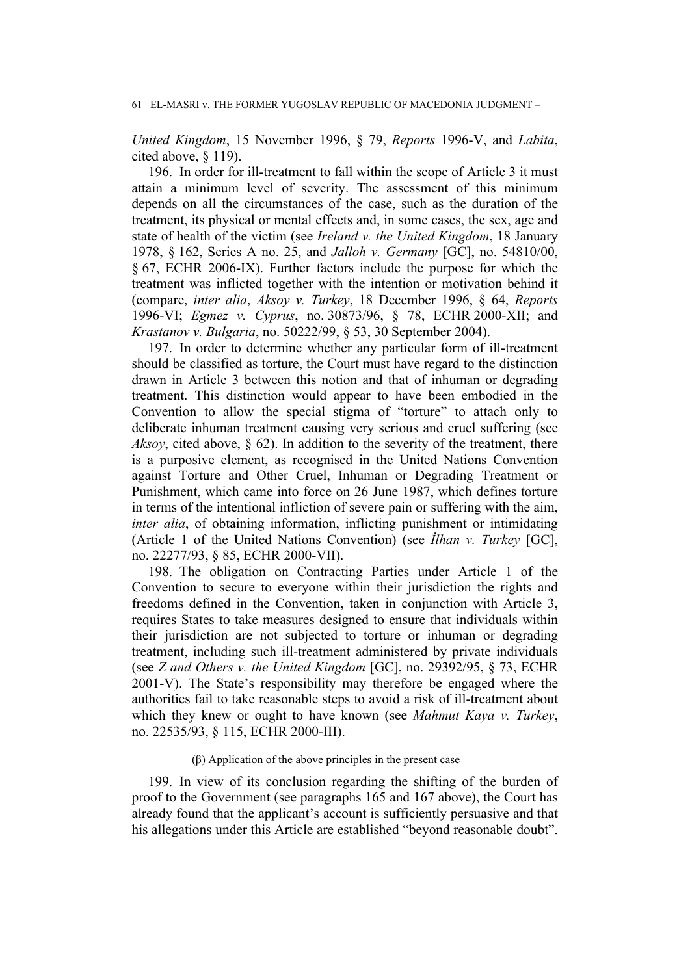*United Kingdom*, 15 November 1996, § 79, *Reports* 1996-V, and *Labita*, cited above, § 119).

196. In order for ill-treatment to fall within the scope of Article 3 it must attain a minimum level of severity. The assessment of this minimum depends on all the circumstances of the case, such as the duration of the treatment, its physical or mental effects and, in some cases, the sex, age and state of health of the victim (see *Ireland v. the United Kingdom*, 18 January 1978, § 162, Series A no. 25, and *Jalloh v. Germany* [GC], no. 54810/00, § 67, ECHR 2006-IX). Further factors include the purpose for which the treatment was inflicted together with the intention or motivation behind it (compare, *inter alia*, *Aksoy v. Turkey*, 18 December 1996, § 64, *Reports* 1996-VI; *Egmez v. Cyprus*, no. 30873/96, § 78, ECHR 2000-XII; and *Krastanov v. Bulgaria*, no. 50222/99, § 53, 30 September 2004).

197. In order to determine whether any particular form of ill-treatment should be classified as torture, the Court must have regard to the distinction drawn in Article 3 between this notion and that of inhuman or degrading treatment. This distinction would appear to have been embodied in the Convention to allow the special stigma of "torture" to attach only to deliberate inhuman treatment causing very serious and cruel suffering (see *Aksoy*, cited above, § 62). In addition to the severity of the treatment, there is a purposive element, as recognised in the United Nations Convention against Torture and Other Cruel, Inhuman or Degrading Treatment or Punishment, which came into force on 26 June 1987, which defines torture in terms of the intentional infliction of severe pain or suffering with the aim, *inter alia*, of obtaining information, inflicting punishment or intimidating (Article 1 of the United Nations Convention) (see *İlhan v. Turkey* [GC], no. 22277/93, § 85, ECHR 2000-VII).

198. The obligation on Contracting Parties under Article 1 of the Convention to secure to everyone within their jurisdiction the rights and freedoms defined in the Convention, taken in conjunction with Article 3, requires States to take measures designed to ensure that individuals within their jurisdiction are not subjected to torture or inhuman or degrading treatment, including such ill-treatment administered by private individuals (see *Z and Others v. the United Kingdom* [GC], no. 29392/95, § 73, ECHR 2001-V). The State's responsibility may therefore be engaged where the authorities fail to take reasonable steps to avoid a risk of ill-treatment about which they knew or ought to have known (see *Mahmut Kaya v. Turkey*, no. 22535/93, § 115, ECHR 2000-III).

## (β) Application of the above principles in the present case

199. In view of its conclusion regarding the shifting of the burden of proof to the Government (see paragraphs 165 and 167 above), the Court has already found that the applicant's account is sufficiently persuasive and that his allegations under this Article are established "beyond reasonable doubt".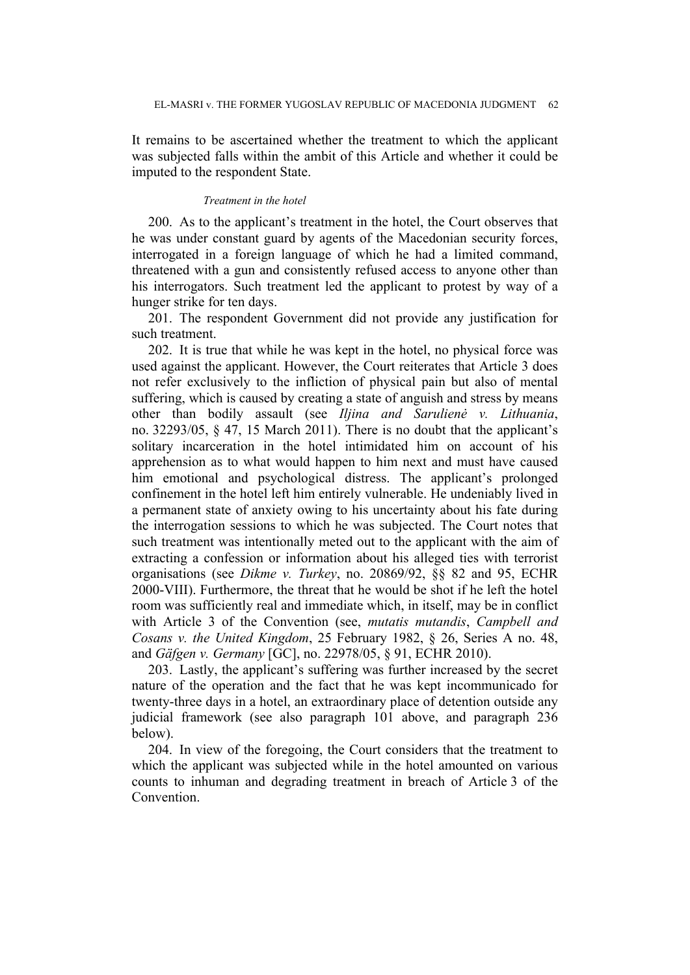It remains to be ascertained whether the treatment to which the applicant was subjected falls within the ambit of this Article and whether it could be imputed to the respondent State.

### *Treatment in the hotel*

200. As to the applicant's treatment in the hotel, the Court observes that he was under constant guard by agents of the Macedonian security forces, interrogated in a foreign language of which he had a limited command, threatened with a gun and consistently refused access to anyone other than his interrogators. Such treatment led the applicant to protest by way of a hunger strike for ten days.

201. The respondent Government did not provide any justification for such treatment.

202. It is true that while he was kept in the hotel, no physical force was used against the applicant. However, the Court reiterates that Article 3 does not refer exclusively to the infliction of physical pain but also of mental suffering, which is caused by creating a state of anguish and stress by means other than bodily assault (see *Iljina and Sarulienė v. Lithuania*, no. 32293/05, § 47, 15 March 2011). There is no doubt that the applicant's solitary incarceration in the hotel intimidated him on account of his apprehension as to what would happen to him next and must have caused him emotional and psychological distress. The applicant's prolonged confinement in the hotel left him entirely vulnerable. He undeniably lived in a permanent state of anxiety owing to his uncertainty about his fate during the interrogation sessions to which he was subjected. The Court notes that such treatment was intentionally meted out to the applicant with the aim of extracting a confession or information about his alleged ties with terrorist organisations (see *Dikme v. Turkey*, no. 20869/92, §§ 82 and 95, ECHR 2000-VIII). Furthermore, the threat that he would be shot if he left the hotel room was sufficiently real and immediate which, in itself, may be in conflict with Article 3 of the Convention (see, *mutatis mutandis*, *Campbell and Cosans v. the United Kingdom*, 25 February 1982, § 26, Series A no. 48, and *Gäfgen v. Germany* [GC], no. 22978/05, § 91, ECHR 2010).

203. Lastly, the applicant's suffering was further increased by the secret nature of the operation and the fact that he was kept incommunicado for twenty-three days in a hotel, an extraordinary place of detention outside any judicial framework (see also paragraph 101 above, and paragraph 236 below).

204. In view of the foregoing, the Court considers that the treatment to which the applicant was subjected while in the hotel amounted on various counts to inhuman and degrading treatment in breach of Article 3 of the **Convention**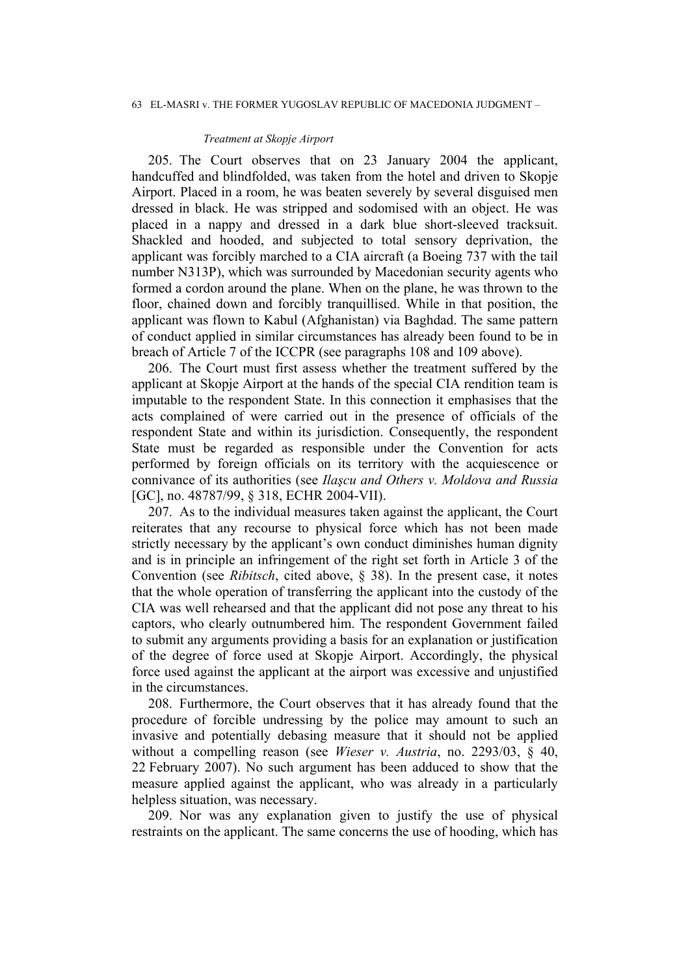#### *Treatment at Skopje Airport*

205. The Court observes that on 23 January 2004 the applicant, handcuffed and blindfolded, was taken from the hotel and driven to Skopje Airport. Placed in a room, he was beaten severely by several disguised men dressed in black. He was stripped and sodomised with an object. He was placed in a nappy and dressed in a dark blue short-sleeved tracksuit. Shackled and hooded, and subjected to total sensory deprivation, the applicant was forcibly marched to a CIA aircraft (a Boeing 737 with the tail number N313P), which was surrounded by Macedonian security agents who formed a cordon around the plane. When on the plane, he was thrown to the floor, chained down and forcibly tranquillised. While in that position, the applicant was flown to Kabul (Afghanistan) via Baghdad. The same pattern of conduct applied in similar circumstances has already been found to be in breach of Article 7 of the ICCPR (see paragraphs 108 and 109 above).

206. The Court must first assess whether the treatment suffered by the applicant at Skopje Airport at the hands of the special CIA rendition team is imputable to the respondent State. In this connection it emphasises that the acts complained of were carried out in the presence of officials of the respondent State and within its jurisdiction. Consequently, the respondent State must be regarded as responsible under the Convention for acts performed by foreign officials on its territory with the acquiescence or connivance of its authorities (see *Ilaşcu and Others v. Moldova and Russia* [GC], no. 48787/99, § 318, ECHR 2004-VII).

207. As to the individual measures taken against the applicant, the Court reiterates that any recourse to physical force which has not been made strictly necessary by the applicant's own conduct diminishes human dignity and is in principle an infringement of the right set forth in Article 3 of the Convention (see *Ribitsch*, cited above, § 38). In the present case, it notes that the whole operation of transferring the applicant into the custody of the CIA was well rehearsed and that the applicant did not pose any threat to his captors, who clearly outnumbered him. The respondent Government failed to submit any arguments providing a basis for an explanation or justification of the degree of force used at Skopje Airport. Accordingly, the physical force used against the applicant at the airport was excessive and unjustified in the circumstances.

208. Furthermore, the Court observes that it has already found that the procedure of forcible undressing by the police may amount to such an invasive and potentially debasing measure that it should not be applied without a compelling reason (see *Wieser v. Austria*, no. 2293/03, § 40, 22 February 2007). No such argument has been adduced to show that the measure applied against the applicant, who was already in a particularly helpless situation, was necessary.

209. Nor was any explanation given to justify the use of physical restraints on the applicant. The same concerns the use of hooding, which has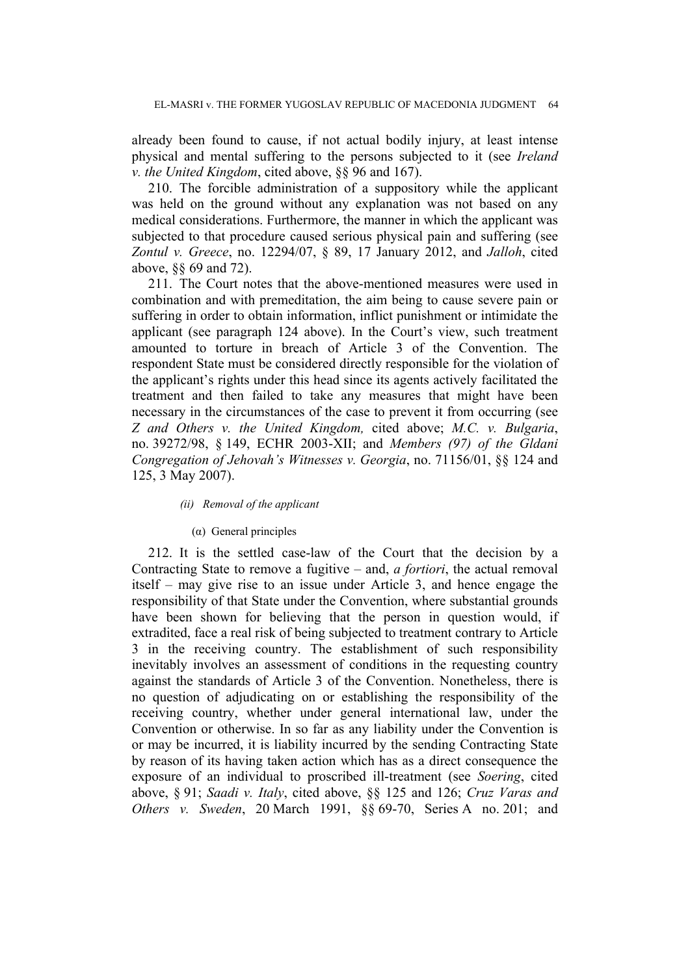already been found to cause, if not actual bodily injury, at least intense physical and mental suffering to the persons subjected to it (see *Ireland v. the United Kingdom*, cited above, §§ 96 and 167).

210. The forcible administration of a suppository while the applicant was held on the ground without any explanation was not based on any medical considerations. Furthermore, the manner in which the applicant was subjected to that procedure caused serious physical pain and suffering (see *Zontul v. Greece*, no. 12294/07, § 89, 17 January 2012, and *Jalloh*, cited above, §§ 69 and 72).

211. The Court notes that the above-mentioned measures were used in combination and with premeditation, the aim being to cause severe pain or suffering in order to obtain information, inflict punishment or intimidate the applicant (see paragraph 124 above). In the Court's view, such treatment amounted to torture in breach of Article 3 of the Convention. The respondent State must be considered directly responsible for the violation of the applicant's rights under this head since its agents actively facilitated the treatment and then failed to take any measures that might have been necessary in the circumstances of the case to prevent it from occurring (see *Z and Others v. the United Kingdom,* cited above; *M.C. v. Bulgaria*, no. 39272/98, § 149, ECHR 2003-XII; and *Members (97) of the Gldani Congregation of Jehovah's Witnesses v. Georgia*, no. 71156/01, §§ 124 and 125, 3 May 2007).

### *(ii) Removal of the applicant*

### (α) General principles

212. It is the settled case-law of the Court that the decision by a Contracting State to remove a fugitive – and, *a fortiori*, the actual removal itself – may give rise to an issue under Article 3, and hence engage the responsibility of that State under the Convention, where substantial grounds have been shown for believing that the person in question would, if extradited, face a real risk of being subjected to treatment contrary to Article 3 in the receiving country. The establishment of such responsibility inevitably involves an assessment of conditions in the requesting country against the standards of Article 3 of the Convention. Nonetheless, there is no question of adjudicating on or establishing the responsibility of the receiving country, whether under general international law, under the Convention or otherwise. In so far as any liability under the Convention is or may be incurred, it is liability incurred by the sending Contracting State by reason of its having taken action which has as a direct consequence the exposure of an individual to proscribed ill-treatment (see *Soering*, cited above, § 91; *Saadi v. Italy*, cited above, §§ 125 and 126; *Cruz Varas and Others v. Sweden*, 20 March 1991, §§ 69-70, Series A no. 201; and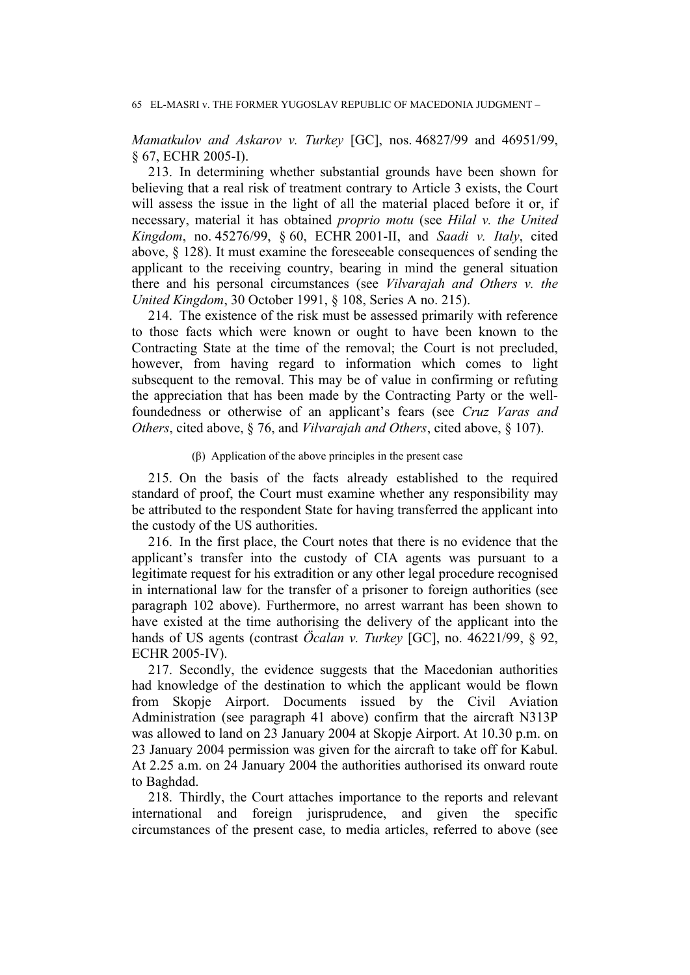*Mamatkulov and Askarov v. Turkey* [GC], nos. 46827/99 and 46951/99, § 67, ECHR 2005-I).

213. In determining whether substantial grounds have been shown for believing that a real risk of treatment contrary to Article 3 exists, the Court will assess the issue in the light of all the material placed before it or, if necessary, material it has obtained *proprio motu* (see *Hilal v. the United Kingdom*, no. 45276/99, § 60, ECHR 2001-II, and *Saadi v. Italy*, cited above, § 128). It must examine the foreseeable consequences of sending the applicant to the receiving country, bearing in mind the general situation there and his personal circumstances (see *Vilvarajah and Others v. the United Kingdom*, 30 October 1991, § 108, Series A no. 215).

214. The existence of the risk must be assessed primarily with reference to those facts which were known or ought to have been known to the Contracting State at the time of the removal; the Court is not precluded, however, from having regard to information which comes to light subsequent to the removal. This may be of value in confirming or refuting the appreciation that has been made by the Contracting Party or the wellfoundedness or otherwise of an applicant's fears (see *Cruz Varas and Others*, cited above, § 76, and *Vilvarajah and Others*, cited above, § 107).

## (β) Application of the above principles in the present case

215. On the basis of the facts already established to the required standard of proof, the Court must examine whether any responsibility may be attributed to the respondent State for having transferred the applicant into the custody of the US authorities.

216. In the first place, the Court notes that there is no evidence that the applicant's transfer into the custody of CIA agents was pursuant to a legitimate request for his extradition or any other legal procedure recognised in international law for the transfer of a prisoner to foreign authorities (see paragraph 102 above). Furthermore, no arrest warrant has been shown to have existed at the time authorising the delivery of the applicant into the hands of US agents (contrast *Öcalan v. Turkey* [GC], no. 46221/99, § 92, ECHR 2005-IV).

217. Secondly, the evidence suggests that the Macedonian authorities had knowledge of the destination to which the applicant would be flown from Skopje Airport. Documents issued by the Civil Aviation Administration (see paragraph 41 above) confirm that the aircraft N313P was allowed to land on 23 January 2004 at Skopje Airport. At 10.30 p.m. on 23 January 2004 permission was given for the aircraft to take off for Kabul. At 2.25 a.m. on 24 January 2004 the authorities authorised its onward route to Baghdad.

218. Thirdly, the Court attaches importance to the reports and relevant international and foreign jurisprudence, and given the specific circumstances of the present case, to media articles, referred to above (see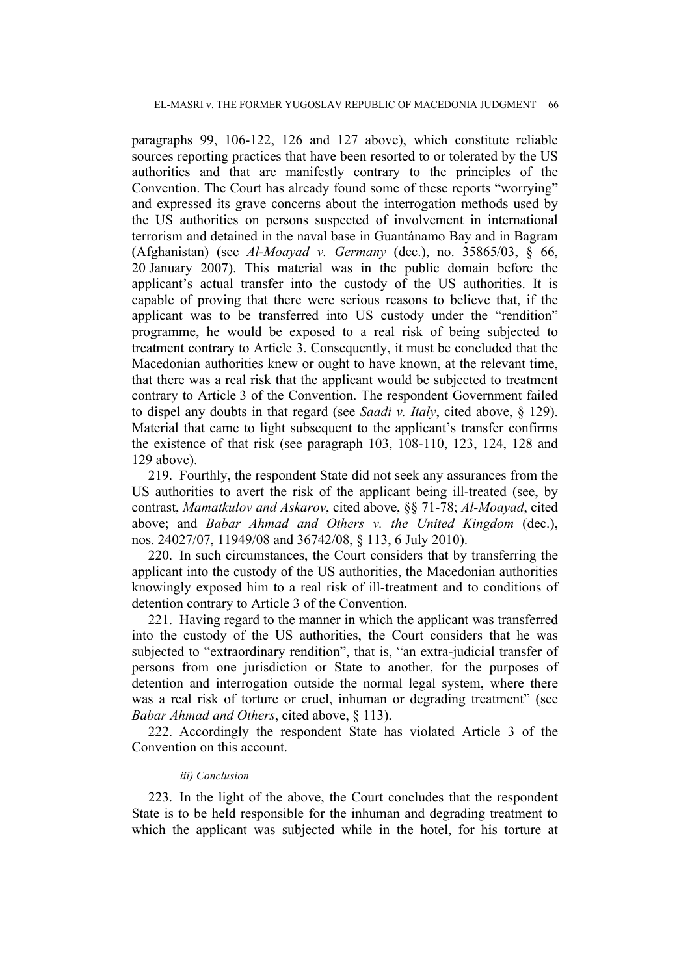paragraphs 99, 106-122, 126 and 127 above), which constitute reliable sources reporting practices that have been resorted to or tolerated by the US authorities and that are manifestly contrary to the principles of the Convention. The Court has already found some of these reports "worrying" and expressed its grave concerns about the interrogation methods used by the US authorities on persons suspected of involvement in international terrorism and detained in the naval base in Guantánamo Bay and in Bagram (Afghanistan) (see *Al-Moayad v. Germany* (dec.), no. 35865/03, § 66, 20 January 2007). This material was in the public domain before the applicant's actual transfer into the custody of the US authorities. It is capable of proving that there were serious reasons to believe that, if the applicant was to be transferred into US custody under the "rendition" programme, he would be exposed to a real risk of being subjected to treatment contrary to Article 3. Consequently, it must be concluded that the Macedonian authorities knew or ought to have known, at the relevant time, that there was a real risk that the applicant would be subjected to treatment contrary to Article 3 of the Convention. The respondent Government failed to dispel any doubts in that regard (see *Saadi v. Italy*, cited above, § 129). Material that came to light subsequent to the applicant's transfer confirms the existence of that risk (see paragraph 103, 108-110, 123, 124, 128 and 129 above).

219. Fourthly, the respondent State did not seek any assurances from the US authorities to avert the risk of the applicant being ill-treated (see, by contrast, *Mamatkulov and Askarov*, cited above, §§ 71-78; *Al-Moayad*, cited above; and *Babar Ahmad and Others v. the United Kingdom* (dec.), nos. 24027/07, 11949/08 and 36742/08, § 113, 6 July 2010).

220. In such circumstances, the Court considers that by transferring the applicant into the custody of the US authorities, the Macedonian authorities knowingly exposed him to a real risk of ill-treatment and to conditions of detention contrary to Article 3 of the Convention.

221. Having regard to the manner in which the applicant was transferred into the custody of the US authorities, the Court considers that he was subjected to "extraordinary rendition", that is, "an extra-judicial transfer of persons from one jurisdiction or State to another, for the purposes of detention and interrogation outside the normal legal system, where there was a real risk of torture or cruel, inhuman or degrading treatment" (see *Babar Ahmad and Others*, cited above, § 113).

222. Accordingly the respondent State has violated Article 3 of the Convention on this account.

#### *iii) Conclusion*

223. In the light of the above, the Court concludes that the respondent State is to be held responsible for the inhuman and degrading treatment to which the applicant was subjected while in the hotel, for his torture at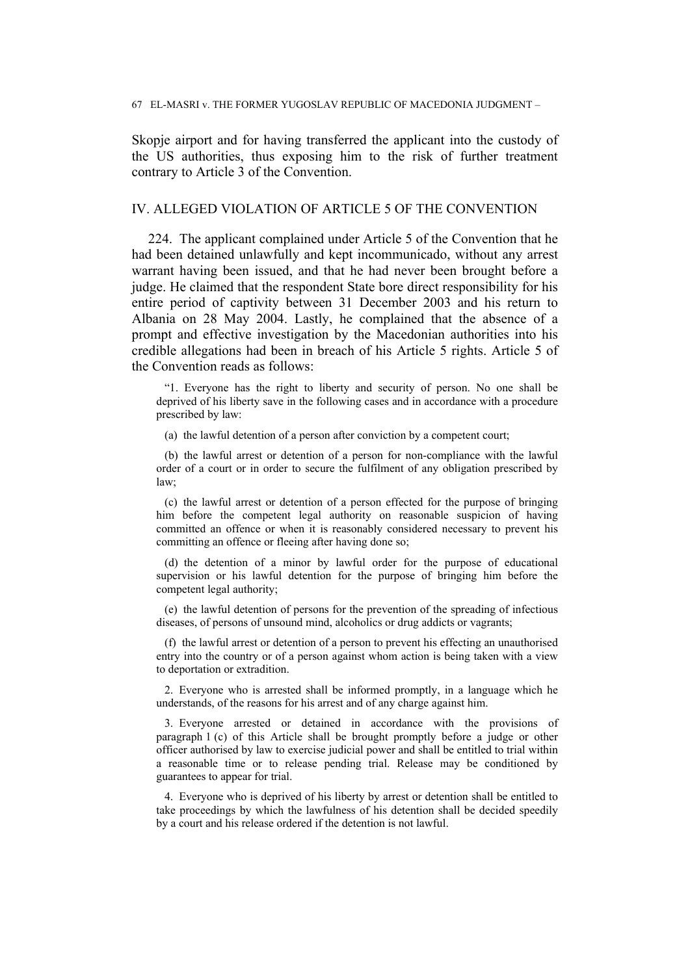Skopje airport and for having transferred the applicant into the custody of the US authorities, thus exposing him to the risk of further treatment contrary to Article 3 of the Convention.

# IV. ALLEGED VIOLATION OF ARTICLE 5 OF THE CONVENTION

224. The applicant complained under Article 5 of the Convention that he had been detained unlawfully and kept incommunicado, without any arrest warrant having been issued, and that he had never been brought before a judge. He claimed that the respondent State bore direct responsibility for his entire period of captivity between 31 December 2003 and his return to Albania on 28 May 2004. Lastly, he complained that the absence of a prompt and effective investigation by the Macedonian authorities into his credible allegations had been in breach of his Article 5 rights. Article 5 of the Convention reads as follows:

"1. Everyone has the right to liberty and security of person. No one shall be deprived of his liberty save in the following cases and in accordance with a procedure prescribed by law:

(a) the lawful detention of a person after conviction by a competent court;

(b) the lawful arrest or detention of a person for non-compliance with the lawful order of a court or in order to secure the fulfilment of any obligation prescribed by law;

(c) the lawful arrest or detention of a person effected for the purpose of bringing him before the competent legal authority on reasonable suspicion of having committed an offence or when it is reasonably considered necessary to prevent his committing an offence or fleeing after having done so;

(d) the detention of a minor by lawful order for the purpose of educational supervision or his lawful detention for the purpose of bringing him before the competent legal authority;

(e) the lawful detention of persons for the prevention of the spreading of infectious diseases, of persons of unsound mind, alcoholics or drug addicts or vagrants;

(f) the lawful arrest or detention of a person to prevent his effecting an unauthorised entry into the country or of a person against whom action is being taken with a view to deportation or extradition.

2. Everyone who is arrested shall be informed promptly, in a language which he understands, of the reasons for his arrest and of any charge against him.

3. Everyone arrested or detained in accordance with the provisions of paragraph 1 (c) of this Article shall be brought promptly before a judge or other officer authorised by law to exercise judicial power and shall be entitled to trial within a reasonable time or to release pending trial. Release may be conditioned by guarantees to appear for trial.

4. Everyone who is deprived of his liberty by arrest or detention shall be entitled to take proceedings by which the lawfulness of his detention shall be decided speedily by a court and his release ordered if the detention is not lawful.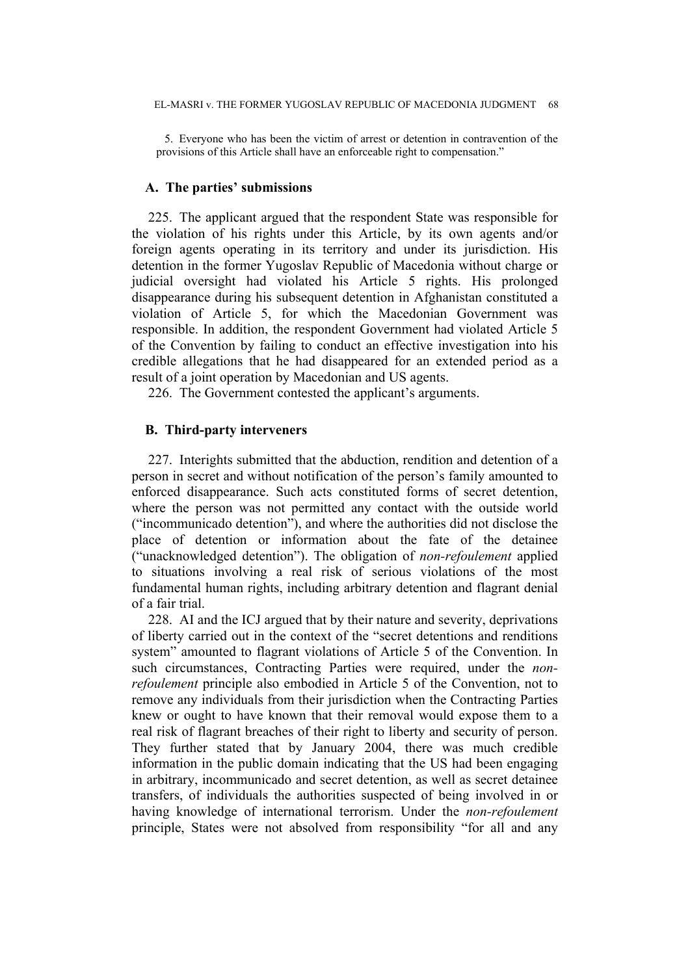5. Everyone who has been the victim of arrest or detention in contravention of the provisions of this Article shall have an enforceable right to compensation."

### **A. The parties' submissions**

225. The applicant argued that the respondent State was responsible for the violation of his rights under this Article, by its own agents and/or foreign agents operating in its territory and under its jurisdiction. His detention in the former Yugoslav Republic of Macedonia without charge or judicial oversight had violated his Article 5 rights. His prolonged disappearance during his subsequent detention in Afghanistan constituted a violation of Article 5, for which the Macedonian Government was responsible. In addition, the respondent Government had violated Article 5 of the Convention by failing to conduct an effective investigation into his credible allegations that he had disappeared for an extended period as a result of a joint operation by Macedonian and US agents.

226. The Government contested the applicant's arguments.

### **B. Third-party interveners**

227. Interights submitted that the abduction, rendition and detention of a person in secret and without notification of the person's family amounted to enforced disappearance. Such acts constituted forms of secret detention, where the person was not permitted any contact with the outside world ("incommunicado detention"), and where the authorities did not disclose the place of detention or information about the fate of the detainee ("unacknowledged detention"). The obligation of *non-refoulement* applied to situations involving a real risk of serious violations of the most fundamental human rights, including arbitrary detention and flagrant denial of a fair trial.

228. AI and the ICJ argued that by their nature and severity, deprivations of liberty carried out in the context of the "secret detentions and renditions system" amounted to flagrant violations of Article 5 of the Convention. In such circumstances, Contracting Parties were required, under the *nonrefoulement* principle also embodied in Article 5 of the Convention, not to remove any individuals from their jurisdiction when the Contracting Parties knew or ought to have known that their removal would expose them to a real risk of flagrant breaches of their right to liberty and security of person. They further stated that by January 2004, there was much credible information in the public domain indicating that the US had been engaging in arbitrary, incommunicado and secret detention, as well as secret detainee transfers, of individuals the authorities suspected of being involved in or having knowledge of international terrorism. Under the *non-refoulement* principle, States were not absolved from responsibility "for all and any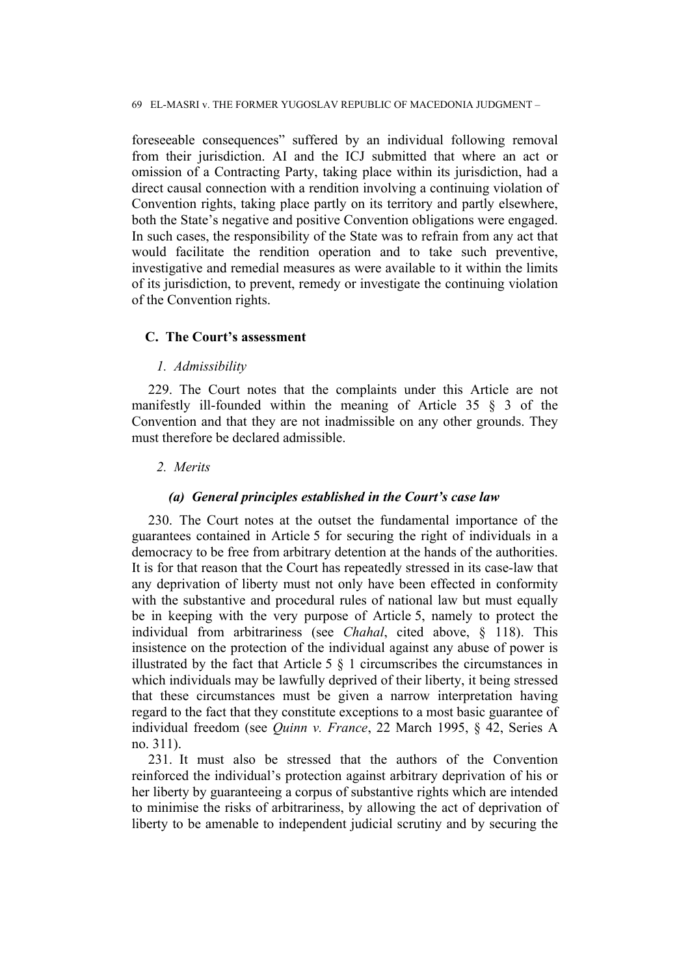foreseeable consequences" suffered by an individual following removal from their jurisdiction. AI and the ICJ submitted that where an act or omission of a Contracting Party, taking place within its jurisdiction, had a direct causal connection with a rendition involving a continuing violation of Convention rights, taking place partly on its territory and partly elsewhere, both the State's negative and positive Convention obligations were engaged. In such cases, the responsibility of the State was to refrain from any act that would facilitate the rendition operation and to take such preventive, investigative and remedial measures as were available to it within the limits of its jurisdiction, to prevent, remedy or investigate the continuing violation of the Convention rights.

# **C. The Court's assessment**

### *1. Admissibility*

229. The Court notes that the complaints under this Article are not manifestly ill-founded within the meaning of Article 35 § 3 of the Convention and that they are not inadmissible on any other grounds. They must therefore be declared admissible.

# *2. Merits*

### *(a) General principles established in the Court's case law*

230. The Court notes at the outset the fundamental importance of the guarantees contained in Article 5 for securing the right of individuals in a democracy to be free from arbitrary detention at the hands of the authorities. It is for that reason that the Court has repeatedly stressed in its case-law that any deprivation of liberty must not only have been effected in conformity with the substantive and procedural rules of national law but must equally be in keeping with the very purpose of Article 5, namely to protect the individual from arbitrariness (see *Chahal*, cited above, § 118). This insistence on the protection of the individual against any abuse of power is illustrated by the fact that Article  $5 \S 1$  circumscribes the circumstances in which individuals may be lawfully deprived of their liberty, it being stressed that these circumstances must be given a narrow interpretation having regard to the fact that they constitute exceptions to a most basic guarantee of individual freedom (see *Quinn v. France*, 22 March 1995, § 42, Series A no. 311).

231. It must also be stressed that the authors of the Convention reinforced the individual's protection against arbitrary deprivation of his or her liberty by guaranteeing a corpus of substantive rights which are intended to minimise the risks of arbitrariness, by allowing the act of deprivation of liberty to be amenable to independent judicial scrutiny and by securing the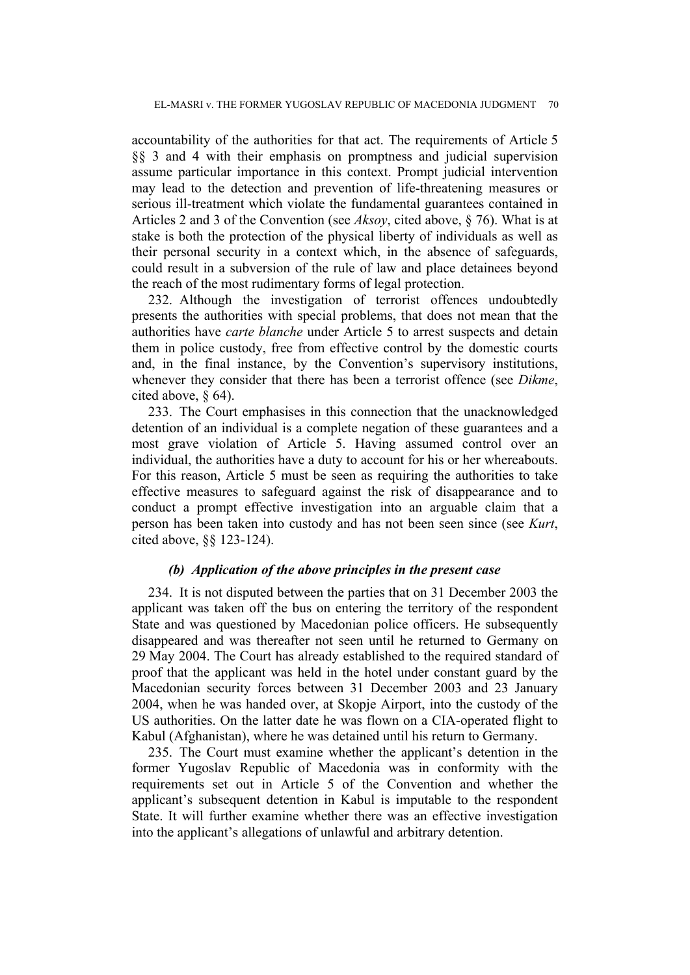accountability of the authorities for that act. The requirements of Article 5 §§ 3 and 4 with their emphasis on promptness and judicial supervision assume particular importance in this context. Prompt judicial intervention may lead to the detection and prevention of life-threatening measures or serious ill-treatment which violate the fundamental guarantees contained in Articles 2 and 3 of the Convention (see *Aksoy*, cited above, § 76). What is at stake is both the protection of the physical liberty of individuals as well as their personal security in a context which, in the absence of safeguards, could result in a subversion of the rule of law and place detainees beyond the reach of the most rudimentary forms of legal protection.

232. Although the investigation of terrorist offences undoubtedly presents the authorities with special problems, that does not mean that the authorities have *carte blanche* under Article 5 to arrest suspects and detain them in police custody, free from effective control by the domestic courts and, in the final instance, by the Convention's supervisory institutions, whenever they consider that there has been a terrorist offence (see *Dikme*, cited above, § 64).

233. The Court emphasises in this connection that the unacknowledged detention of an individual is a complete negation of these guarantees and a most grave violation of Article 5. Having assumed control over an individual, the authorities have a duty to account for his or her whereabouts. For this reason, Article 5 must be seen as requiring the authorities to take effective measures to safeguard against the risk of disappearance and to conduct a prompt effective investigation into an arguable claim that a person has been taken into custody and has not been seen since (see *Kurt*, cited above, §§ 123-124).

## *(b) Application of the above principles in the present case*

234. It is not disputed between the parties that on 31 December 2003 the applicant was taken off the bus on entering the territory of the respondent State and was questioned by Macedonian police officers. He subsequently disappeared and was thereafter not seen until he returned to Germany on 29 May 2004. The Court has already established to the required standard of proof that the applicant was held in the hotel under constant guard by the Macedonian security forces between 31 December 2003 and 23 January 2004, when he was handed over, at Skopje Airport, into the custody of the US authorities. On the latter date he was flown on a CIA-operated flight to Kabul (Afghanistan), where he was detained until his return to Germany.

235. The Court must examine whether the applicant's detention in the former Yugoslav Republic of Macedonia was in conformity with the requirements set out in Article 5 of the Convention and whether the applicant's subsequent detention in Kabul is imputable to the respondent State. It will further examine whether there was an effective investigation into the applicant's allegations of unlawful and arbitrary detention.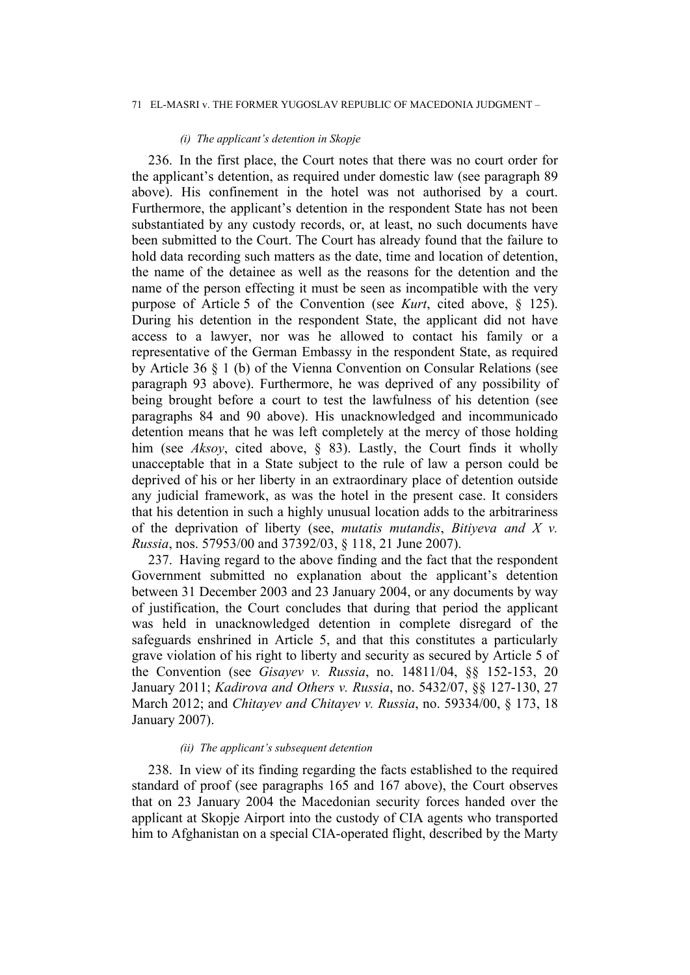#### *(i) The applicant's detention in Skopje*

236. In the first place, the Court notes that there was no court order for the applicant's detention, as required under domestic law (see paragraph 89 above). His confinement in the hotel was not authorised by a court. Furthermore, the applicant's detention in the respondent State has not been substantiated by any custody records, or, at least, no such documents have been submitted to the Court. The Court has already found that the failure to hold data recording such matters as the date, time and location of detention, the name of the detainee as well as the reasons for the detention and the name of the person effecting it must be seen as incompatible with the very purpose of Article 5 of the Convention (see *Kurt*, cited above, § 125). During his detention in the respondent State, the applicant did not have access to a lawyer, nor was he allowed to contact his family or a representative of the German Embassy in the respondent State, as required by Article 36 § 1 (b) of the Vienna Convention on Consular Relations (see paragraph 93 above). Furthermore, he was deprived of any possibility of being brought before a court to test the lawfulness of his detention (see paragraphs 84 and 90 above). His unacknowledged and incommunicado detention means that he was left completely at the mercy of those holding him (see *Aksoy*, cited above, § 83). Lastly, the Court finds it wholly unacceptable that in a State subject to the rule of law a person could be deprived of his or her liberty in an extraordinary place of detention outside any judicial framework, as was the hotel in the present case. It considers that his detention in such a highly unusual location adds to the arbitrariness of the deprivation of liberty (see, *mutatis mutandis*, *Bitiyeva and X v. Russia*, nos. 57953/00 and 37392/03, § 118, 21 June 2007).

237. Having regard to the above finding and the fact that the respondent Government submitted no explanation about the applicant's detention between 31 December 2003 and 23 January 2004, or any documents by way of justification, the Court concludes that during that period the applicant was held in unacknowledged detention in complete disregard of the safeguards enshrined in Article 5, and that this constitutes a particularly grave violation of his right to liberty and security as secured by Article 5 of the Convention (see *Gisayev v. Russia*, no. 14811/04, §§ 152-153, 20 January 2011; *Kadirova and Others v. Russia*, no. 5432/07, §§ 127-130, 27 March 2012; and *Chitayev and Chitayev v. Russia*, no. 59334/00, § 173, 18 January 2007).

### *(ii) The applicant's subsequent detention*

238. In view of its finding regarding the facts established to the required standard of proof (see paragraphs 165 and 167 above), the Court observes that on 23 January 2004 the Macedonian security forces handed over the applicant at Skopje Airport into the custody of CIA agents who transported him to Afghanistan on a special CIA-operated flight, described by the Marty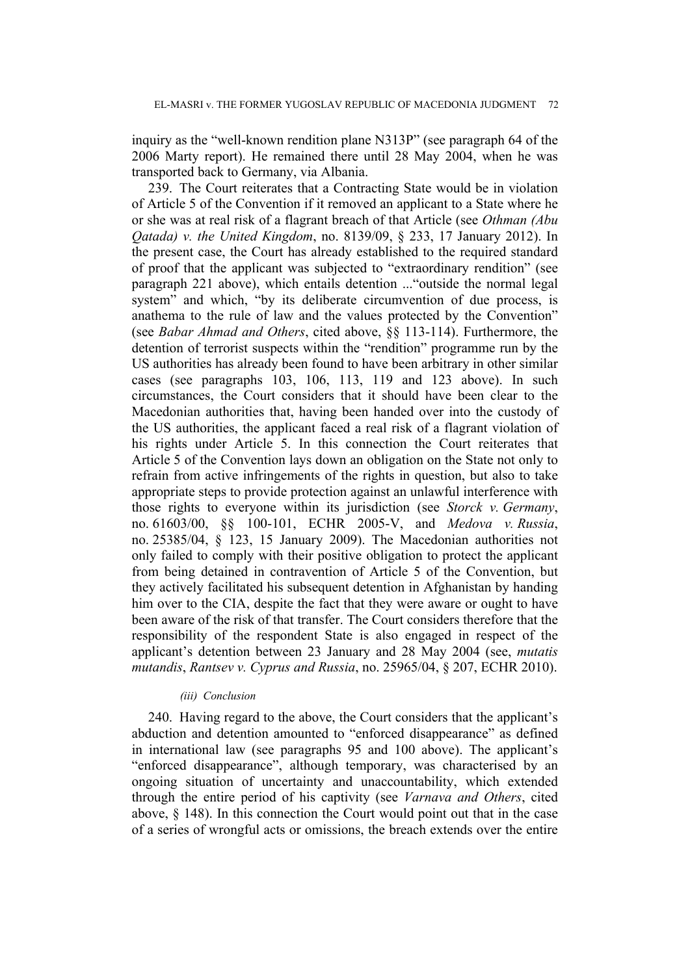inquiry as the "well-known rendition plane N313P" (see paragraph 64 of the 2006 Marty report). He remained there until 28 May 2004, when he was transported back to Germany, via Albania.

239. The Court reiterates that a Contracting State would be in violation of Article 5 of the Convention if it removed an applicant to a State where he or she was at real risk of a flagrant breach of that Article (see *Othman (Abu Qatada) v. the United Kingdom*, no. 8139/09, § 233, 17 January 2012). In the present case, the Court has already established to the required standard of proof that the applicant was subjected to "extraordinary rendition" (see paragraph 221 above), which entails detention ..."outside the normal legal system" and which, "by its deliberate circumvention of due process, is anathema to the rule of law and the values protected by the Convention" (see *Babar Ahmad and Others*, cited above, §§ 113-114). Furthermore, the detention of terrorist suspects within the "rendition" programme run by the US authorities has already been found to have been arbitrary in other similar cases (see paragraphs 103, 106, 113, 119 and 123 above). In such circumstances, the Court considers that it should have been clear to the Macedonian authorities that, having been handed over into the custody of the US authorities, the applicant faced a real risk of a flagrant violation of his rights under Article 5. In this connection the Court reiterates that Article 5 of the Convention lays down an obligation on the State not only to refrain from active infringements of the rights in question, but also to take appropriate steps to provide protection against an unlawful interference with those rights to everyone within its jurisdiction (see *Storck v. Germany*, no. 61603/00, §§ 100-101, ECHR 2005-V, and *Medova v. Russia*, no. 25385/04, § 123, 15 January 2009). The Macedonian authorities not only failed to comply with their positive obligation to protect the applicant from being detained in contravention of Article 5 of the Convention, but they actively facilitated his subsequent detention in Afghanistan by handing him over to the CIA, despite the fact that they were aware or ought to have been aware of the risk of that transfer. The Court considers therefore that the responsibility of the respondent State is also engaged in respect of the applicant's detention between 23 January and 28 May 2004 (see, *mutatis mutandis*, *Rantsev v. Cyprus and Russia*, no. 25965/04, § 207, ECHR 2010).

### *(iii) Conclusion*

240. Having regard to the above, the Court considers that the applicant's abduction and detention amounted to "enforced disappearance" as defined in international law (see paragraphs 95 and 100 above). The applicant's "enforced disappearance", although temporary, was characterised by an ongoing situation of uncertainty and unaccountability, which extended through the entire period of his captivity (see *Varnava and Others*, cited above, § 148). In this connection the Court would point out that in the case of a series of wrongful acts or omissions, the breach extends over the entire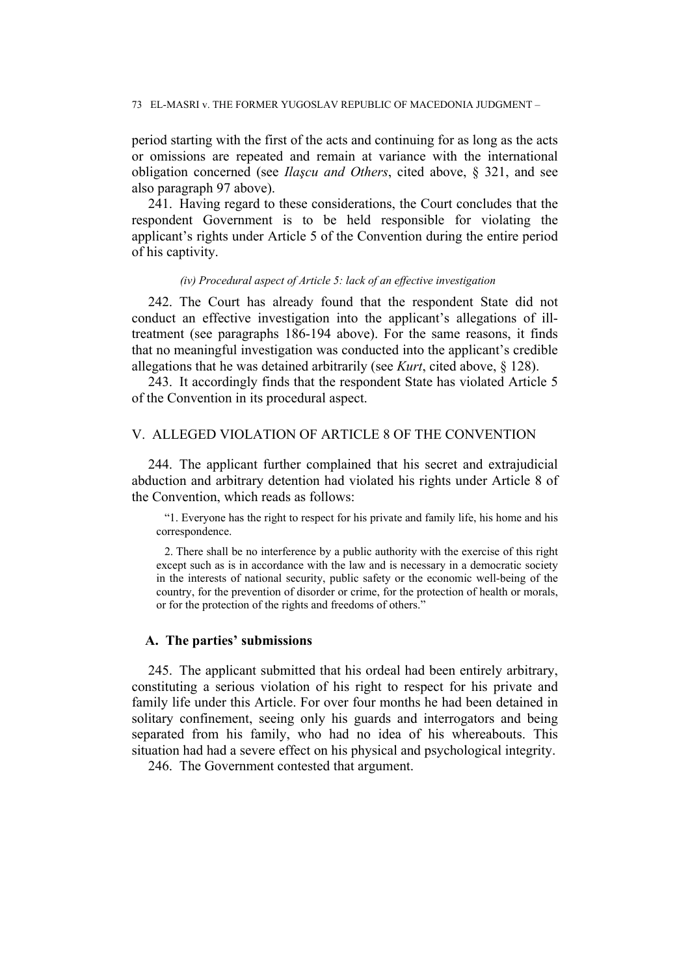period starting with the first of the acts and continuing for as long as the acts or omissions are repeated and remain at variance with the international obligation concerned (see *Ilaşcu and Others*, cited above, § 321, and see also paragraph 97 above).

241. Having regard to these considerations, the Court concludes that the respondent Government is to be held responsible for violating the applicant's rights under Article 5 of the Convention during the entire period of his captivity.

### *(iv) Procedural aspect of Article 5: lack of an effective investigation*

242. The Court has already found that the respondent State did not conduct an effective investigation into the applicant's allegations of illtreatment (see paragraphs 186-194 above). For the same reasons, it finds that no meaningful investigation was conducted into the applicant's credible allegations that he was detained arbitrarily (see *Kurt*, cited above, § 128).

243. It accordingly finds that the respondent State has violated Article 5 of the Convention in its procedural aspect.

### V. ALLEGED VIOLATION OF ARTICLE 8 OF THE CONVENTION

244. The applicant further complained that his secret and extrajudicial abduction and arbitrary detention had violated his rights under Article 8 of the Convention, which reads as follows:

"1. Everyone has the right to respect for his private and family life, his home and his correspondence.

2. There shall be no interference by a public authority with the exercise of this right except such as is in accordance with the law and is necessary in a democratic society in the interests of national security, public safety or the economic well-being of the country, for the prevention of disorder or crime, for the protection of health or morals, or for the protection of the rights and freedoms of others."

### **A. The parties' submissions**

245. The applicant submitted that his ordeal had been entirely arbitrary, constituting a serious violation of his right to respect for his private and family life under this Article. For over four months he had been detained in solitary confinement, seeing only his guards and interrogators and being separated from his family, who had no idea of his whereabouts. This situation had had a severe effect on his physical and psychological integrity.

246. The Government contested that argument.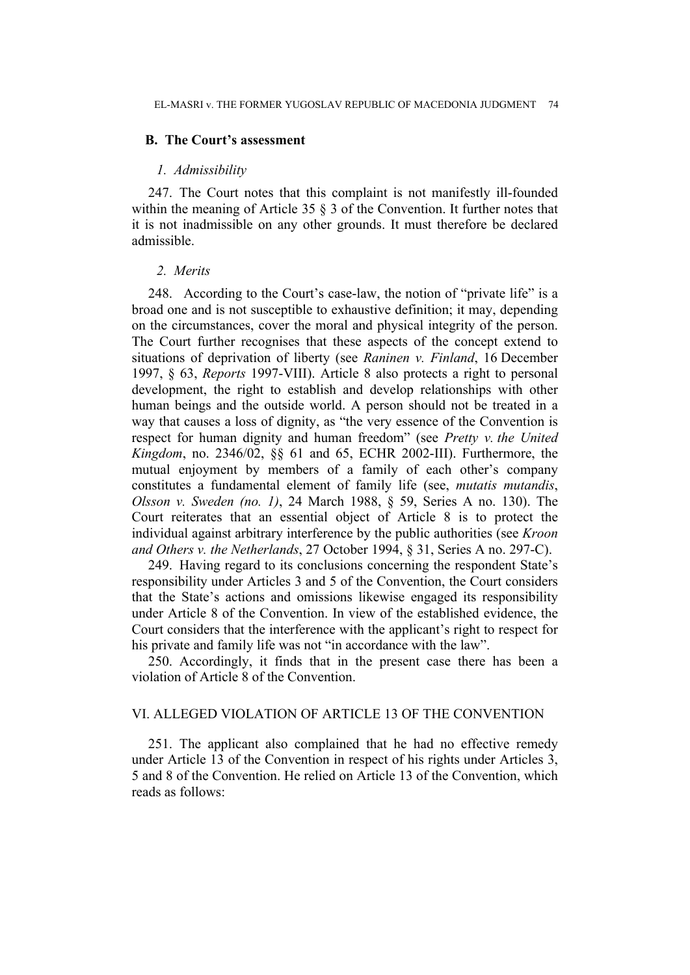### **B. The Court's assessment**

### *1. Admissibility*

247. The Court notes that this complaint is not manifestly ill-founded within the meaning of Article 35  $\S$  3 of the Convention. It further notes that it is not inadmissible on any other grounds. It must therefore be declared admissible.

### *2. Merits*

248. According to the Court's case-law, the notion of "private life" is a broad one and is not susceptible to exhaustive definition; it may, depending on the circumstances, cover the moral and physical integrity of the person. The Court further recognises that these aspects of the concept extend to situations of deprivation of liberty (see *Raninen v. Finland*, 16 December 1997, § 63, *Reports* 1997-VIII). Article 8 also protects a right to personal development, the right to establish and develop relationships with other human beings and the outside world. A person should not be treated in a way that causes a loss of dignity, as "the very essence of the Convention is respect for human dignity and human freedom" (see *Pretty v. the United Kingdom*, no. 2346/02, §§ 61 and 65, ECHR 2002-III). Furthermore, the mutual enjoyment by members of a family of each other's company constitutes a fundamental element of family life (see, *mutatis mutandis*, *Olsson v. Sweden (no. 1)*, 24 March 1988, § 59, Series A no. 130). The Court reiterates that an essential object of Article 8 is to protect the individual against arbitrary interference by the public authorities (see *Kroon and Others v. the Netherlands*, 27 October 1994, § 31, Series A no. 297-C).

249. Having regard to its conclusions concerning the respondent State's responsibility under Articles 3 and 5 of the Convention, the Court considers that the State's actions and omissions likewise engaged its responsibility under Article 8 of the Convention. In view of the established evidence, the Court considers that the interference with the applicant's right to respect for his private and family life was not "in accordance with the law".

250. Accordingly, it finds that in the present case there has been a violation of Article 8 of the Convention.

### VI. ALLEGED VIOLATION OF ARTICLE 13 OF THE CONVENTION

251. The applicant also complained that he had no effective remedy under Article 13 of the Convention in respect of his rights under Articles 3, 5 and 8 of the Convention. He relied on Article 13 of the Convention, which reads as follows: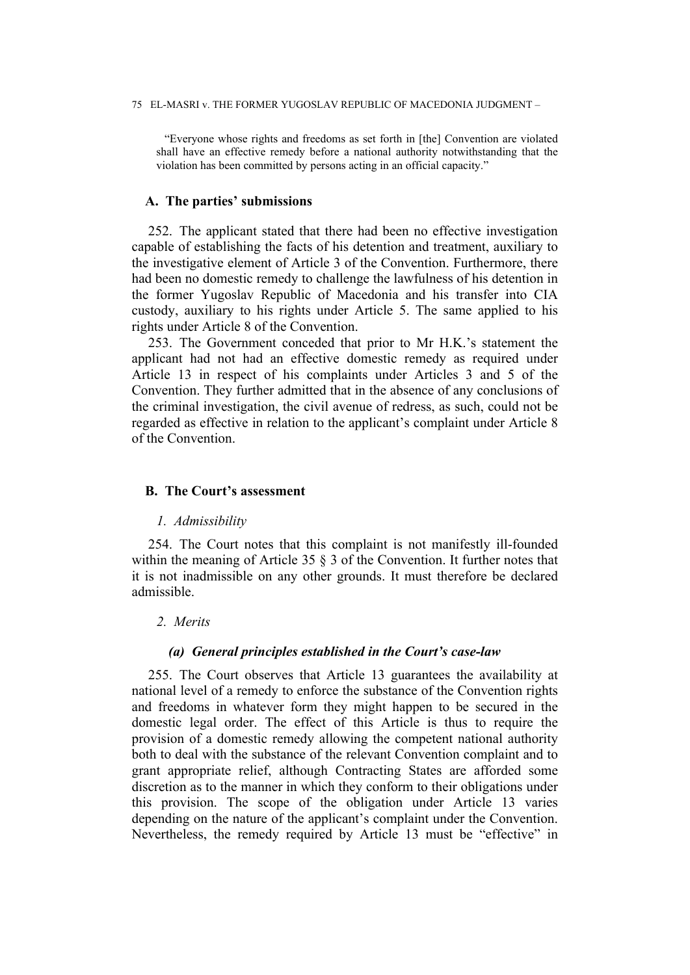"Everyone whose rights and freedoms as set forth in [the] Convention are violated shall have an effective remedy before a national authority notwithstanding that the violation has been committed by persons acting in an official capacity."

### **A. The parties' submissions**

252. The applicant stated that there had been no effective investigation capable of establishing the facts of his detention and treatment, auxiliary to the investigative element of Article 3 of the Convention. Furthermore, there had been no domestic remedy to challenge the lawfulness of his detention in the former Yugoslav Republic of Macedonia and his transfer into CIA custody, auxiliary to his rights under Article 5. The same applied to his rights under Article 8 of the Convention.

253. The Government conceded that prior to Mr H.K.'s statement the applicant had not had an effective domestic remedy as required under Article 13 in respect of his complaints under Articles 3 and 5 of the Convention. They further admitted that in the absence of any conclusions of the criminal investigation, the civil avenue of redress, as such, could not be regarded as effective in relation to the applicant's complaint under Article 8 of the Convention.

### **B. The Court's assessment**

#### *1. Admissibility*

254. The Court notes that this complaint is not manifestly ill-founded within the meaning of Article 35  $\S$  3 of the Convention. It further notes that it is not inadmissible on any other grounds. It must therefore be declared admissible.

### *2. Merits*

### *(a) General principles established in the Court's case-law*

255. The Court observes that Article 13 guarantees the availability at national level of a remedy to enforce the substance of the Convention rights and freedoms in whatever form they might happen to be secured in the domestic legal order. The effect of this Article is thus to require the provision of a domestic remedy allowing the competent national authority both to deal with the substance of the relevant Convention complaint and to grant appropriate relief, although Contracting States are afforded some discretion as to the manner in which they conform to their obligations under this provision. The scope of the obligation under Article 13 varies depending on the nature of the applicant's complaint under the Convention. Nevertheless, the remedy required by Article 13 must be "effective" in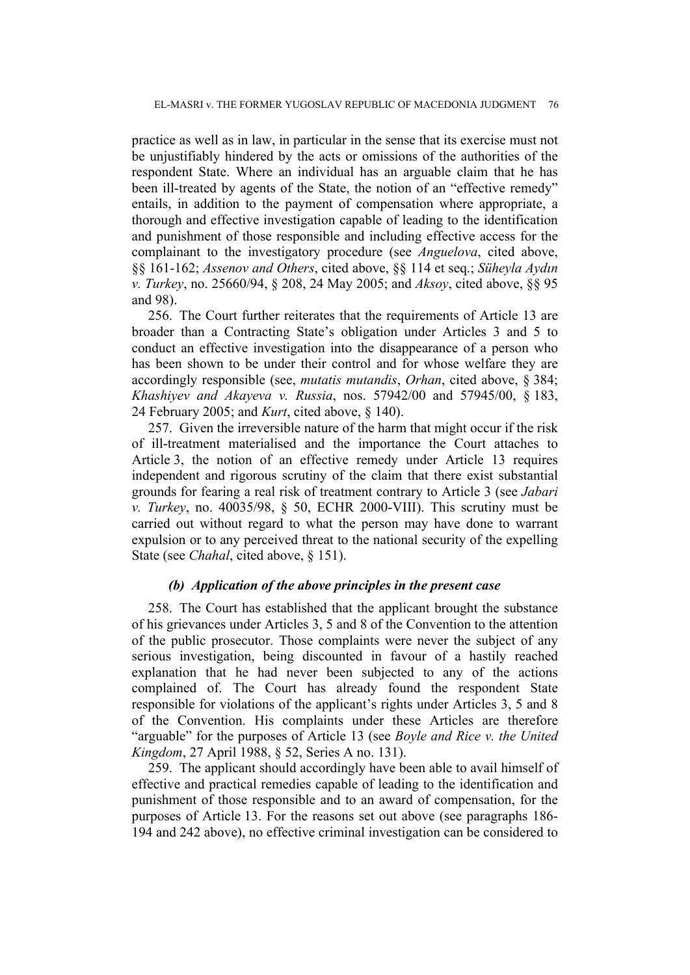practice as well as in law, in particular in the sense that its exercise must not be unjustifiably hindered by the acts or omissions of the authorities of the respondent State. Where an individual has an arguable claim that he has been ill-treated by agents of the State, the notion of an "effective remedy" entails, in addition to the payment of compensation where appropriate, a thorough and effective investigation capable of leading to the identification and punishment of those responsible and including effective access for the complainant to the investigatory procedure (see *Anguelova*, cited above, §§ 161-162; *Assenov and Others*, cited above, §§ 114 et seq.; *Süheyla Aydın v. Turkey*, no. 25660/94, § 208, 24 May 2005; and *Aksoy*, cited above, §§ 95 and 98).

256. The Court further reiterates that the requirements of Article 13 are broader than a Contracting State's obligation under Articles 3 and 5 to conduct an effective investigation into the disappearance of a person who has been shown to be under their control and for whose welfare they are accordingly responsible (see, *mutatis mutandis*, *Orhan*, cited above, § 384; *Khashiyev and Akayeva v. Russia*, nos. 57942/00 and 57945/00, § 183, 24 February 2005; and *Kurt*, cited above, § 140).

257. Given the irreversible nature of the harm that might occur if the risk of ill-treatment materialised and the importance the Court attaches to Article 3, the notion of an effective remedy under Article 13 requires independent and rigorous scrutiny of the claim that there exist substantial grounds for fearing a real risk of treatment contrary to Article 3 (see *Jabari v. Turkey*, no. 40035/98, § 50, ECHR 2000-VIII). This scrutiny must be carried out without regard to what the person may have done to warrant expulsion or to any perceived threat to the national security of the expelling State (see *Chahal*, cited above, § 151).

# *(b) Application of the above principles in the present case*

258. The Court has established that the applicant brought the substance of his grievances under Articles 3, 5 and 8 of the Convention to the attention of the public prosecutor. Those complaints were never the subject of any serious investigation, being discounted in favour of a hastily reached explanation that he had never been subjected to any of the actions complained of. The Court has already found the respondent State responsible for violations of the applicant's rights under Articles 3, 5 and 8 of the Convention. His complaints under these Articles are therefore "arguable" for the purposes of Article 13 (see *Boyle and Rice v. the United Kingdom*, 27 April 1988, § 52, Series A no. 131).

259. The applicant should accordingly have been able to avail himself of effective and practical remedies capable of leading to the identification and punishment of those responsible and to an award of compensation, for the purposes of Article 13. For the reasons set out above (see paragraphs 186- 194 and 242 above), no effective criminal investigation can be considered to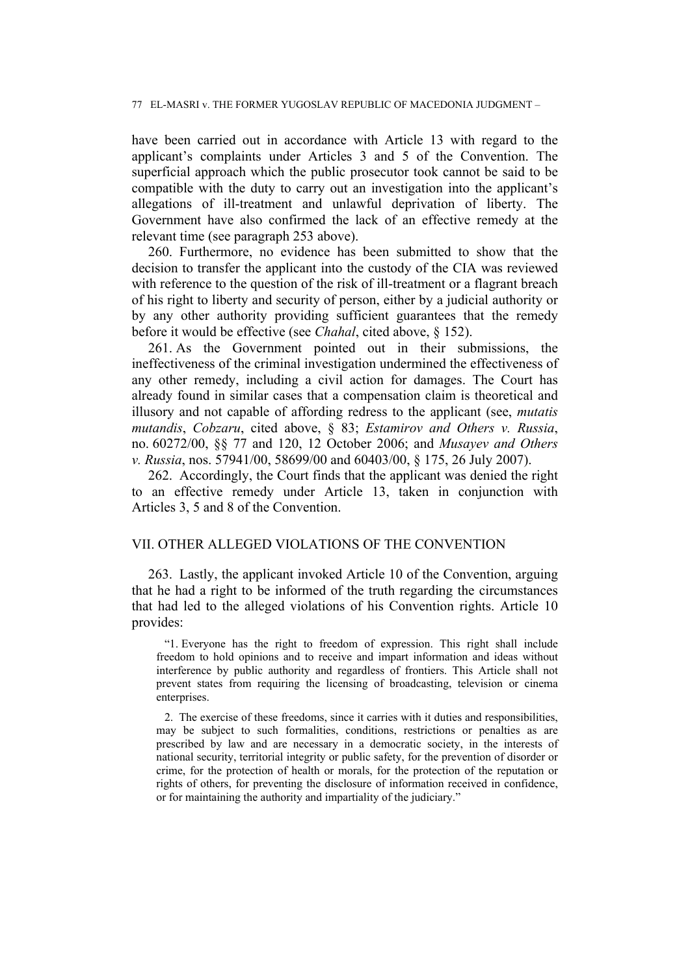have been carried out in accordance with Article 13 with regard to the applicant's complaints under Articles 3 and 5 of the Convention. The superficial approach which the public prosecutor took cannot be said to be compatible with the duty to carry out an investigation into the applicant's allegations of ill-treatment and unlawful deprivation of liberty. The Government have also confirmed the lack of an effective remedy at the relevant time (see paragraph 253 above).

260. Furthermore, no evidence has been submitted to show that the decision to transfer the applicant into the custody of the CIA was reviewed with reference to the question of the risk of ill-treatment or a flagrant breach of his right to liberty and security of person, either by a judicial authority or by any other authority providing sufficient guarantees that the remedy before it would be effective (see *Chahal*, cited above, § 152).

261. As the Government pointed out in their submissions, the ineffectiveness of the criminal investigation undermined the effectiveness of any other remedy, including a civil action for damages. The Court has already found in similar cases that a compensation claim is theoretical and illusory and not capable of affording redress to the applicant (see, *mutatis mutandis*, *Cobzaru*, cited above, § 83; *Estamirov and Others v. Russia*, no. 60272/00, §§ 77 and 120, 12 October 2006; and *Musayev and Others v. Russia*, nos. 57941/00, 58699/00 and 60403/00, § 175, 26 July 2007).

262. Accordingly, the Court finds that the applicant was denied the right to an effective remedy under Article 13, taken in conjunction with Articles 3, 5 and 8 of the Convention.

# VII. OTHER ALLEGED VIOLATIONS OF THE CONVENTION

263. Lastly, the applicant invoked Article 10 of the Convention, arguing that he had a right to be informed of the truth regarding the circumstances that had led to the alleged violations of his Convention rights. Article 10 provides:

"1. Everyone has the right to freedom of expression. This right shall include freedom to hold opinions and to receive and impart information and ideas without interference by public authority and regardless of frontiers. This Article shall not prevent states from requiring the licensing of broadcasting, television or cinema enterprises.

2. The exercise of these freedoms, since it carries with it duties and responsibilities, may be subject to such formalities, conditions, restrictions or penalties as are prescribed by law and are necessary in a democratic society, in the interests of national security, territorial integrity or public safety, for the prevention of disorder or crime, for the protection of health or morals, for the protection of the reputation or rights of others, for preventing the disclosure of information received in confidence, or for maintaining the authority and impartiality of the judiciary."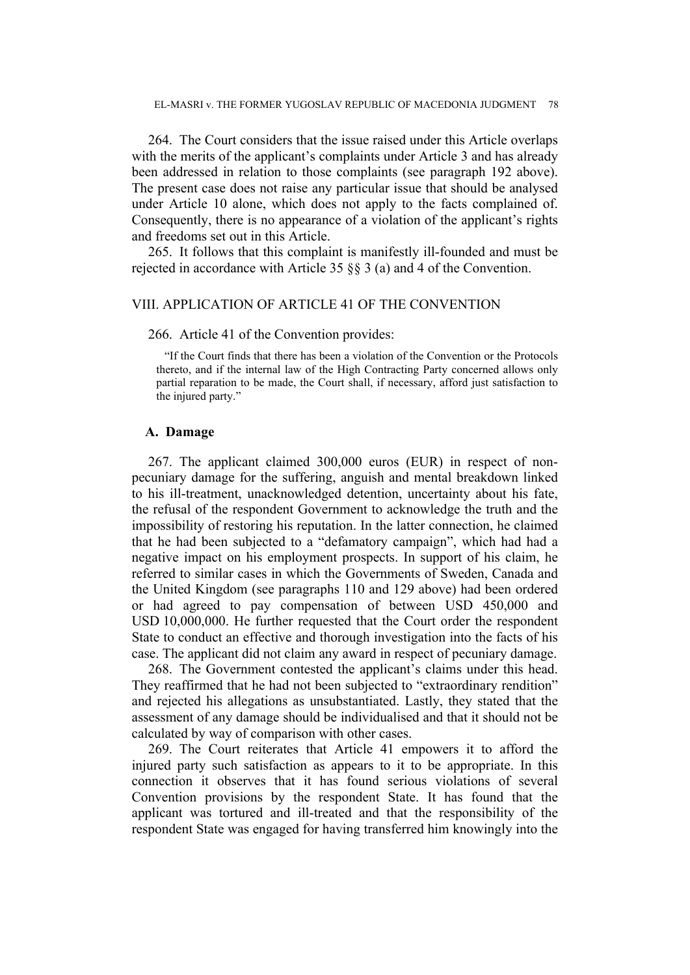264. The Court considers that the issue raised under this Article overlaps with the merits of the applicant's complaints under Article 3 and has already been addressed in relation to those complaints (see paragraph 192 above). The present case does not raise any particular issue that should be analysed under Article 10 alone, which does not apply to the facts complained of. Consequently, there is no appearance of a violation of the applicant's rights and freedoms set out in this Article.

265. It follows that this complaint is manifestly ill-founded and must be rejected in accordance with Article 35 §§ 3 (a) and 4 of the Convention.

# VIII. APPLICATION OF ARTICLE 41 OF THE CONVENTION

266. Article 41 of the Convention provides:

"If the Court finds that there has been a violation of the Convention or the Protocols thereto, and if the internal law of the High Contracting Party concerned allows only partial reparation to be made, the Court shall, if necessary, afford just satisfaction to the injured party."

### **A. Damage**

267. The applicant claimed 300,000 euros (EUR) in respect of nonpecuniary damage for the suffering, anguish and mental breakdown linked to his ill-treatment, unacknowledged detention, uncertainty about his fate, the refusal of the respondent Government to acknowledge the truth and the impossibility of restoring his reputation. In the latter connection, he claimed that he had been subjected to a "defamatory campaign", which had had a negative impact on his employment prospects. In support of his claim, he referred to similar cases in which the Governments of Sweden, Canada and the United Kingdom (see paragraphs 110 and 129 above) had been ordered or had agreed to pay compensation of between USD 450,000 and USD 10,000,000. He further requested that the Court order the respondent State to conduct an effective and thorough investigation into the facts of his case. The applicant did not claim any award in respect of pecuniary damage.

268. The Government contested the applicant's claims under this head. They reaffirmed that he had not been subjected to "extraordinary rendition" and rejected his allegations as unsubstantiated. Lastly, they stated that the assessment of any damage should be individualised and that it should not be calculated by way of comparison with other cases.

269. The Court reiterates that Article 41 empowers it to afford the injured party such satisfaction as appears to it to be appropriate. In this connection it observes that it has found serious violations of several Convention provisions by the respondent State. It has found that the applicant was tortured and ill-treated and that the responsibility of the respondent State was engaged for having transferred him knowingly into the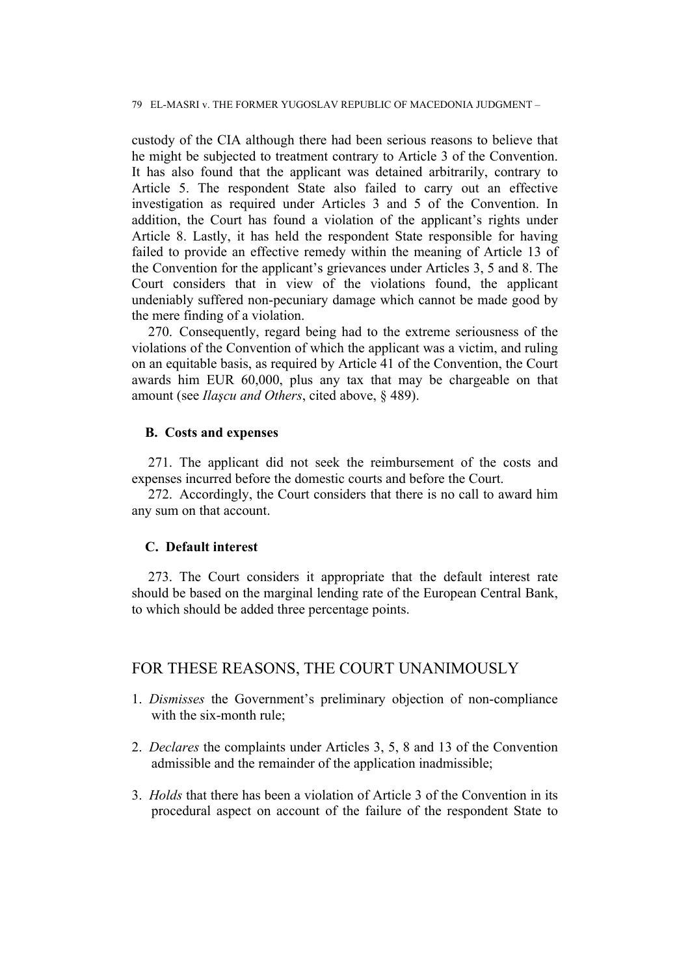custody of the CIA although there had been serious reasons to believe that he might be subjected to treatment contrary to Article 3 of the Convention. It has also found that the applicant was detained arbitrarily, contrary to Article 5. The respondent State also failed to carry out an effective investigation as required under Articles 3 and 5 of the Convention. In addition, the Court has found a violation of the applicant's rights under Article 8. Lastly, it has held the respondent State responsible for having failed to provide an effective remedy within the meaning of Article 13 of the Convention for the applicant's grievances under Articles 3, 5 and 8. The Court considers that in view of the violations found, the applicant undeniably suffered non-pecuniary damage which cannot be made good by the mere finding of a violation.

270. Consequently, regard being had to the extreme seriousness of the violations of the Convention of which the applicant was a victim, and ruling on an equitable basis, as required by Article 41 of the Convention, the Court awards him EUR 60,000, plus any tax that may be chargeable on that amount (see *Ilaşcu and Others*, cited above, § 489).

### **B. Costs and expenses**

271. The applicant did not seek the reimbursement of the costs and expenses incurred before the domestic courts and before the Court.

272. Accordingly, the Court considers that there is no call to award him any sum on that account.

## **C. Default interest**

273. The Court considers it appropriate that the default interest rate should be based on the marginal lending rate of the European Central Bank, to which should be added three percentage points.

# FOR THESE REASONS, THE COURT UNANIMOUSLY

- 1. *Dismisses* the Government's preliminary objection of non-compliance with the six-month rule;
- 2. *Declares* the complaints under Articles 3, 5, 8 and 13 of the Convention admissible and the remainder of the application inadmissible;
- 3. *Holds* that there has been a violation of Article 3 of the Convention in its procedural aspect on account of the failure of the respondent State to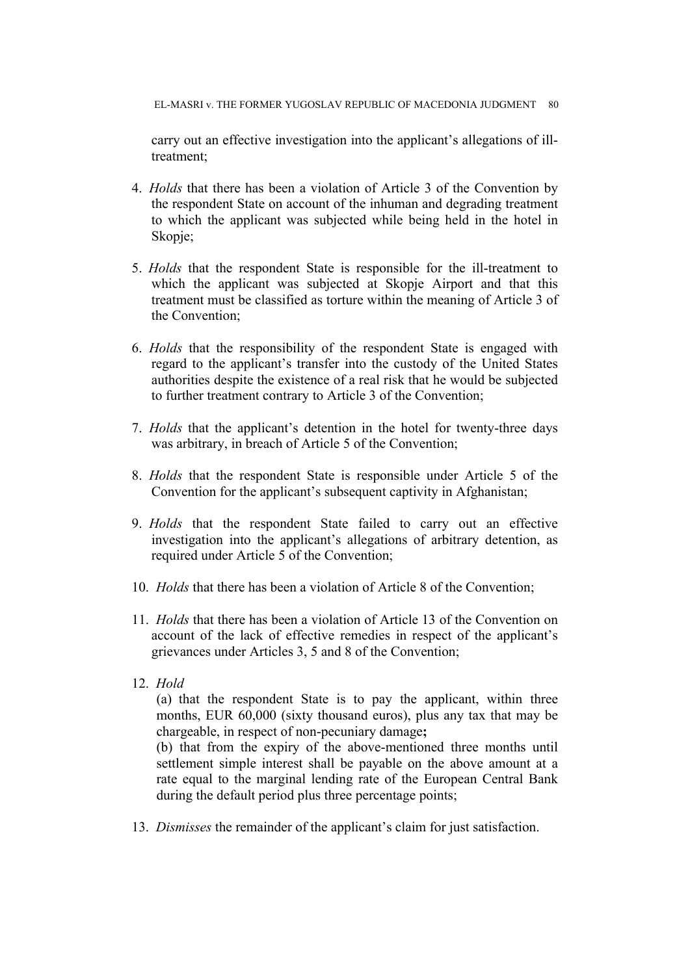carry out an effective investigation into the applicant's allegations of illtreatment;

- 4. *Holds* that there has been a violation of Article 3 of the Convention by the respondent State on account of the inhuman and degrading treatment to which the applicant was subjected while being held in the hotel in Skopje;
- 5. *Holds* that the respondent State is responsible for the ill-treatment to which the applicant was subjected at Skopje Airport and that this treatment must be classified as torture within the meaning of Article 3 of the Convention;
- 6. *Holds* that the responsibility of the respondent State is engaged with regard to the applicant's transfer into the custody of the United States authorities despite the existence of a real risk that he would be subjected to further treatment contrary to Article 3 of the Convention;
- 7. *Holds* that the applicant's detention in the hotel for twenty-three days was arbitrary, in breach of Article 5 of the Convention;
- 8. *Holds* that the respondent State is responsible under Article 5 of the Convention for the applicant's subsequent captivity in Afghanistan;
- 9. *Holds* that the respondent State failed to carry out an effective investigation into the applicant's allegations of arbitrary detention, as required under Article 5 of the Convention;
- 10. *Holds* that there has been a violation of Article 8 of the Convention;
- 11. *Holds* that there has been a violation of Article 13 of the Convention on account of the lack of effective remedies in respect of the applicant's grievances under Articles 3, 5 and 8 of the Convention;
- 12. *Hold*

(a) that the respondent State is to pay the applicant, within three months, EUR 60,000 (sixty thousand euros), plus any tax that may be chargeable, in respect of non-pecuniary damage**;**

(b) that from the expiry of the above-mentioned three months until settlement simple interest shall be payable on the above amount at a rate equal to the marginal lending rate of the European Central Bank during the default period plus three percentage points;

13. *Dismisses* the remainder of the applicant's claim for just satisfaction.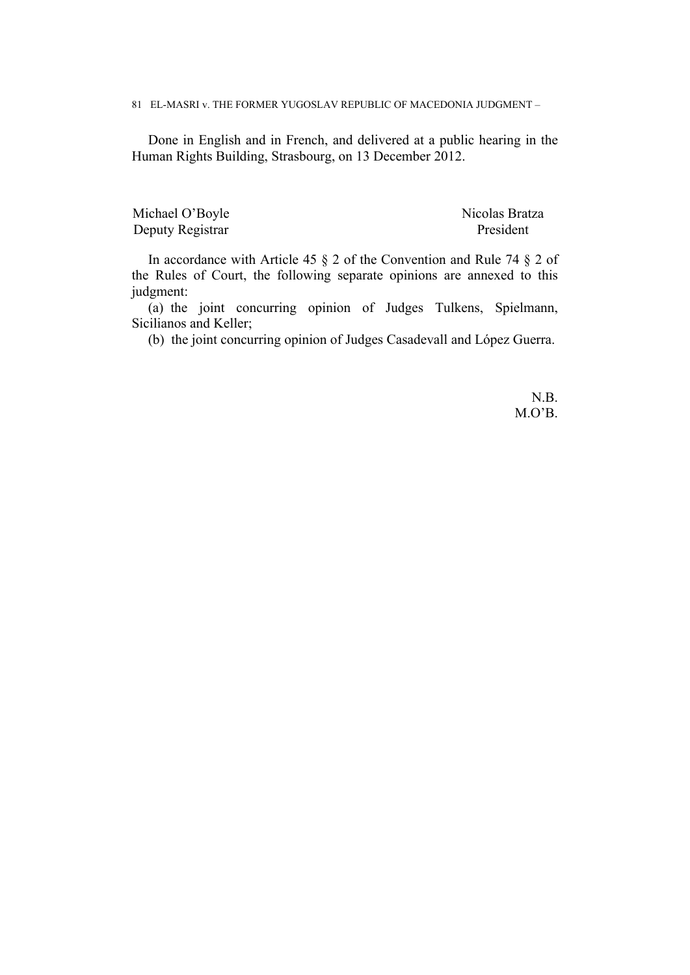Done in English and in French, and delivered at a public hearing in the Human Rights Building, Strasbourg, on 13 December 2012.

Michael O'Boyle Nicolas Bratza Deputy Registrar President

In accordance with Article 45 § 2 of the Convention and Rule 74 § 2 of the Rules of Court, the following separate opinions are annexed to this judgment:

(a) the joint concurring opinion of Judges Tulkens, Spielmann, Sicilianos and Keller;

(b) the joint concurring opinion of Judges Casadevall and López Guerra.

N.B. M.O'B.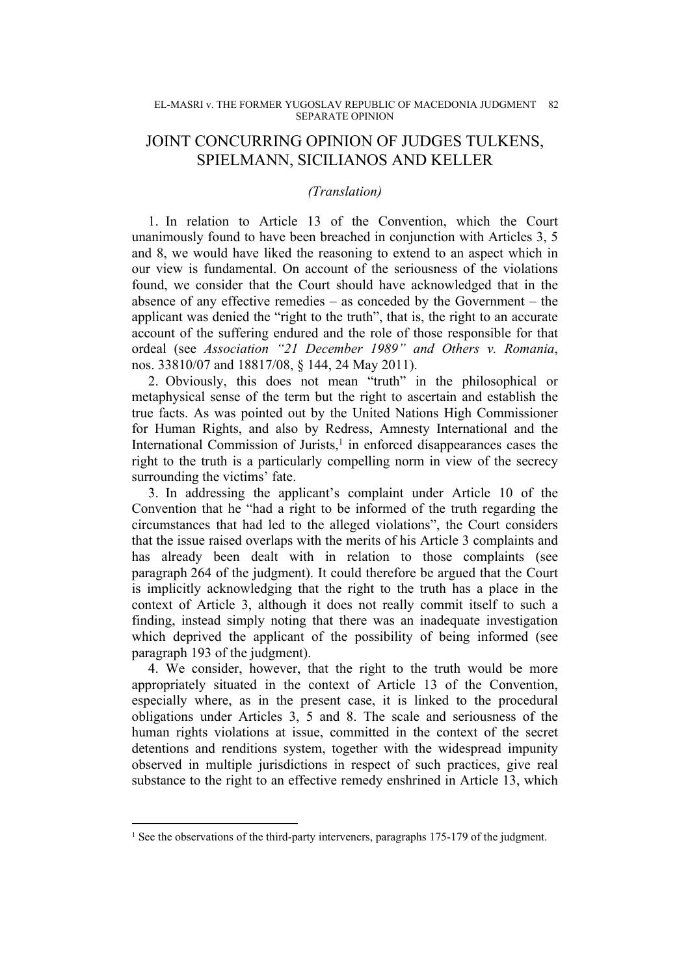# JOINT CONCURRING OPINION OF JUDGES TULKENS, SPIELMANN, SICILIANOS AND KELLER

# *(Translation)*

1. In relation to Article 13 of the Convention, which the Court unanimously found to have been breached in conjunction with Articles 3, 5 and 8, we would have liked the reasoning to extend to an aspect which in our view is fundamental. On account of the seriousness of the violations found, we consider that the Court should have acknowledged that in the absence of any effective remedies – as conceded by the Government – the applicant was denied the "right to the truth", that is, the right to an accurate account of the suffering endured and the role of those responsible for that ordeal (see *Association "21 December 1989" and Others v. Romania*, nos. 33810/07 and 18817/08, § 144, 24 May 2011).

2. Obviously, this does not mean "truth" in the philosophical or metaphysical sense of the term but the right to ascertain and establish the true facts. As was pointed out by the United Nations High Commissioner for Human Rights, and also by Redress, Amnesty International and the International Commission of Jurists,<sup>1</sup> in enforced disappearances cases the right to the truth is a particularly compelling norm in view of the secrecy surrounding the victims' fate.

3. In addressing the applicant's complaint under Article 10 of the Convention that he "had a right to be informed of the truth regarding the circumstances that had led to the alleged violations", the Court considers that the issue raised overlaps with the merits of his Article 3 complaints and has already been dealt with in relation to those complaints (see paragraph 264 of the judgment). It could therefore be argued that the Court is implicitly acknowledging that the right to the truth has a place in the context of Article 3, although it does not really commit itself to such a finding, instead simply noting that there was an inadequate investigation which deprived the applicant of the possibility of being informed (see paragraph 193 of the judgment).

4. We consider, however, that the right to the truth would be more appropriately situated in the context of Article 13 of the Convention, especially where, as in the present case, it is linked to the procedural obligations under Articles 3, 5 and 8. The scale and seriousness of the human rights violations at issue, committed in the context of the secret detentions and renditions system, together with the widespread impunity observed in multiple jurisdictions in respect of such practices, give real substance to the right to an effective remedy enshrined in Article 13, which

<sup>&</sup>lt;sup>1</sup> See the observations of the third-party interveners, paragraphs 175-179 of the judgment.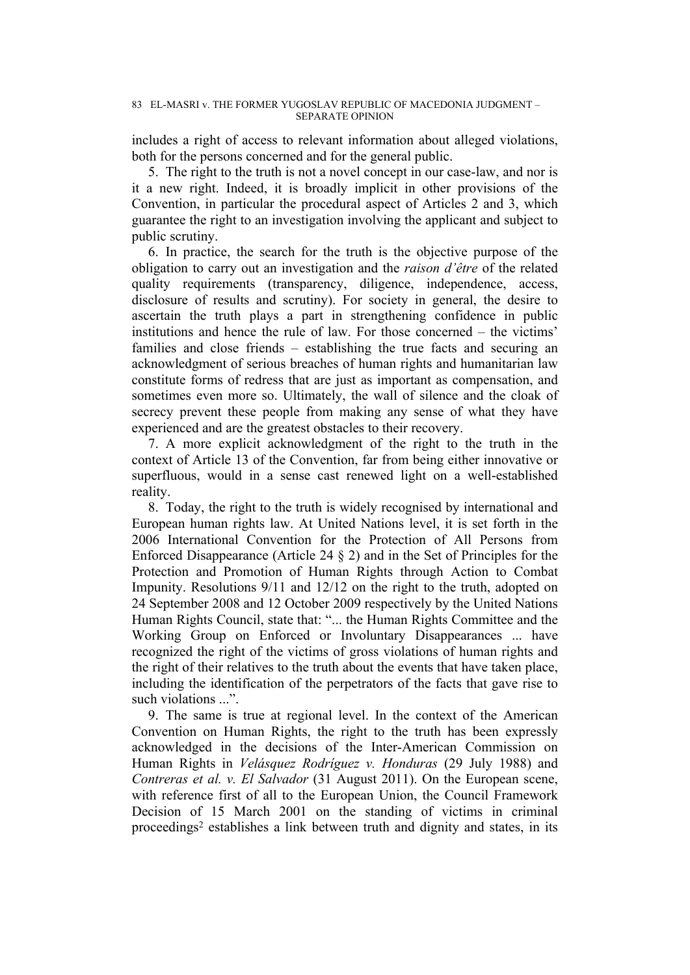#### 83 EL-MASRI v. THE FORMER YUGOSLAV REPUBLIC OF MACEDONIA JUDGMENT – SEPARATE OPINION

includes a right of access to relevant information about alleged violations, both for the persons concerned and for the general public.

5. The right to the truth is not a novel concept in our case-law, and nor is it a new right. Indeed, it is broadly implicit in other provisions of the Convention, in particular the procedural aspect of Articles 2 and 3, which guarantee the right to an investigation involving the applicant and subject to public scrutiny.

6. In practice, the search for the truth is the objective purpose of the obligation to carry out an investigation and the *raison d'être* of the related quality requirements (transparency, diligence, independence, access, disclosure of results and scrutiny). For society in general, the desire to ascertain the truth plays a part in strengthening confidence in public institutions and hence the rule of law. For those concerned – the victims' families and close friends – establishing the true facts and securing an acknowledgment of serious breaches of human rights and humanitarian law constitute forms of redress that are just as important as compensation, and sometimes even more so. Ultimately, the wall of silence and the cloak of secrecy prevent these people from making any sense of what they have experienced and are the greatest obstacles to their recovery.

7. A more explicit acknowledgment of the right to the truth in the context of Article 13 of the Convention, far from being either innovative or superfluous, would in a sense cast renewed light on a well-established reality.

8. Today, the right to the truth is widely recognised by international and European human rights law. At United Nations level, it is set forth in the 2006 International Convention for the Protection of All Persons from Enforced Disappearance (Article 24 § 2) and in the Set of Principles for the Protection and Promotion of Human Rights through Action to Combat Impunity. Resolutions 9/11 and 12/12 on the right to the truth, adopted on 24 September 2008 and 12 October 2009 respectively by the United Nations Human Rights Council, state that: "... the Human Rights Committee and the Working Group on Enforced or Involuntary Disappearances ... have recognized the right of the victims of gross violations of human rights and the right of their relatives to the truth about the events that have taken place, including the identification of the perpetrators of the facts that gave rise to such violations ...".

9. The same is true at regional level. In the context of the American Convention on Human Rights, the right to the truth has been expressly acknowledged in the decisions of the Inter-American Commission on Human Rights in *Velásquez Rodríguez v. Honduras* (29 July 1988) and *Contreras et al. v. El Salvador* (31 August 2011). On the European scene, with reference first of all to the European Union, the Council Framework Decision of 15 March 2001 on the standing of victims in criminal proceedings<sup>2</sup> establishes a link between truth and dignity and states, in its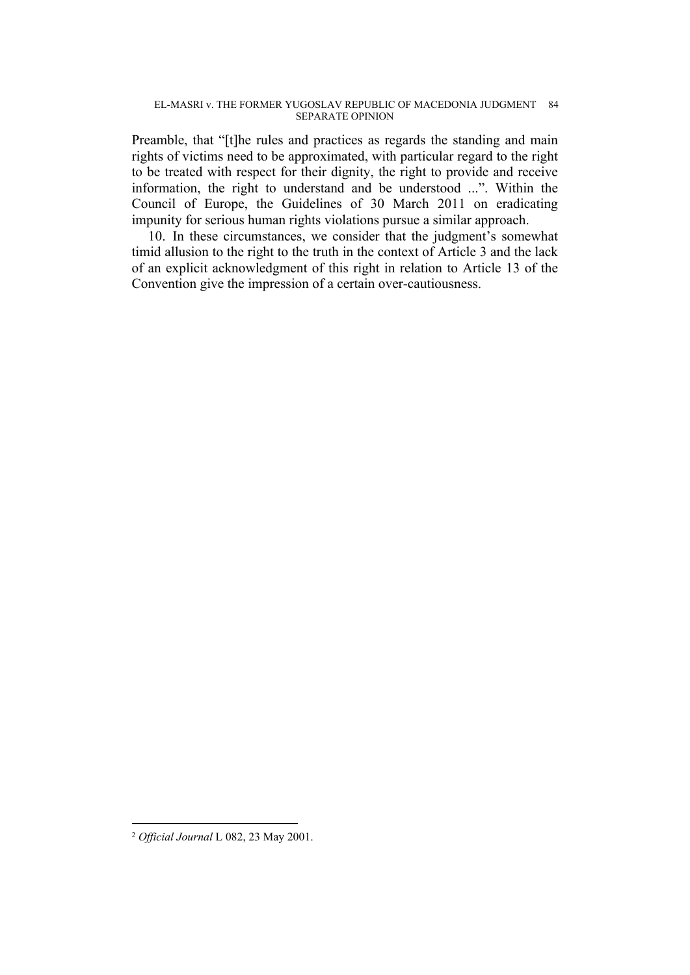#### EL-MASRI v. THE FORMER YUGOSLAV REPUBLIC OF MACEDONIA JUDGMENT 84 SEPARATE OPINION

Preamble, that "[t]he rules and practices as regards the standing and main rights of victims need to be approximated, with particular regard to the right to be treated with respect for their dignity, the right to provide and receive information, the right to understand and be understood ...". Within the Council of Europe, the Guidelines of 30 March 2011 on eradicating impunity for serious human rights violations pursue a similar approach.

10. In these circumstances, we consider that the judgment's somewhat timid allusion to the right to the truth in the context of Article 3 and the lack of an explicit acknowledgment of this right in relation to Article 13 of the Convention give the impression of a certain over-cautiousness.

<sup>2</sup> *Official Journal* L 082, 23 May 2001.